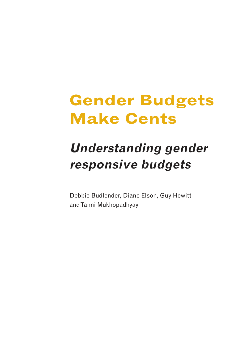# **Gender Budgets Make Cents**

# **Understanding gender responsive budgets**

Debbie Budlender, Diane Elson, Guy Hewitt and Tanni Mukhopadhyay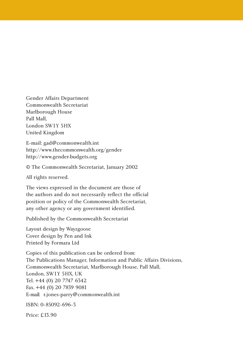Gender Affairs Department Commonwealth Secretariat Marlborough House Pall Mall, London SW1Y 5HX United Kingdom

E-mail: gad@commonwealth.int http://www.thecommonwealth.org/gender http://www.gender-budgets.org

© The Commonwealth Secretariat, January 2002

All rights reserved.

The views expressed in the document are those of the authors and do not necessarily reflect the official position or policy of the Commonwealth Secretariat, any other agency or any government identified.

Published by the Commonwealth Secretariat

Layout design by Wayzgoose Cover design by Pen and Ink Printed by Formara Ltd

Copies of this publication can be ordered from: The Publications Manager, Information and Public Affairs Divisions, Commonwealth Secretariat, Marlborough House, Pall Mall, London, SW1Y 5HX, UK Tel. +44 (0) 20 7747 6342 Fax. +44 (0) 20 7839 9081 E-mail: r.jones-parry@commonwealth.int

ISBN: 0-85092-696-3

Price: £13.90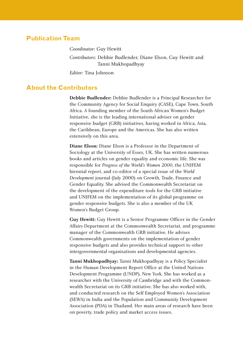### **Publication Team**

*Coordinator:* Guy Hewitt *Contributors:* Debbie Budlender, Diane Elson, Guy Hewitt and Tanni Mukhopadhyay *Editor:* Tina Johnson

#### **About the Contributors**

**Debbie Budlender:** Debbie Budlender is a Principal Researcher for the Community Agency for Social Enquiry (CASE), Cape Town, South Africa. A founding member of the South African Women's Budget Initiative, she is the leading international adviser on gender responsive budget (GRB) initiatives, having worked in Africa, Asia, the Caribbean, Europe and the Americas. She has also written extensively on this area.

**Diane Elson:** Diane Elson is a Professor in the Department of Sociology at the University of Essex, UK. She has written numerous books and articles on gender equality and economic life. She was responsible for *Progress of the World's Women 2000*, the UNIFEM biennial report, and co-editor of a special issue of the *World Development* journal (July 2000) on Growth, Trade, Finance and Gender Equality. She advised the Commonwealth Secretariat on the development of the expenditure tools for the GRB initiative and UNIFEM on the implementation of its global programme on gender responsive budgets. She is also a member of the UK Women's Budget Group.

**Guy Hewitt:** Guy Hewitt is a Senior Programme Officer in the Gender Affairs Department at the Commonwealth Secretariat, and programme manager of the Commonwealth GRB initiative. He advises Commonwealth governments on the implementation of gender responsive budgets and also provides technical support to other intergovernmental organisations and developmental agencies.

**Tanni Mukhopadhyay:** Tanni Mukhopadhyay is a Policy Specialist in the Human Development Report Office at the United Nations Development Programme (UNDP), New York. She has worked as a researcher with the University of Cambridge and with the Commonwealth Secretariat on its GRB initiative. She has also worked with, and conducted research on the Self Employed Women's Association (SEWA) in India and the Population and Community Development Association (PDA) in Thailand. Her main areas of research have been on poverty, trade policy and market access issues.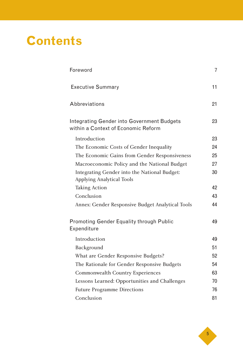# **Contents**

| Foreword                                                                          | 7  |
|-----------------------------------------------------------------------------------|----|
| <b>Executive Summary</b>                                                          | 11 |
| Abbreviations                                                                     | 21 |
| Integrating Gender into Government Budgets<br>within a Context of Economic Reform | 23 |
| Introduction                                                                      | 23 |
| The Economic Costs of Gender Inequality                                           | 24 |
| The Economic Gains from Gender Responsiveness                                     | 25 |
| Macroeconomic Policy and the National Budget                                      | 27 |
| Integrating Gender into the National Budget:<br><b>Applying Analytical Tools</b>  | 30 |
| <b>Taking Action</b>                                                              | 42 |
| Conclusion                                                                        | 43 |
| Annex: Gender Responsive Budget Analytical Tools                                  | 44 |
| <b>Promoting Gender Equality through Public</b><br>Expenditure                    | 49 |
| Introduction                                                                      | 49 |
| Background                                                                        | 51 |
| What are Gender Responsive Budgets?                                               | 52 |
| The Rationale for Gender Responsive Budgets                                       | 54 |
| <b>Commonwealth Country Experiences</b>                                           | 63 |
| Lessons Learned: Opportunities and Challenges                                     | 70 |
| <b>Future Programme Directions</b>                                                | 76 |
| Conclusion                                                                        | 81 |

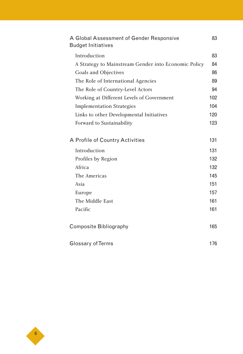| A Global Assessment of Gender Responsive<br><b>Budget Initiatives</b> | 83  |
|-----------------------------------------------------------------------|-----|
| Introduction                                                          | 83  |
| A Strategy to Mainstream Gender into Economic Policy                  | 84  |
| Goals and Objectives                                                  | 86  |
| The Role of International Agencies                                    | 89  |
| The Role of Country-Level Actors                                      | 94  |
| Working at Different Levels of Government                             | 102 |
| <b>Implementation Strategies</b>                                      | 104 |
| Links to other Developmental Initiatives                              | 120 |
| Forward to Sustainability                                             | 123 |
| A Profile of Country Activities                                       | 131 |
| Introduction                                                          | 131 |
| Profiles by Region                                                    | 132 |
| Africa                                                                | 132 |
| The Americas                                                          | 145 |
| Asia                                                                  | 151 |
| Europe                                                                | 157 |
| The Middle East                                                       | 161 |
| Pacific                                                               | 161 |
| <b>Composite Bibliography</b>                                         | 165 |
|                                                                       |     |
| Glossary of Terms                                                     |     |

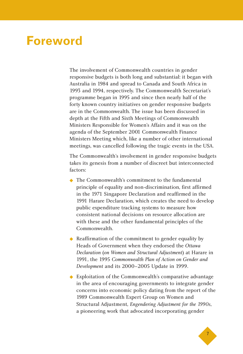### **Foreword**

The involvement of Commonwealth countries in gender responsive budgets is both long and substantial: it began with Australia in 1984 and spread to Canada and South Africa in 1993 and 1994, respectively. The Commonwealth Secretariat's programme began in 1995 and since then nearly half of the forty known country initiatives on gender responsive budgets are in the Commonwealth. The issue has been discussed in depth at the Fifth and Sixth Meetings of Commonwealth Ministers Responsible for Women's Affairs and it was on the agenda of the September 2001 Commonwealth Finance Ministers Meeting which, like a number of other international meetings, was cancelled following the tragic events in the USA.

The Commonwealth's involvement in gender responsive budgets takes its genesis from a number of discreet but interconnected factors:

- ◆ The Commonwealth's commitment to the fundamental principle of equality and non-discrimination, first affirmed in the 1971 Singapore Declaration and reaffirmed in the 1991 Harare Declaration, which creates the need to develop public expenditure tracking systems to measure how consistent national decisions on resource allocation are with these and the other fundamental principles of the Commonwealth.
- ◆ Reaffirmation of the commitment to gender equality by Heads of Government when they endorsed the *Ottawa Declaration* (*on Women and Structural Adjustment*) at Harare in 1991, the 1995 *Commonwealth Plan of Action on Gender and Development* and its 2000–2005 Update in 1999.
- ◆ Exploitation of the Commonwealth's comparative advantage in the area of encouraging governments to integrate gender concerns into economic policy dating from the report of the 1989 Commonwealth Expert Group on Women and Structural Adjustment, *Engendering Adjustment for the 1990s*, a pioneering work that advocated incorporating gender

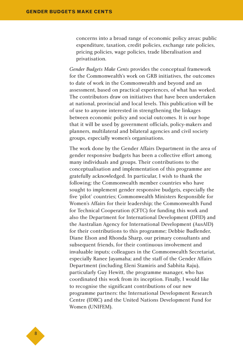concerns into a broad range of economic policy areas: public expenditure, taxation, credit policies, exchange rate policies, pricing policies, wage policies, trade liberalisation and privatisation.

*Gender Budgets Make Cents* provides the conceptual framework for the Commonwealth's work on GRB initiatives, the outcomes to date of work in the Commonwealth and beyond and an assessment, based on practical experiences, of what has worked. The contributors draw on initiatives that have been undertaken at national, provincial and local levels. This publication will be of use to anyone interested in strengthening the linkages between economic policy and social outcomes. It is our hope that it will be used by government officials, policy-makers and planners, multilateral and bilateral agencies and civil society groups, especially women's organisations.

The work done by the Gender Affairs Department in the area of gender responsive budgets has been a collective effort among many individuals and groups. Their contributions to the conceptualisation and implementation of this programme are gratefully acknowledged. In particular, I wish to thank the following: the Commonwealth member countries who have sought to implement gender responsive budgets, especially the five 'pilot' countries; Commonwealth Ministers Responsible for Women's Affairs for their leadership; the Commonwealth Fund for Technical Cooperation (CFTC) for funding this work and also the Department for International Development (DFID) and the Australian Agency for International Development (AusAID) for their contributions to this programme; Debbie Budlender, Diane Elson and Rhonda Sharp, our primary consultants and subsequent friends, for their continuous involvement and invaluable inputs; colleagues in the Commonwealth Secretariat, especially Ranee Jayamaha; and the staff of the Gender Affairs Department (including Eleni Stamiris and Sabhita Raju), particularly Guy Hewitt, the programme manager, who has coordinated this work from its inception. Finally, I would like to recognise the significant contributions of our new programme partners: the International Development Research Centre (IDRC) and the United Nations Development Fund for Women (UNIFEM).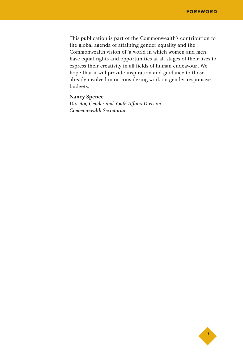This publication is part of the Commonwealth's contribution to the global agenda of attaining gender equality and the Commonwealth vision of 'a world in which women and men have equal rights and opportunities at all stages of their lives to express their creativity in all fields of human endeavour'. We hope that it will provide inspiration and guidance to those already involved in or considering work on gender responsive budgets.

#### **Nancy Spence**

*Director, Gender and Youth Affairs Division Commonwealth Secretariat*

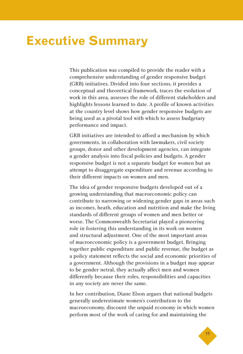## **Executive Summary**

This publication was compiled to provide the reader with a comprehensive understanding of gender responsive budget (GRB) initiatives. Divided into four sections, it provides a conceptual and theoretical framework, traces the evolution of work in this area, assesses the role of different stakeholders and highlights lessons learned to date. A profile of known activities at the country level shows how gender responsive budgets are being used as a pivotal tool with which to assess budgetary performance and impact.

GRB initiatives are intended to afford a mechanism by which governments, in collaboration with lawmakers, civil society groups, donor and other development agencies, can integrate a gender analysis into fiscal policies and budgets. A gender responsive budget is not a separate budget for women but an attempt to disaggregate expenditure and revenue according to their different impacts on women and men.

The idea of gender responsive budgets developed out of a growing understanding that macroeconomic policy can contribute to narrowing or widening gender gaps in areas such as incomes, heath, education and nutrition and make the living standards of different groups of women and men better or worse. The Commonwealth Secretariat played a pioneering role in fostering this understanding in its work on women and structural adjustment. One of the most important areas of macroeconomic policy is a government budget. Bringing together public expenditure and public revenue, the budget as a policy statement reflects the social and economic priorities of a government. Although the provisions in a budget may appear to be gender netral, they actually affect men and women differently because their roles, responsibilities and capacities in any society are never the same.

In her contribution, Diane Elson argues that national budgets generally underestimate women's contribution to the macroeconomy, discount the unpaid economy in which women perform most of the work of caring for and maintaining the

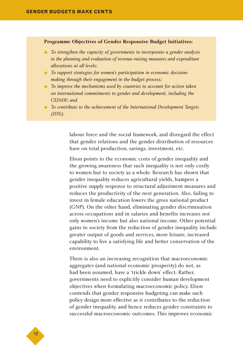#### **Programme Objectives of Gender Responsive Budget Initiatives:**

- To strengthen the capacity of governments to incorporate a gender analysis *in the planning and evaluation of revenue-raising measures and expenditure allocations at all levels;*
- ◆ *To support strategies for women's participation in economic decisionmaking through their engagement in the budget process;*
- ◆ *To improve the mechanisms used by countries to account for action taken on international commitments to gender and development, including the CEDAW; and*
- ◆ *To contribute to the achievement of the International Development Targets (IDTs).*

labour force and the social framework, and disregard the effect that gender relations and the gender distribution of resources have on total production, savings, investment, etc.

Elson points to the economic costs of gender inequality and the growing awareness that such inequality is not only costly to women but to society as a whole. Research has shown that gender inequality reduces agricultural yields, hampers a positive supply response to structural adjustment measures and reduces the productivity of the next generation. Also, failing to invest in female education lowers the gross national product (GNP). On the other hand, eliminating gender discrimination across occupations and in salaries and benefits increases not only women's income but also national income. Other potential gains to society from the reduction of gender inequality include greater output of goods and services, more leisure, increased capability to live a satisfying life and better conservation of the environment.

There is also an increasing recognition that macroeconomic aggregates (and national economic prosperity) do not, as had been assumed, have a 'trickle down' effect. Rather, governments need to explicitly consider human development objectives when formulating macroeconomic policy. Elson contends that gender responsive budgeting can make such policy design more effective as it contributes to the reduction of gender inequality, and hence reduces gender constraints to successful macroeconomic outcomes. This improves economic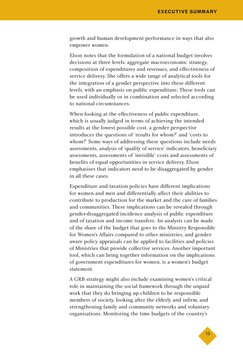growth and human development performance in ways that also empower women.

Elson notes that the formulation of a national budget involves decisions at three levels: aggregate macroeconomic strategy, composition of expenditures and revenues, and effectiveness of service delivery. She offers a wide range of analytical tools for the integration of a gender perspective into these different levels, with an emphasis on public expenditure. These tools can be used individually or in combination and selected according to national circumstances.

When looking at the effectiveness of public expenditure, which is usually judged in terms of achieving the intended results at the lowest possible cost, a gender perspective introduces the questions of 'results for whom?' and 'costs to whom?' Some ways of addressing these questions include needs assessments, analysis of 'quality of service' indicators, beneficiary assessments, assessments of 'invisible' costs and assessments of benefits of equal opportunities in service delivery. Elson emphasises that indicators need to be disaggregated by gender in all these cases.

Expenditure and taxation policies have different implications for women and men and differentially affect their abilities to contribute to production for the market and the care of families and communities. These implications can be revealed through gender-disaggregated incidence analysis of public expenditure and of taxation and income transfers. An analysis can be made of the share of the budget that goes to the Ministry Responsible for Women's Affairs compared to other ministries, and genderaware policy appraisals can be applied to facilities and policies of Ministries that provide collective services. Another important tool, which can bring together information on the implications of government expenditures for women, is a women's budget statement.

A GRB strategy might also include examining women's critical role in maintaining the social framework through the unpaid work that they do bringing up children to be responsible members of society, looking after the elderly and infirm, and strengthening family and community networks and voluntary organisations. Monitoring the time budgets of the country's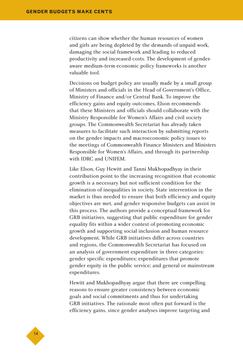citizens can show whether the human resources of women and girls are being depleted by the demands of unpaid work, damaging the social framework and leading to reduced productivity and increased costs. The development of genderaware medium-term economic policy frameworks is another valuable tool.

Decisions on budget policy are usually made by a small group of Ministers and officials in the Head of Government's Office, Ministry of Finance and/or Central Bank. To improve the efficiency gains and equity outcomes, Elson recommends that these Ministers and officials should collaborate with the Ministry Responsible for Women's Affairs and civil society groups. The Commonwealth Secretariat has already taken measures to facilitate such interaction by submitting reports on the gender impacts and macroeconomic policy issues to the meetings of Commonwealth Finance Ministers and Ministers Responsible for Women's Affairs, and through its partnership with IDRC and UNIFEM.

Like Elson, Guy Hewitt and Tanni Mukhopadhyay in their contribution point to the increasing recognition that economic growth is a necessary but not sufficient condition for the elimination of inequalities in society. State intervention in the market is thus needed to ensure that both efficiency and equity objectives are met, and gender responsive budgets can assist in this process. The authors provide a conceptual framework for GRB initiatives, suggesting that public expenditure for gender equality fits within a wider context of promoting economic growth and supporting social inclusion and human resource development. While GRB initiatives differ across countries and regions, the Commonwealth Secretariat has focused on an analysis of government expenditure in three categories: gender specific expenditures; expenditures that promote gender equity in the public service; and general or mainstream expenditures.

Hewitt and Mukhopadhyay argue that there are compelling reasons to ensure greater consistency between economic goals and social commitments and thus for undertaking GRB initiatives. The rationale most often put forward is the efficiency gains, since gender analyses improve targeting and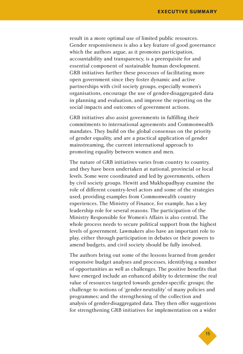result in a more optimal use of limited public resources. Gender responsiveness is also a key feature of good governance which the authors argue, as it promotes participation, accountability and transparency, is a prerequisite for and essential component of sustainable human development. GRB initiatives further these processes of facilitating more open government since they foster dynamic and active partnerships with civil society groups, especially women's organisations, encourage the use of gender-disaggregated data in planning and evaluation, and improve the reporting on the social impacts and outcomes of government actions.

GRB initiatives also assist governments in fulfilling their commitments to international agreements and Commonwealth mandates. They build on the global consensus on the priority of gender equality, and are a practical application of gender mainstreaming, the current international approach to promoting equality between women and men.

The nature of GRB initiatives varies from country to country, and they have been undertaken at national, provincial or local levels. Some were coordinated and led by governments, others by civil society groups. Hewitt and Mukhopadhyay examine the role of different country-level actors and some of the strategies used, providing examples from Commonwealth country experiences. The Ministry of Finance, for example, has a key leadership role for several reasons. The participation of the Ministry Responsible for Women's Affairs is also central. The whole process needs to secure political support from the highest levels of government. Lawmakers also have an important role to play, either through participation in debates or their powers to amend budgets, and civil society should be fully involved.

The authors bring out some of the lessons learned from gender responsive budget analyses and processes, identifying a number of opportunities as well as challenges. The positive benefits that have emerged include an enhanced ability to determine the real value of resources targeted towards gender-specific groups; the challenge to notions of 'gender-neutrality' of many policies and programmes; and the strengthening of the collection and analysis of gender-disaggregated data. They then offer suggestions for strengthening GRB initiatives for implementation on a wider

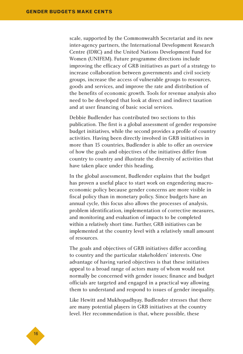scale, supported by the Commonwealth Secretariat and its new inter-agency partners, the International Development Research Centre (IDRC) and the United Nations Development Fund for Women (UNIFEM). Future programme directions include improving the efficacy of GRB initiatives as part of a strategy to increase collaboration between governments and civil society groups, increase the access of vulnerable groups to resources, goods and services, and improve the rate and distribution of the benefits of economic growth. Tools for revenue analysis also need to be developed that look at direct and indirect taxation and at user financing of basic social services.

Debbie Budlender has contributed two sections to this publication. The first is a global assessment of gender responsive budget initiatives, while the second provides a profile of country activities. Having been directly involved in GRB initiatives in more than 15 countries, Budlender is able to offer an overview of how the goals and objectives of the initiatives differ from country to country and illustrate the diversity of activities that have taken place under this heading.

In the global assessment, Budlender explains that the budget has proven a useful place to start work on engendering macroeconomic policy because gender concerns are more visible in fiscal policy than in monetary policy. Since budgets have an annual cycle, this focus also allows the processes of analysis, problem identification, implementation of corrective measures, and monitoring and evaluation of impacts to be completed within a relatively short time. Further, GRB initiatives can be implemented at the country level with a relatively small amount of resources.

The goals and objectives of GRB initiatives differ according to country and the particular stakeholders' interests. One advantage of having varied objectives is that these initiatives appeal to a broad range of actors many of whom would not normally be concerned with gender issues; finance and budget officials are targeted and engaged in a practical way allowing them to understand and respond to issues of gender inequality.

Like Hewitt and Mukhopadhyay, Budlender stresses that there are many potential players in GRB initiatives at the country level. Her recommendation is that, where possible, these

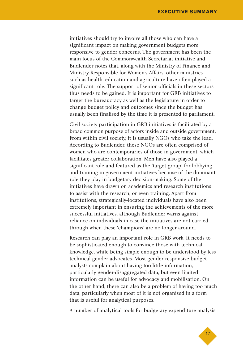initiatives should try to involve all those who can have a significant impact on making government budgets more responsive to gender concerns. The government has been the main focus of the Commonwealth Secretariat initiative and Budlender notes that, along with the Ministry of Finance and Ministry Responsible for Women's Affairs, other ministries such as health, education and agriculture have often played a significant role. The support of senior officials in these sectors thus needs to be gained. It is important for GRB initiatives to target the bureaucracy as well as the legislature in order to change budget policy and outcomes since the budget has usually been finalised by the time it is presented to parliament.

Civil society participation in GRB initiatives is facilitated by a broad common purpose of actors inside and outside government. From within civil society, it is usually NGOs who take the lead. According to Budlender, these NGOs are often comprised of women who are contemporaries of those in government, which facilitates greater collaboration. Men have also played a significant role and featured as the 'target group' for lobbying and training in government initiatives because of the dominant role they play in budgetary decision-making. Some of the initiatives have drawn on academics and research institutions to assist with the research, or even training. Apart from institutions, strategically-located individuals have also been extremely important in ensuring the achievements of the more successful initiatives, although Budlender warns against reliance on individuals in case the initiatives are not carried through when these 'champions' are no longer around.

Research can play an important role in GRB work. It needs to be sophisticated enough to convince those with technical knowledge, while being simple enough to be understood by less technical gender advocates. Most gender responsive budget analysts complain about having too little information, particularly gender-disaggregated data, but even limited information can be useful for advocacy and mobilisation. On the other hand, there can also be a problem of having too much data, particularly when most of it is not organised in a form that is useful for analytical purposes.

A number of analytical tools for budgetary expenditure analysis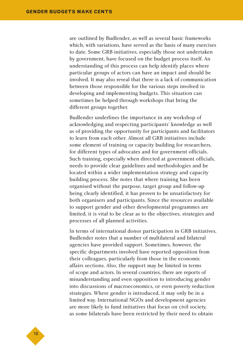are outlined by Budlender, as well as several basic frameworks which, with variations, have served as the basis of many exercises to date. Some GRB initiatives, especially those not undertaken by government, have focused on the budget process itself. An understanding of this process can help identify places where particular groups of actors can have an impact and should be involved. It may also reveal that there is a lack of communication between those responsible for the various steps involved in developing and implementing budgets. This situation can sometimes be helped through workshops that bring the different groups together.

Budlender underlines the importance in any workshop of acknowledging and respecting participants' knowledge as well as of providing the opportunity for participants and facilitators to learn from each other. Almost all GRB initiatives include some element of training or capacity building for researchers, for different types of advocates and for government officials. Such training, especially when directed at government officials, needs to provide clear guidelines and methodologies and be located within a wider implementation strategy and capacity building process. She notes that where training has been organised without the purpose, target group and follow-up being clearly identified, it has proven to be unsatisfactory for both organisers and participants. Since the resources available to support gender and other developmental programmes are limited, it is vital to be clear as to the objectives, strategies and processes of all planned activities.

In terms of international donor participation in GRB initiatives, Budlender notes that a number of multilateral and bilateral agencies have provided support. Sometimes, however, the specific departments involved have reported opposition from their colleagues, particularly from those in the economic affairs sections. Also, the support may be limited in terms of scope and actors. In several countries, there are reports of misunderstanding and even opposition to introducing gender into discussions of macroeconomics, or even poverty reduction strategies. Where gender is introduced, it may only be in a limited way. International NGOs and development agencies are more likely to fund initiatives that focus on civil society, as some bilaterals have been restricted by their need to obtain

◆18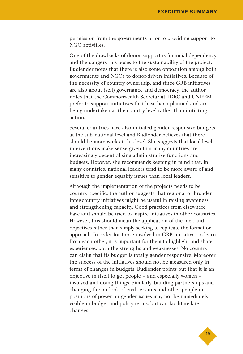permission from the governments prior to providing support to NGO activities.

One of the drawbacks of donor support is financial dependency and the dangers this poses to the sustainability of the project. Budlender notes that there is also some opposition among both governments and NGOs to donor-driven initiatives. Because of the necessity of country ownership, and since GRB initiatives are also about (self) governance and democracy, the author notes that the Commonwealth Secretariat, IDRC and UNIFEM prefer to support initiatives that have been planned and are being undertaken at the country level rather than initiating action.

Several countries have also initiated gender responsive budgets at the sub-national level and Budlender believes that there should be more work at this level. She suggests that local level interventions make sense given that many countries are increasingly decentralising administrative functions and budgets. However, she recommends keeping in mind that, in many countries, national leaders tend to be more aware of and sensitive to gender equality issues than local leaders.

Although the implementation of the projects needs to be country-specific, the author suggests that regional or broader inter-country initiatives might be useful in raising awareness and strengthening capacity. Good practices from elsewhere have and should be used to inspire initiatives in other countries. However, this should mean the application of the idea and objectives rather than simply seeking to replicate the format or approach. In order for those involved in GRB initiatives to learn from each other, it is important for them to highlight and share experiences, both the strengths and weaknesses. No country can claim that its budget is totally gender responsive. Moreover, the success of the initiatives should not be measured only in terms of changes in budgets. Budlender points out that it is an objective in itself to get people – and especially women – involved and doing things. Similarly, building partnerships and changing the outlook of civil servants and other people in positions of power on gender issues may not be immediately visible in budget and policy terms, but can facilitate later changes.

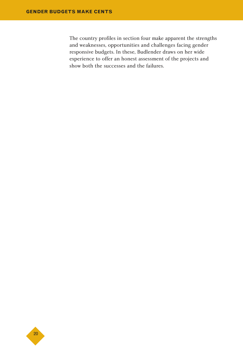The country profiles in section four make apparent the strengths and weaknesses, opportunities and challenges facing gender responsive budgets. In these, Budlender draws on her wide experience to offer an honest assessment of the projects and show both the successes and the failures.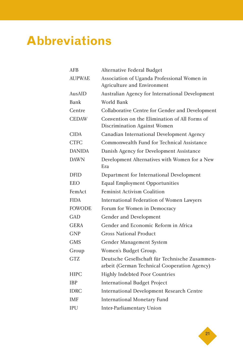# **Abbreviations**

| AFB           | Alternative Federal Budget                                                                     |
|---------------|------------------------------------------------------------------------------------------------|
| <b>AUPWAE</b> | Association of Uganda Professional Women in<br>Agriculture and Environment                     |
| AusAID        | Australian Agency for International Development                                                |
| Bank          | World Bank                                                                                     |
| Centre        | Collaborative Centre for Gender and Development                                                |
| <b>CEDAW</b>  | Convention on the Elimination of All Forms of<br>Discrimination Against Women                  |
| <b>CIDA</b>   | Canadian International Development Agency                                                      |
| CTFC          | Commonwealth Fund for Technical Assistance                                                     |
| <b>DANIDA</b> | Danish Agency for Development Assistance                                                       |
| <b>DAWN</b>   | Development Alternatives with Women for a New<br>Era                                           |
| <b>DFID</b>   | Department for International Development                                                       |
| <b>EEO</b>    | <b>Equal Employment Opportunities</b>                                                          |
| FemAct        | <b>Feminist Activism Coalition</b>                                                             |
| <b>FIDA</b>   | International Federation of Women Lawyers                                                      |
| <b>FOWODE</b> | Forum for Women in Democracy                                                                   |
| GAD           | Gender and Development                                                                         |
| <b>GERA</b>   | Gender and Economic Reform in Africa                                                           |
| <b>GNP</b>    | Gross National Product                                                                         |
| <b>GMS</b>    | Gender Management System                                                                       |
| Group         | Women's Budget Group.                                                                          |
| GTZ.          | Deutsche Gesellschaft für Technische Zusammen-<br>arbeit (German Technical Cooperation Agency) |
| <b>HIPC</b>   | <b>Highly Indebted Poor Countries</b>                                                          |
| <b>IBP</b>    | <b>International Budget Project</b>                                                            |
| <b>IDRC</b>   | <b>International Development Research Centre</b>                                               |
| <b>IMF</b>    | <b>International Monetary Fund</b>                                                             |
| IPU           | <b>Inter-Parliamentary Union</b>                                                               |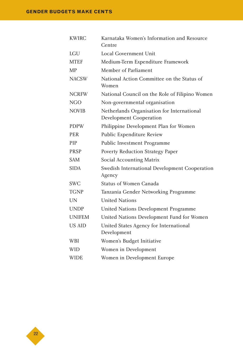| <b>KWIRC</b>  | Karnataka Women's Information and Resource<br>Centre                         |
|---------------|------------------------------------------------------------------------------|
| <b>LGU</b>    | <b>Local Government Unit</b>                                                 |
| <b>MTEF</b>   | Medium-Term Expenditure Framework                                            |
| <b>MP</b>     | Member of Parliament                                                         |
| <b>NACSW</b>  | National Action Committee on the Status of<br>Women                          |
| <b>NCRFW</b>  | National Council on the Role of Filipino Women                               |
| <b>NGO</b>    | Non-governmental organisation                                                |
| <b>NOVIB</b>  | Netherlands Organisation for International<br><b>Development Cooperation</b> |
| <b>PDPW</b>   | Philippine Development Plan for Women                                        |
| <b>PER</b>    | Public Expenditure Review                                                    |
| <b>PIP</b>    | <b>Public Investment Programme</b>                                           |
| <b>PRSP</b>   | Poverty Reduction Strategy Paper                                             |
| <b>SAM</b>    | Social Accounting Matrix                                                     |
| <b>SIDA</b>   | Swedish International Development Cooperation<br>Agency                      |
| <b>SWC</b>    | <b>Status of Women Canada</b>                                                |
| <b>TGNP</b>   | Tanzania Gender Networking Programme                                         |
| <b>UN</b>     | <b>United Nations</b>                                                        |
| <b>UNDP</b>   | United Nations Development Programme                                         |
| <b>UNIFEM</b> | United Nations Development Fund for Women                                    |
| <b>US AID</b> | United States Agency for International<br>Development                        |
| <b>WBI</b>    | Women's Budget Initiative                                                    |
| <b>WID</b>    | Women in Development                                                         |
| <b>WIDE</b>   | Women in Development Europe                                                  |

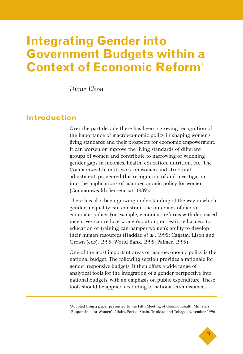## **Integrating Gender into Government Budgets within a Context of Economic Reform\***

*Diane Elson*

### **Introduction**

Over the past decade there has been a growing recognition of the importance of macroeconomic policy in shaping women's living standards and their prospects for economic empowerment. It can worsen or improve the living standards of different groups of women and contribute to narrowing or widening gender gaps in incomes, health, education, nutrition, etc. The Commonwealth, in its work on women and structural adjustment, pioneered this recognition of and investigation into the implications of macroeconomic policy for women (Commonwealth Secretariat, 1989).

There has also been growing understanding of the way in which gender inequality can constrain the outcomes of macroeconomic policy. For example, economic reforms with decreased incentives can reduce women's output, or restricted access to education or training can hamper women's ability to develop their human resources (Haddad *et al.*, 1995; Cagatay, Elson and Grown (eds), 1995; World Bank, 1995; Palmer, 1995).

One of the most important areas of macroeconomic policy is the national budget. The following section provides a rationale for gender responsive budgets. It then offers a wide range of analytical tools for the integration of a gender perspective into national budgets, with an emphasis on public expenditure. These tools should be applied according to national circumstances.

\*Adapted from a paper presented to the Fifth Meeting of Commonwealth Ministers Responsible for Women's Affairs, Port of Spain, Trinidad and Tobago, November 1996.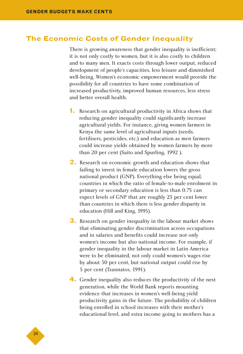### **The Economic Costs of Gender Inequality**

There is growing awareness that gender inequality is inefficient; it is not only costly to women, but it is also costly to children and to many men. It exacts costs through lower output, reduced development of people's capacities, less leisure and diminished well-being. Women's economic empowerment would provide the possibility for all countries to have some combination of increased productivity, improved human resources, less stress and better overall health.

- **1.** Research on agricultural productivity in Africa shows that reducing gender inequality could significantly increase agricultural yields. For instance, giving women farmers in Kenya the same level of agricultural inputs (seeds, fertilisers, pesticides, etc.) and education as men farmers could increase yields obtained by women farmers by more than 20 per cent (Saito and Spurling, 1992 ).
- **2.** Research on economic growth and education shows that failing to invest in female education lowers the gross national product (GNP). Everything else being equal, countries in which the ratio of female-to-male enrolment in primary or secondary education is less than 0.75 can expect levels of GNP that are roughly 25 per cent lower than countries in which there is less gender disparity in education (Hill and King, 1995).
- **3.** Research on gender inequality in the labour market shows that eliminating gender discrimination across occupations and in salaries and benefits could increase not only women's income but also national income. For example, if gender inequality in the labour market in Latin America were to be eliminated, not only could women's wages rise by about 50 per cent, but national output could rise by 5 per cent (Tzannatos, 1991).
- **4.** Gender inequality also reduces the productivity of the next generation, while the World Bank reports mounting evidence that increases in women's well-being yield productivity gains in the future. The probability of children being enrolled in school increases with their mother's educational level, and extra income going to mothers has a

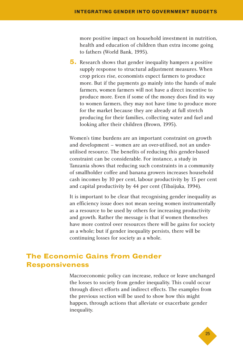more positive impact on household investment in nutrition, health and education of children than extra income going to fathers (World Bank, 1995).

**5.** Research shows that gender inequality hampers a positive supply response to structural adjustment measures. When crop prices rise, economists expect farmers to produce more. But if the payments go mainly into the hands of male farmers, women farmers will not have a direct incentive to produce more. Even if some of the money does find its way to women farmers, they may not have time to produce more for the market because they are already at full stretch producing for their families, collecting water and fuel and looking after their children (Brown, 1995).

Women's time burdens are an important constraint on growth and development – women are an over-utilised, not an underutilised resource. The benefits of reducing this gender-based constraint can be considerable. For instance, a study in Tanzania shows that reducing such constraints in a community of smallholder coffee and banana growers increases household cash incomes by 10 per cent, labour productivity by 15 per cent and capital productivity by 44 per cent (Tibaijuka, 1994).

It is important to be clear that recognising gender inequality as an efficiency issue does not mean seeing women instrumentally as a resource to be used by others for increasing productivity and growth. Rather the message is that if women themselves have more control over resources there will be gains for society as a whole; but if gender inequality persists, there will be continuing losses for society as a whole.

### **The Economic Gains from Gender Responsiveness**

Macroeconomic policy can increase, reduce or leave unchanged the losses to society from gender inequality. This could occur through direct efforts and indirect effects. The examples from the previous section will be used to show how this might happen, through actions that alleviate or exacerbate gender inequality.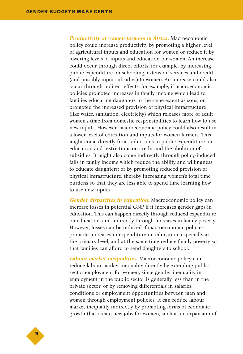**Productivity of women farmers in Africa.** Macroeconomic policy could increase productivity by promoting a higher level of agricultural inputs and education for women or reduce it by lowering levels of inputs and education for women. An increase could occur through direct efforts, for example, by increasing public expenditure on schooling, extension services and credit (and possibly input subsidies) to women. An increase could also occur through indirect effects, for example, if macroeconomic policies promoted increases in family income which lead to families educating daughters to the same extent as sons; or promoted the increased provision of physical infrastructure (like water, sanitation, electricity) which releases more of adult women's time from domestic responsibilities to learn how to use new inputs. However, macroeconomic policy could also result in a lower level of education and inputs for women farmers. This might come directly from reductions in public expenditure on education and restrictions on credit and the abolition of subsidies. It might also come indirectly through policy-induced falls in family income which reduce the ability and willingness to educate daughters; or by promoting reduced provision of physical infrastructure, thereby increasing women's total time burdens so that they are less able to spend time learning how to use new inputs.

**Gender disparities in education.** Macroeconomic policy can increase losses in potential GNP if it increases gender gaps in education. This can happen directly through reduced expenditure on education, and indirectly through increases in family poverty. However, losses can be reduced if macroeconomic policies promote increases in expenditure on education, especially at the primary level, and at the same time reduce family poverty so that families can afford to send daughters to school.

**Labour market inequalities.** Macroeconomic policy can reduce labour market inequality directly by extending public sector employment for women, since gender inequality in employment in the public sector is generally less than in the private sector, or by removing differentials in salaries, conditions or employment opportunities between men and women through employment policies. It can reduce labour market inequality indirectly by promoting forms of economic growth that create new jobs for women, such as an expansion of

◆26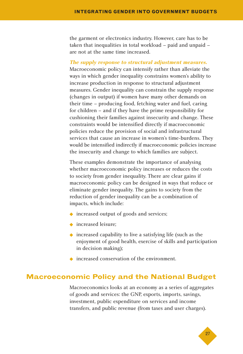the garment or electronics industry. However, care has to be taken that inequalities in total workload – paid and unpaid – are not at the same time increased.

#### **The supply response to structural adjustment measures.**

Macroeconomic policy can intensify rather than alleviate the ways in which gender inequality constrains women's ability to increase production in response to structural adjustment measures. Gender inequality can constrain the supply response (changes in output) if women have many other demands on their time – producing food, fetching water and fuel, caring for children – and if they have the prime responsibility for cushioning their families against insecurity and change. These constraints would be intensified directly if macroeconomic policies reduce the provision of social and infrastructural services that cause an increase in women's time-burdens. They would be intensified indirectly if macroeconomic policies increase the insecurity and change to which families are subject.

These examples demonstrate the importance of analysing whether macroeconomic policy increases or reduces the costs to society from gender inequality. There are clear gains if macroeconomic policy can be designed in ways that reduce or eliminate gender inequality. The gains to society from the reduction of gender inequality can be a combination of impacts, which include:

- ◆ increased output of goods and services;
- ◆ increased leisure:
- ◆ increased capability to live a satisfying life (such as the enjoyment of good health, exercise of skills and participation in decision making);
- ◆ increased conservation of the environment.

### **Macroeconomic Policy and the National Budget**

Macroeconomics looks at an economy as a series of aggregates of goods and services: the GNP, exports, imports, savings, investment, public expenditure on services and income transfers, and public revenue (from taxes and user charges).

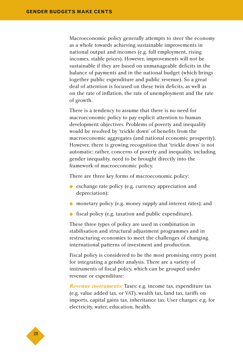Macroeconomic policy generally attempts to steer the economy as a whole towards achieving sustainable improvements in national output and incomes (e.g. full employment, rising incomes, stable prices). However, improvements will not be sustainable if they are based on unmanageable deficits in the balance of payments and in the national budget (which brings together public expenditure and public revenue). So a great deal of attention is focused on these twin deficits, as well as on the rate of inflation, the rate of unemployment and the rate of growth.

There is a tendency to assume that there is no need for macroeconomic policy to pay explicit attention to human development objectives. Problems of poverty and inequality would be resolved by 'trickle down' of benefits from the macroeconomic aggregates (and national economic prosperity). However, there is growing recognition that 'trickle down' is not automatic; rather, concerns of poverty and inequality, including gender inequality, need to be brought directly into the framework of macroeconomic policy.

There are three key forms of macroeconomic policy:

- ◆ exchange rate policy (e.g. currency appreciation and depreciation);
- ◆ monetary policy (e.g. money supply and interest rates); and
- ◆ fiscal policy (e.g. taxation and public expenditure).

These three types of policy are used in combination in stabilisation and structural adjustment programmes and in restructuring economies to meet the challenges of changing international patterns of investment and production.

Fiscal policy is considered to be the most promising entry point for integrating a gender analysis. There are a variety of instruments of fiscal policy, which can be grouped under revenue or expenditure:

**Revenue instruments:** Taxes: e.g. income tax, expenditure tax (e.g. value added tax, or VAT), wealth tax, land tax, tariffs on imports, capital gains tax, inheritance tax. User charges: e.g. for electricity, water, education, health.

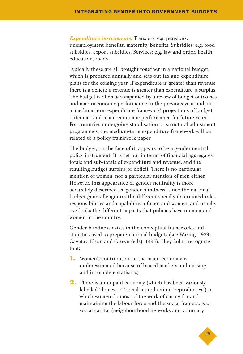**Expenditure instruments:** Transfers: e.g. pensions, unemployment benefits, maternity benefits. Subsidies: e.g. food subsidies, export subsidies. Services: e.g. law and order, health, education, roads.

Typically these are all brought together in a national budget, which is prepared annually and sets out tax and expenditure plans for the coming year. If expenditure is greater than revenue there is a deficit; if revenue is greater than expenditure, a surplus. The budget is often accompanied by a review of budget outcomes and macroeconomic performance in the previous year and, in a 'medium-term expenditure framework', projections of budget outcomes and macroeconomic performance for future years. For countries undergoing stabilisation or structural adjustment programmes, the medium-term expenditure framework will be related to a policy framework paper.

The budget, on the face of it, appears to be a gender-neutral policy instrument. It is set out in terms of financial aggregates: totals and sub-totals of expenditure and revenue, and the resulting budget surplus or deficit. There is no particular mention of women, nor a particular mention of men either. However, this appearance of gender neutrality is more accurately described as 'gender blindness', since the national budget generally ignores the different socially determined roles, responsibilities and capabilities of men and women, and usually overlooks the different impacts that policies have on men and women in the country.

Gender blindness exists in the conceptual frameworks and statistics used to prepare national budgets (see Waring, 1989; Cagatay, Elson and Grown (eds), 1995). They fail to recognise that:

- **1.** Women's contribution to the macroeconomy is underestimated because of biased markets and missing and incomplete statistics;
- **2.** There is an unpaid economy (which has been variously labelled 'domestic', 'social reproduction', 'reproductive') in which women do most of the work of caring for and maintaining the labour force and the social framework or social capital (neighbourhood networks and voluntary

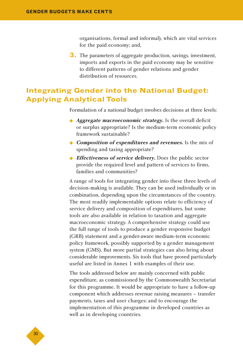organisations, formal and informal), which are vital services for the paid economy; and,

**3.** The parameters of aggregate production, savings, investment, imports and exports in the paid economy may be sensitive to different patterns of gender relations and gender distribution of resources.

### **Integrating Gender into the National Budget: Applying Analytical Tools**

Formulation of a national budget involves decisions at three levels:

- ◆ *Aggregate macroeconomic strategy*. Is the overall deficit or surplus appropriate? Is the medium-term economic policy framework sustainable?
- ◆ **Composition of expenditures and revenues.** Is the mix of spending and taxing appropriate?
- ◆ *Effectiveness of service delivery*. Does the public sector provide the required level and pattern of services to firms, families and communities?

A range of tools for integrating gender into these three levels of decision-making is available. They can be used individually or in combination, depending upon the circumstances of the country. The most readily implementable options relate to efficiency of service delivery and composition of expenditures, but some tools are also available in relation to taxation and aggregate macroeconomic strategy. A comprehensive strategy could use the full range of tools to produce a gender responsive budget (GRB) statement and a gender-aware medium-term economic policy framework, possibly supported by a gender management system (GMS). But more partial strategies can also bring about considerable improvements. Six tools that have proved particularly useful are listed in Annex 1 with examples of their use.

The tools addressed below are mainly concerned with public expenditure, as commissioned by the Commonwealth Secretariat for this programme. It would be appropriate to have a follow-up component which addresses revenue raising measures – transfer payments, taxes and user charges; and to encourage the implementation of this programme in developed countries as well as in developing countries.

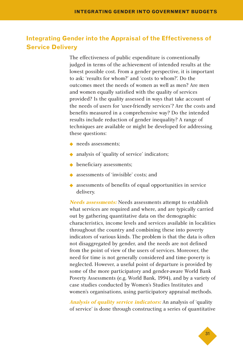### **Integrating Gender into the Appraisal of the Effectiveness of Service Delivery**

The effectiveness of public expenditure is conventionally judged in terms of the achievement of intended results at the lowest possible cost. From a gender perspective, it is important to ask: 'results for whom?' and 'costs to whom?'. Do the outcomes meet the needs of women as well as men? Are men and women equally satisfied with the quality of services provided? Is the quality assessed in ways that take account of the needs of users for 'user-friendly services'? Are the costs and benefits measured in a comprehensive way? Do the intended results include reduction of gender inequality? A range of techniques are available or might be developed for addressing these questions:

- ◆ needs assessments:
- ◆ analysis of 'quality of service' indicators;
- ◆ beneficiary assessments;
- ◆ assessments of 'invisible' costs; and
- ◆ assessments of benefits of equal opportunities in service delivery.

**Needs assessments:** Needs assessments attempt to establish what services are required and where, and are typically carried out by gathering quantitative data on the demographic characteristics, income levels and services available in localities throughout the country and combining these into poverty indicators of various kinds. The problem is that the data is often not disaggregated by gender, and the needs are not defined from the point of view of the users of services. Moreover, the need for time is not generally considered and time-poverty is neglected. However, a useful point of departure is provided by some of the more participatory and gender-aware World Bank Poverty Assessments (e.g. World Bank, 1994), and by a variety of case studies conducted by Women's Studies Institutes and women's organisations, using participatory appraisal methods.

**Analysis of quality service indicators:** An analysis of 'quality of service' is done through constructing a series of quantitative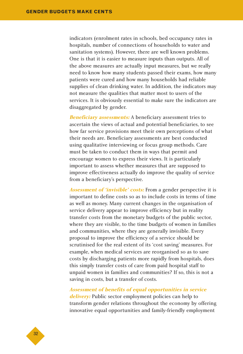indicators (enrolment rates in schools, bed occupancy rates in hospitals, number of connections of households to water and sanitation systems). However, there are well known problems. One is that it is easier to measure inputs than outputs. All of the above measures are actually input measures, but we really need to know how many students passed their exams, how many patients were cured and how many households had reliable supplies of clean drinking water. In addition, the indicators may not measure the qualities that matter most to users of the services. It is obviously essential to make sure the indicators are disaggregated by gender.

**Beneficiary assessments:** A beneficiary assessment tries to ascertain the views of actual and potential beneficiaries, to see how far service provisions meet their own perceptions of what their needs are. Beneficiary assessments are best conducted using qualitative interviewing or focus group methods. Care must be taken to conduct them in ways that permit and encourage women to express their views. It is particularly important to assess whether measures that are supposed to improve effectiveness actually do improve the quality of service from a beneficiary's perspective.

**Assessment of 'invisible' costs:** From a gender perspective it is important to define costs so as to include costs in terms of time as well as money. Many current changes in the organisation of service delivery appear to improve efficiency but in reality transfer costs from the monetary budgets of the public sector, where they are visible, to the time budgets of women in families and communities, where they are generally invisible. Every proposal to improve the efficiency of a service should be scrutinised for the real extent of its 'cost saving' measures. For example, when medical services are reorganised so as to save costs by discharging patients more rapidly from hospitals, does this simply transfer costs of care from paid hospital staff to unpaid women in families and communities? If so, this is not a saving in costs, but a transfer of costs.

**Assessment of benefits of equal opportunities in service delivery:** Public sector employment policies can help to transform gender relations throughout the economy by offering innovative equal opportunities and family-friendly employment

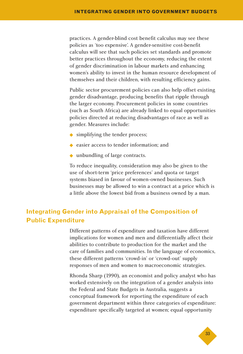practices. A gender-blind cost benefit calculus may see these policies as 'too expensive'. A gender-sensitive cost-benefit calculus will see that such policies set standards and promote better practices throughout the economy, reducing the extent of gender discrimination in labour markets and enhancing women's ability to invest in the human resource development of themselves and their children, with resulting efficiency gains.

Public sector procurement policies can also help offset existing gender disadvantage, producing benefits that ripple through the larger economy. Procurement policies in some countries (such as South Africa) are already linked to equal opportunities policies directed at reducing disadvantages of race as well as gender. Measures include:

- ◆ simplifying the tender process;
- ◆ easier access to tender information: and
- ◆ unbundling of large contracts.

To reduce inequality, consideration may also be given to the use of short-term 'price preferences' and quota or target systems biased in favour of women-owned businesses. Such businesses may be allowed to win a contract at a price which is a little above the lowest bid from a business owned by a man.

### **Integrating Gender into Appraisal of the Composition of Public Expenditure**

Different patterns of expenditure and taxation have different implications for women and men and differentially affect their abilities to contribute to production for the market and the care of families and communities. In the language of economics, these different patterns 'crowd-in' or 'crowd-out' supply responses of men and women to macroeconomic strategies.

Rhonda Sharp (1990), an economist and policy analyst who has worked extensively on the integration of a gender analysis into the Federal and State Budgets in Australia, suggests a conceptual framework for reporting the expenditure of each government department within three categories of expenditure: expenditure specifically targeted at women; equal opportunity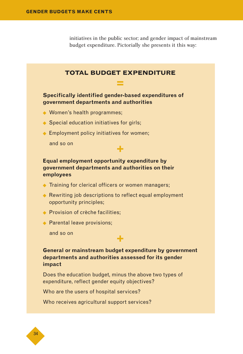initiatives in the public sector; and gender impact of mainstream budget expenditure. Pictorially she presents it this way:

### **TOTAL BUDGET EXPENDITURE = Specifically identified gender-based expenditures of government departments and authorities** ◆ Women's health programmes; ◆ Special education initiatives for girls; ◆ Employment policy initiatives for women; and so on **+ Equal employment opportunity expenditure by government departments and authorities on their employees**

- ◆ Training for clerical officers or women managers;
- ◆ Rewriting job descriptions to reflect equal employment opportunity principles;
- ◆ Provision of crèche facilities:
- ◆ Parental leave provisions;

and so on

#### **General or mainstream budget expenditure by government departments and authorities assessed for its gender impact**

**+**

Does the education budget, minus the above two types of expenditure, reflect gender equity objectives?

Who are the users of hospital services?

Who receives agricultural support services?

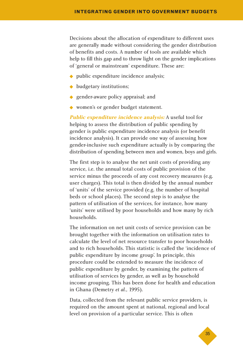Decisions about the allocation of expenditure to different uses are generally made without considering the gender distribution of benefits and costs. A number of tools are available which help to fill this gap and to throw light on the gender implications of 'general or mainstream' expenditure. These are:

- ◆ public expenditure incidence analysis;
- ◆ budgetary institutions;
- ◆ gender-aware policy appraisal; and
- ◆ women's or gender budget statement.

**Public expenditure incidence analysis:** A useful tool for helping to assess the distribution of public spending by gender is public expenditure incidence analysis (or benefit incidence analysis). It can provide one way of assessing how gender-inclusive such expenditure actually is by comparing the distribution of spending between men and women, boys and girls.

The first step is to analyse the net unit costs of providing any service, i.e. the annual total costs of public provision of the service minus the proceeds of any cost recovery measures (e.g. user charges). This total is then divided by the annual number of 'units' of the service provided (e.g. the number of hospital beds or school places). The second step is to analyse the pattern of utilisation of the services, for instance, how many 'units' were utilised by poor households and how many by rich households.

The information on net unit costs of service provision can be brought together with the information on utilisation rates to calculate the level of net resource transfer to poor households and to rich households. This statistic is called the 'incidence of public expenditure by income group'. In principle, this procedure could be extended to measure the incidence of public expenditure by gender, by examining the pattern of utilisation of services by gender, as well as by household income grouping. This has been done for health and education in Ghana (Demetry *et al.*, 1995).

Data, collected from the relevant public service providers, is required on the amount spent at national, regional and local level on provision of a particular service. This is often

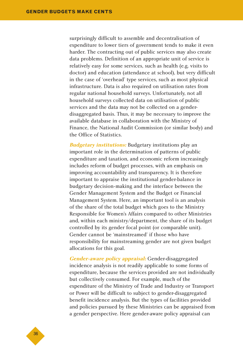surprisingly difficult to assemble and decentralisation of expenditure to lower tiers of government tends to make it even harder. The contracting out of public services may also create data problems. Definition of an appropriate unit of service is relatively easy for some services, such as health (e.g. visits to doctor) and education (attendance at school), but very difficult in the case of 'overhead' type services, such as most physical infrastructure. Data is also required on utilisation rates from regular national household surveys. Unfortunately, not all household surveys collected data on utilisation of public services and the data may not be collected on a genderdisaggregated basis. Thus, it may be necessary to improve the available database in collaboration with the Ministry of Finance, the National Audit Commission (or similar body) and the Office of Statistics.

**Budgetary institutions:** Budgetary institutions play an important role in the determination of patterns of public expenditure and taxation, and economic reform increasingly includes reform of budget processes, with an emphasis on improving accountability and transparency. It is therefore important to appraise the institutional gender-balance in budgetary decision-making and the interface between the Gender Management System and the Budget or Financial Management System. Here, an important tool is an analysis of the share of the total budget which goes to the Ministry Responsible for Women's Affairs compared to other Ministries and, within each ministry/department, the share of its budget controlled by its gender focal point (or comparable unit). Gender cannot be 'mainstreamed' if those who have responsibility for mainstreaming gender are not given budget allocations for this goal.

**Gender-aware policy appraisal:** Gender-disaggregated incidence analysis is not readily applicable to some forms of expenditure, because the services provided are not individually but collectively consumed. For example, much of the expenditure of the Ministry of Trade and Industry or Transport or Power will be difficult to subject to gender-disaggregated benefit incidence analysis. But the types of facilities provided and policies pursued by these Ministries can be appraised from a gender perspective. Here gender-aware policy appraisal can

◆36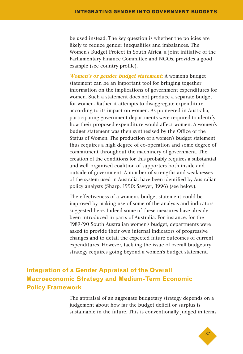be used instead. The key question is whether the policies are likely to reduce gender inequalities and imbalances. The Women's Budget Project in South Africa, a joint initiative of the Parliamentary Finance Committee and NGOs, provides a good example (see country profile).

**Women's or gender budget statement:** A women's budget statement can be an important tool for bringing together information on the implications of government expenditures for women. Such a statement does not produce a separate budget for women. Rather it attempts to disaggregate expenditure according to its impact on women. As pioneered in Australia, participating government departments were required to identify how their proposed expenditure would affect women. A women's budget statement was then synthesised by the Office of the Status of Women. The production of a women's budget statement thus requires a high degree of co-operation and some degree of commitment throughout the machinery of government. The creation of the conditions for this probably requires a substantial and well-organised coalition of supporters both inside and outside of government. A number of strengths and weaknesses of the system used in Australia, have been identified by Australian policy analysts (Sharp, 1990; Sawyer, 1996) (see below).

The effectiveness of a women's budget statement could be improved by making use of some of the analysis and indicators suggested here. Indeed some of these measures have already been introduced in parts of Australia. For instance, for the 1989/90 South Australian women's budget, departments were asked to provide their own internal indicators of progressive changes and to detail the expected future outcomes of current expenditures. However, tackling the issue of overall budgetary strategy requires going beyond a women's budget statement.

# **Integration of a Gender Appraisal of the Overall Macroeconomic Strategy and Medium-Term Economic Policy Framework**

The appraisal of an aggregate budgetary strategy depends on a judgement about how far the budget deficit or surplus is sustainable in the future. This is conventionally judged in terms

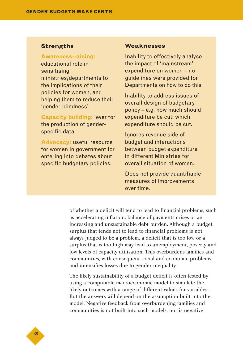#### **Strengths**

**Awareness-raising:** educational role in sensitising ministries/departments to the implications of their policies for women, and helping them to reduce their 'gender-blindness'.

**Capacity building:** lever for the production of genderspecific data.

**Advocacy:** useful resource for women in government for entering into debates about specific budgetary policies.

#### **Weaknesses**

Inability to effectively analyse the impact of 'mainstream' expenditure on women – no guidelines were provided for Departments on how to do this.

Inability to address issues of overall design of budgetary policy – e.g. how much should expenditure be cut; which expenditure should be cut.

Ignores revenue side of budget and interactions between budget expenditure in different Ministries for overall situation of women.

Does not provide quantifiable measures of improvements over time.

of whether a deficit will tend to lead to financial problems, such as accelerating inflation, balance of payments crises or an increasing and unsustainable debt burden. Although a budget surplus that tends not to lead to financial problems is not always judged to be a problem, a deficit that is too low or a surplus that is too high may lead to unemployment, poverty and low levels of capacity utilisation. This overburdens families and communities, with consequent social and economic problems, and intensifies losses due to gender inequality.

The likely sustainability of a budget deficit is often tested by using a computable macroeconomic model to simulate the likely outcomes with a range of different values for variables. But the answers will depend on the assumption built into the model. Negative feedback from overburdening families and communities is not built into such models, nor is negative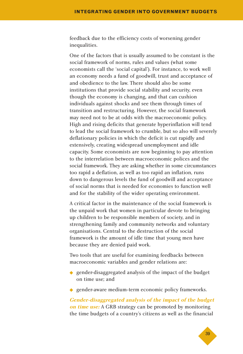feedback due to the efficiency costs of worsening gender inequalities.

One of the factors that is usually assumed to be constant is the social framework of norms, rules and values (what some economists call the 'social capital'). For instance, to work well an economy needs a fund of goodwill, trust and acceptance of and obedience to the law. There should also be some institutions that provide social stability and security, even though the economy is changing, and that can cushion individuals against shocks and see them through times of transition and restructuring. However, the social framework may need not to be at odds with the macroeconomic policy. High and rising deficits that generate hyperinflation will tend to lead the social framework to crumble, but so also will severely deflationary policies in which the deficit is cut rapidly and extensively, creating widespread unemployment and idle capacity. Some economists are now beginning to pay attention to the interrelation between macroeconomic polices and the social framework. They are asking whether in some circumstances too rapid a deflation, as well as too rapid an inflation, runs down to dangerous levels the fund of goodwill and acceptance of social norms that is needed for economies to function well and for the stability of the wider operating environment.

A critical factor in the maintenance of the social framework is the unpaid work that women in particular devote to bringing up children to be responsible members of society, and in strengthening family and community networks and voluntary organisations. Central to the destruction of the social framework is the amount of idle time that young men have because they are denied paid work.

Two tools that are useful for examining feedbacks between macroeconomic variables and gender relations are:

- ◆ gender-disaggregated analysis of the impact of the budget on time use; and
- ◆ gender-aware medium-term economic policy frameworks.

**Gender-disaggregated analysis of the impact of the budget on time use:** A GRB strategy can be promoted by monitoring the time budgets of a country's citizens as well as the financial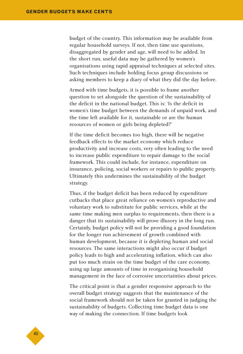budget of the country. This information may be available from regular household surveys. If not, then time use questions, disaggregated by gender and age, will need to be added. In the short run, useful data may be gathered by women's organisations using rapid appraisal techniques at selected sites. Such techniques include holding focus group discussions or asking members to keep a diary of what they did the day before.

Armed with time budgets, it is possible to frame another question to set alongside the question of the sustainability of the deficit in the national budget. This is: 'Is the deficit in women's time budget between the demands of unpaid work, and the time left available for it, sustainable or are the human resources of women or girls being depleted?'

If the time deficit becomes too high, there will be negative feedback effects to the market economy which reduce productivity and increase costs, very often leading to the need to increase public expenditure to repair damage to the social framework. This could include, for instance, expenditure on insurance, policing, social workers or repairs to public property. Ultimately this undermines the sustainability of the budget strategy.

Thus, if the budget deficit has been reduced by expenditure cutbacks that place great reliance on women's reproductive and voluntary work to substitute for public services, while at the same time making men surplus to requirements, then there is a danger that its sustainability will prove illusory in the long run. Certainly, budget policy will not be providing a good foundation for the longer run achievement of growth combined with human development, because it is depleting human and social resources. The same interactions might also occur if budget policy leads to high and accelerating inflation, which can also put too much strain on the time budget of the care economy, using up large amounts of time in reorganising household management in the face of corrosive uncertainties about prices.

The critical point is that a gender responsive approach to the overall budget strategy suggests that the maintenance of the social framework should not be taken for granted in judging the sustainability of budgets. Collecting time budget data is one way of making the connection. If time budgets look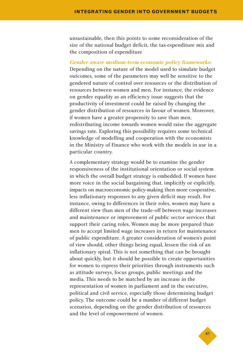unsustainable, then this points to some reconsideration of the size of the national budget deficit, the tax-expenditure mix and the composition of expenditure

#### **Gender-aware medium-term economic policy frameworks:**

Depending on the nature of the model used to simulate budget outcomes, some of the parameters may well be sensitive to the gendered nature of control over resources or the distribution of resources between women and men. For instance, the evidence on gender equality as an efficiency issue suggests that the productivity of investment could be raised by changing the gender distribution of resources in favour of women. Moreover, if women have a greater propensity to save than men, redistributing income towards women would raise the aggregate savings rate. Exploring this possibility requires some technical knowledge of modelling and cooperation with the economists in the Ministry of Finance who work with the models in use in a particular country.

A complementary strategy would be to examine the gender responsiveness of the institutional orientation or social system in which the overall budget strategy is embedded. If women have more voice in the social bargaining that, implicitly or explicitly, impacts on macroeconomic policy-making then more cooperative, less inflationary responses to any given deficit may result. For instance, owing to differences in their roles, women may have a different view than men of the trade-off between wage increases and maintenance or improvement of public sector services that support their caring roles. Women may be more prepared than men to accept limited wage increases in return for maintenance of public expenditure. A greater consideration of women's point of view should, other things being equal, lessen the risk of an inflationary spiral. This is not something that can be brought about quickly, but it should be possible to create opportunities for women to express their priorities through instruments such as attitude surveys, focus groups, public meetings and the media. This needs to be matched by an increase in the representation of women in parliament and in the executive, political and civil service, especially those determining budget policy. The outcome could be a number of different budget scenarios, depending on the gender distribution of resources and the level of empowerment of women.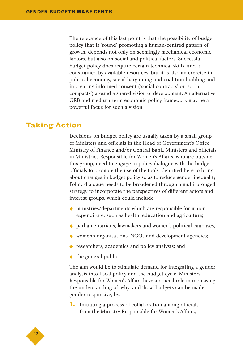The relevance of this last point is that the possibility of budget policy that is 'sound', promoting a human-centred pattern of growth, depends not only on seemingly mechanical economic factors, but also on social and political factors. Successful budget policy does require certain technical skills, and is constrained by available resources, but it is also an exercise in political economy, social bargaining and coalition building and in creating informed consent ('social contracts' or 'social compacts') around a shared vision of development. An alternative GRB and medium-term economic policy framework may be a powerful focus for such a vision.

### **Taking Action**

Decisions on budget policy are usually taken by a small group of Ministers and officials in the Head of Government's Office, Ministry of Finance and/or Central Bank. Ministers and officials in Ministries Responsible for Women's Affairs, who are outside this group, need to engage in policy dialogue with the budget officials to promote the use of the tools identified here to bring about changes in budget policy so as to reduce gender inequality. Policy dialogue needs to be broadened through a multi-pronged strategy to incorporate the perspectives of different actors and interest groups, which could include:

- ◆ ministries/departments which are responsible for major expenditure, such as health, education and agriculture;
- ◆ parliamentarians, lawmakers and women's political caucuses;
- ◆ women's organisations, NGOs and development agencies;
- ◆ researchers, academics and policy analysts; and
- ◆ the general public.

The aim would be to stimulate demand for integrating a gender analysis into fiscal policy and the budget cycle. Ministers Responsible for Women's Affairs have a crucial role in increasing the understanding of 'why' and 'how' budgets can be made gender responsive, by:

**1.** Initiating a process of collaboration among officials from the Ministry Responsible for Women's Affairs,

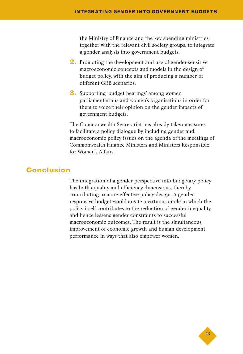the Ministry of Finance and the key spending ministries, together with the relevant civil society groups, to integrate a gender analysis into government budgets.

- **2.** Promoting the development and use of gender-sensitive macroeconomic concepts and models in the design of budget policy, with the aim of producing a number of different GRB scenarios.
- **3.** Supporting 'budget hearings' among women parliamentarians and women's organisations in order for them to voice their opinion on the gender impacts of government budgets.

The Commonwealth Secretariat has already taken measures to facilitate a policy dialogue by including gender and macroeconomic policy issues on the agenda of the meetings of Commonwealth Finance Ministers and Ministers Responsible for Women's Affairs.

## **Conclusion**

The integration of a gender perspective into budgetary policy has both equality and efficiency dimensions, thereby contributing to more effective policy design. A gender responsive budget would create a virtuous circle in which the policy itself contributes to the reduction of gender inequality, and hence lessens gender constraints to successful macroeconomic outcomes. The result is the simultaneous improvement of economic growth and human development performance in ways that also empower women.

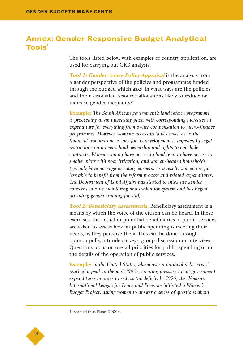# **Annex: Gender Responsive Budget Analytical Tools<sup>1</sup>**

The tools listed below, with examples of country application, are used for carrying out GRB analysis:

**Tool 1: Gender-Aware Policy Appraisal** is the analysis from a gender perspective of the policies and programmes funded through the budget, which asks 'in what ways are the policies and their associated resource allocations likely to reduce or increase gender inequality?'

**Example:** *The South African government's land reform programme is proceeding at an increasing pace, with corresponding increases in expenditure for everything from owner compensation to micro-finance programmes. However, women's access to land as well as to the financial resources necessary for its development is impeded by legal restrictions on women's land ownership and rights to conclude contracts. Women who do have access to land tend to have access to smaller plots with poor irrigation, and women-headed households typically have no wage or salary earners. As a result, women are far less able to benefit from the reform process and related expenditures. The Department of Land Affairs has started to integrate gender concerns into its monitoring and evaluation system and has begun providing gender training for staff.*

**Tool 2: Beneficiary Assessments.** Beneficiary assessment is a means by which the voice of the citizen can be heard. In these exercises, the actual or potential beneficiaries of public services are asked to assess how far public spending is meeting their needs, as they perceive them. This can be done through opinion polls, attitude surveys, group discussion or interviews. Questions focus on overall priorities for public spending or on the details of the operation of public services.

**Example:** *In the United States, alarm over a national debt 'crisis' reached a peak in the mid-1990s, creating pressure to cut government expenditures in order to reduce the deficit. In 1996, the Women's International League for Peace and Freedom initiated a Women's Budget Project, asking women to answer a series of questions about*



<sup>1</sup> Adapted from Elson, 2000b.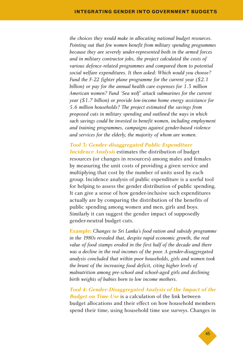*the choices they would make in allocating national budget resources. Pointing out that few women benefit from military spending programmes because they are severely under-represented both in the armed forces and in military contractor jobs, the project calculated the costs of various defence-related programmes and compared them to potential social welfare expenditures. It then asked: Which would you choose? Fund the F-22 fighter plane programme for the current year (\$2.1 billion) or pay for the annual health care expenses for 1.3 million American women? Fund 'Sea wolf' attack submarines for the current year (\$1.7 billion) or provide low-income home energy assistance for 5.6 million households? The project estimated the savings from proposed cuts in military spending and outlined the ways in which such savings could be invested to benefit women, including employment and training programmes, campaigns against gender-based violence and services for the elderly, the majority of whom are women.*

**Tool 3: Gender-disaggregated Public Expenditure Incidence Analysis** estimates the distribution of budget resources (or changes in resources) among males and females by measuring the unit costs of providing a given service and multiplying that cost by the number of units used by each group. Incidence analysis of public expenditure is a useful tool for helping to assess the gender distribution of public spending. It can give a sense of how gender-inclusive such expenditures actually are by comparing the distribution of the benefits of public spending among women and men, girls and boys. Similarly it can suggest the gender impact of supposedly gender-neutral budget cuts.

**Example:** *Changes to Sri Lanka's food ration and subsidy programme in the 1980s revealed that, despite rapid economic growth, the real value of food stamps eroded in the first half of the decade and there was a decline in the real incomes of the poor. A gender-disaggregated analysis concluded that within poor households, girls and women took the brunt of the increasing food deficit, citing higher levels of malnutrition among pre-school and school-aged girls and declining birth weights of babies born to low income mothers.*

**Tool 4: Gender-Disaggregated Analysis of the Impact of the Budget on Time Use** is a calculation of the link between budget allocations and their effect on how household members spend their time, using household time use surveys. Changes in

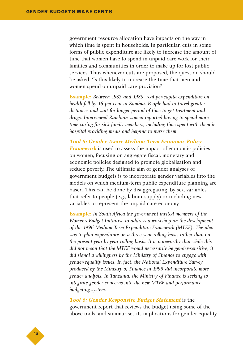government resource allocation have impacts on the way in which time is spent in households. In particular, cuts in some forms of public expenditure are likely to increase the amount of time that women have to spend in unpaid care work for their families and communities in order to make up for lost public services. Thus whenever cuts are proposed, the question should be asked: 'Is this likely to increase the time that men and women spend on unpaid care provision?'

**Example:** *Between 1983 and 1985, real per-capita expenditure on health fell by 16 per cent in Zambia. People had to travel greater distances and wait for longer period of time to get treatment and drugs. Interviewed Zambian women reported having to spend more time caring for sick family members, including time spent with them in hospital providing meals and helping to nurse them.*

**Tool 5: Gender-Aware Medium-Term Economic Policy Framework** is used to assess the impact of economic policies on women, focusing on aggregate fiscal, monetary and economic policies designed to promote globalisation and reduce poverty. The ultimate aim of gender analyses of government budgets is to incorporate gender variables into the models on which medium-term public expenditure planning are based. This can be done by disaggregating, by sex, variables that refer to people (e.g., labour supply) or including new variables to represent the unpaid care economy.

**Example:** *In South Africa the government invited members of the Women's Budget Initiative to address a workshop on the development of the 1996 Medium Term Expenditure Framework (MTEF). The idea was to plan expenditure on a three-year rolling basis rather than on the present year-by-year rolling basis. It is noteworthy that while this did not mean that the MTEF would necessarily be gender-sensitive, it did signal a willingness by the Ministry of Finance to engage with gender-equality issues. In fact, the National Expenditure Survey produced by the Ministry of Finance in 1999 did incorporate more gender analysis. In Tanzania, the Ministry of Finance is seeking to integrate gender concerns into the new MTEF and performance budgeting system.*

**Tool 6: Gender Responsive Budget Statement** is the government report that reviews the budget using some of the above tools, and summarises its implications for gender equality

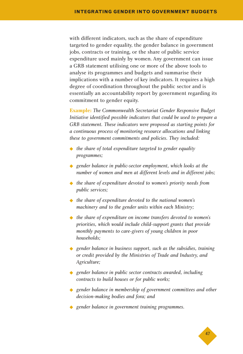with different indicators, such as the share of expenditure targeted to gender equality, the gender balance in government jobs, contracts or training, or the share of public service expenditure used mainly by women. Any government can issue a GRB statement utilising one or more of the above tools to analyse its programmes and budgets and summarise their implications with a number of key indicators. It requires a high degree of coordination throughout the public sector and is essentially an accountability report by government regarding its commitment to gender equity.

**Example:** *The Commonwealth Secretariat Gender Responsive Budget Initiative identified possible indicators that could be used to prepare a GRB statement. These indicators were proposed as starting points for a continuous process of monitoring resource allocations and linking these to government commitments and policies. They included:*

- ◆ *the share of total expenditure targeted to gender equality programmes;*
- ◆ *gender balance in public-sector employment, which looks at the number of women and men at different levels and in different jobs;*
- ◆ *the share of expenditure devoted to women's priority needs from public services;*
- ◆ *the share of expenditure devoted to the national women's machinery and to the gender units within each Ministry;*
- ◆ *the share of expenditure on income transfers devoted to women's priorities, which would include child-support grants that provide monthly payments to care-givers of young children in poor households;*
- ◆ *gender balance in business support, such as the subsidies, training or credit provided by the Ministries of Trade and Industry, and Agriculture;*
- ◆ *gender balance in public sector contracts awarded, including contracts to build houses or for public works;*
- ◆ *gender balance in membership of government committees and other decision-making bodies and fora; and*
- ◆ *gender balance in government training programmes.*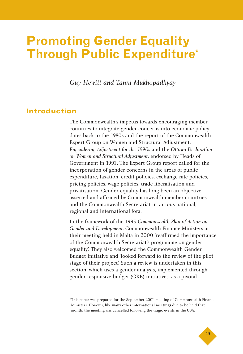# **Promoting Gender Equality Through Public Expenditure\***

*Guy Hewitt and Tanni Mukhopadhyay*

# **Introduction**

The Commonwealth's impetus towards encouraging member countries to integrate gender concerns into economic policy dates back to the 1980s and the report of the Commonwealth Expert Group on Women and Structural Adjustment, *Engendering Adjustment for the 1990s* and the *Ottawa Declaration on Women and Structural Adjustment*, endorsed by Heads of Government in 1991. The Expert Group report called for the incorporation of gender concerns in the areas of public expenditure, taxation, credit policies, exchange rate policies, pricing policies, wage policies, trade liberalisation and privatisation. Gender equality has long been an objective asserted and affirmed by Commonwealth member countries and the Commonwealth Secretariat in various national, regional and international fora.

In the framework of the 1995 *Commonwealth Plan of Action on Gender and Development*, Commonwealth Finance Ministers at their meeting held in Malta in 2000 'reaffirmed the importance of the Commonwealth Secretariat's programme on gender equality'. They also welcomed the Commonwealth Gender Budget Initiative and 'looked forward to the review of the pilot stage of their project'. Such a review is undertaken in this section, which uses a gender analysis, implemented through gender responsive budget (GRB) initiatives, as a pivotal

<sup>\*</sup>This paper was prepared for the September 2001 meeting of Commonwealth Finance Ministers. However, like many other international meetings due to be held that month, the meeting was cancelled following the tragic events in the USA.

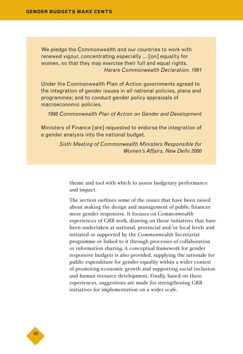We pledge the Commonwealth and our countries to work with renewed vigour, concentrating especially … [on] equality for women, so that they may exercise their full and equal rights. *Harare Commonwealth Declaration, 1991*

Under the Commonwealth Plan of Action governments agreed to the integration of gender issues in all national policies, plans and programmes; and to conduct gender policy appraisals of macroeconomic policies.

*1995 Commonwealth Plan of Action on Gender and Development*

Ministers of Finance [are] requested to endorse the integration of a gender analysis into the national budget.

> *Sixth Meeting of Commonwealth Ministers Responsible for Women's Affairs, New Delhi 2000*

theme and tool with which to assess budgetary performance and impact.

The section outlines some of the issues that have been raised about making the design and management of public finances more gender responsive. It focuses on Commonwealth experiences of GRB work, drawing on those initiatives that have been undertaken at national, provincial and/or local levels and initiated or supported by the Commonwealth Secretariat programme or linked to it through processes of collaboration or information sharing. A conceptual framework for gender responsive budgets is also provided, supplying the rationale for public expenditure for gender equality within a wider context of promoting economic growth and supporting social inclusion and human resource development. Finally, based on these experiences, suggestions are made for strengthening GRB initiatives for implementation on a wider scale.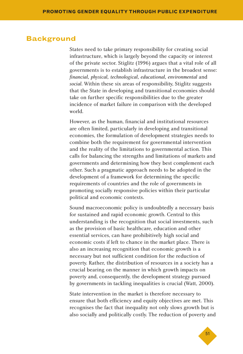### **Background**

States need to take primary responsibility for creating social infrastructure, which is largely beyond the capacity or interest of the private sector. Stiglitz (1996) argues that a vital role of all governments is to establish infrastructure in the broadest sense: *financial, physical, technological, educational, environmental* and *social*. Within these six areas of responsibility, Stiglitz suggests that the State in developing and transitional economies should take on further specific responsibilities due to the greater incidence of market failure in comparison with the developed world.

However, as the human, financial and institutional resources are often limited, particularly in developing and transitional economies, the formulation of development strategies needs to combine both the requirement for governmental intervention and the reality of the limitations to governmental action. This calls for balancing the strengths and limitations of markets and governments and determining how they best complement each other. Such a pragmatic approach needs to be adopted in the development of a framework for determining the specific requirements of countries and the role of governments in promoting socially responsive policies within their particular political and economic contexts.

Sound macroeconomic policy is undoubtedly a necessary basis for sustained and rapid economic growth. Central to this understanding is the recognition that social investments, such as the provision of basic healthcare, education and other essential services, can have prohibitively high social and economic costs if left to chance in the market place. There is also an increasing recognition that economic growth is a necessary but not sufficient condition for the reduction of poverty. Rather, the distribution of resources in a society has a crucial bearing on the manner in which growth impacts on poverty and, consequently, the development strategy pursued by governments in tackling inequalities is crucial (Watt, 2000).

State intervention in the market is therefore necessary to ensure that both efficiency and equity objectives are met. This recognises the fact that inequality not only slows growth but is also socially and politically costly. The reduction of poverty and

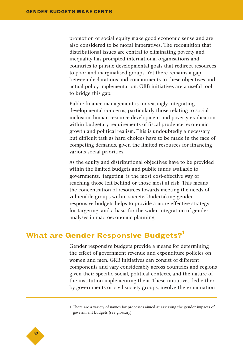promotion of social equity make good economic sense and are also considered to be moral imperatives. The recognition that distributional issues are central to eliminating poverty and inequality has prompted international organisations and countries to pursue developmental goals that redirect resources to poor and marginalised groups. Yet there remains a gap between declarations and commitments to these objectives and actual policy implementation. GRB initiatives are a useful tool to bridge this gap.

Public finance management is increasingly integrating developmental concerns, particularly those relating to social inclusion, human resource development and poverty eradication, within budgetary requirements of fiscal prudence, economic growth and political realism. This is undoubtedly a necessary but difficult task as hard choices have to be made in the face of competing demands, given the limited resources for financing various social priorities.

As the equity and distributional objectives have to be provided within the limited budgets and public funds available to governments, 'targeting' is the most cost-effective way of reaching those left behind or those most at risk. This means the concentration of resources towards meeting the needs of vulnerable groups within society. Undertaking gender responsive budgets helps to provide a more effective strategy for targeting, and a basis for the wider integration of gender analyses in macroeconomic planning.

# **What are Gender Responsive Budgets?<sup>1</sup>**

Gender responsive budgets provide a means for determining the effect of government revenue and expenditure policies on women and men. GRB initiatives can consist of different components and vary considerably across countries and regions given their specific social, political contexts, and the nature of the institution implementing them. These initiatives, led either by governments or civil society groups, involve the examination

1 There are a variety of names for processes aimed at assessing the gender impacts of government budgets (see glossary).

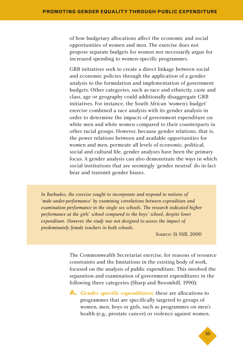of how budgetary allocations affect the economic and social opportunities of women and men. The exercise does not propose separate budgets for women nor necessarily argue for increased spending to women-specific programmes.

GRB initiatives seek to create a direct linkage between social and economic policies through the application of a gender analysis to the formulation and implementation of government budgets. Other categories, such as race and ethnicity, caste and class, age or geography could additionally disaggregate GRB initiatives. For instance, the South African 'women's budget' exercise combined a race analysis with its gender analysis in order to determine the impacts of government expenditure on white men and white women compared to their counterparts in other racial groups. However, because gender relations, that is, the power relations between and available opportunities for women and men, permeate all levels of economic, political, social and cultural life, gender analyses have been the primary focus. A gender analysis can also demonstrate the ways in which social institutions that are seemingly 'gender neutral' do in fact bear and transmit gender biases.

*In Barbados, the exercise sought to incorporate and respond to notions of 'male under-performance' by examining correlations between expenditure and examination performance in the single sex schools. The research indicated higher performance at the girls' school compared to the boys' school, despite lower expenditure. However, the study was not designed to assess the impact of predominately female teachers in both schools.*

Source: St Hill, 2000

The Commonwealth Secretariat exercise, for reasons of resource constraints and the limitations in the existing body of work, focused on the analysis of public expenditure. This involved the separation and examination of government expenditures in the following three categories (Sharp and Broomhill, 1990):

**A. Gender specific expenditures:** these are allocations to programmes that are specifically targeted to groups of women, men, boys or girls, such as programmes on men's health (e.g., prostate cancer) or violence against women.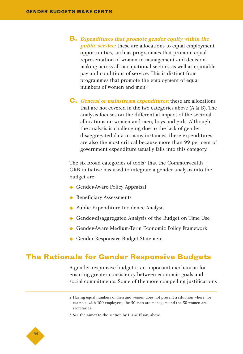- **B. Expenditures that promote gender equity within the public service:** these are allocations to equal employment opportunities, such as programmes that promote equal representation of women in management and decisionmaking across all occupational sectors, as well as equitable pay and conditions of service. This is distinct from programmes that promote the employment of equal numbers of women and men.<sup>2</sup>
- **C. General or mainstream expenditures:** these are allocations that are not covered in the two categories above (A & B). The analysis focuses on the differential impact of the sectoral allocations on women and men, boys and girls. Although the analysis is challenging due to the lack of genderdisaggregated data in many instances, these expenditures are also the most critical because more than 99 per cent of government expenditure usually falls into this category.

The six broad categories of tools<sup>3</sup> that the Commonwealth GRB initiative has used to integrate a gender analysis into the budget are:

- ◆ Gender-Aware Policy Appraisal
- ◆ Beneficiary Assessments
- ◆ Public Expenditure Incidence Analysis
- ◆ Gender-disaggregated Analysis of the Budget on Time Use
- ◆ Gender-Aware Medium-Term Economic Policy Framework
- ◆ Gender Responsive Budget Statement

# **The Rationale for Gender Responsive Budgets**

A gender responsive budget is an important mechanism for ensuring greater consistency between economic goals and social commitments. Some of the more compelling justifications

3 See the Annex to the section by Diane Elson, above.



<sup>2</sup> Having equal numbers of men and women does not prevent a situation where, for example, with 100 employees, the 50 men are managers and the 50 women are secretaries.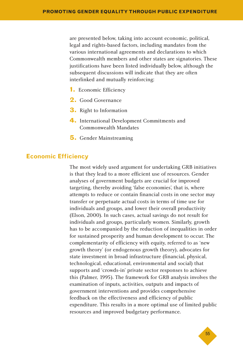are presented below, taking into account economic, political, legal and rights-based factors, including mandates from the various international agreements and declarations to which Commonwealth members and other states are signatories. These justifications have been listed individually below, although the subsequent discussions will indicate that they are often interlinked and mutually reinforcing:

- **1.** Economic Efficiency
- **2.** Good Governance
- **3.** Right to Information
- **4.** International Development Commitments and Commonwealth Mandates
- **5.** Gender Mainstreaming

#### **Economic Efficiency**

The most widely used argument for undertaking GRB initiatives is that they lead to a more efficient use of resources. Gender analyses of government budgets are crucial for improved targeting, thereby avoiding 'false economies', that is, where attempts to reduce or contain financial costs in one sector may transfer or perpetuate actual costs in terms of time use for individuals and groups, and lower their overall productivity (Elson, 2000). In such cases, actual savings do not result for individuals and groups, particularly women. Similarly, growth has to be accompanied by the reduction of inequalities in order for sustained prosperity and human development to occur. The complementarity of efficiency with equity, referred to as 'new growth theory' (or endogenous growth theory), advocates for state investment in broad infrastructure (financial, physical, technological, educational, environmental and social) that supports and 'crowds-in' private sector responses to achieve this (Palmer, 1995). The framework for GRB analysis involves the examination of inputs, activities, outputs and impacts of government interventions and provides comprehensive feedback on the effectiveness and efficiency of public expenditure. This results in a more optimal use of limited public resources and improved budgetary performance.

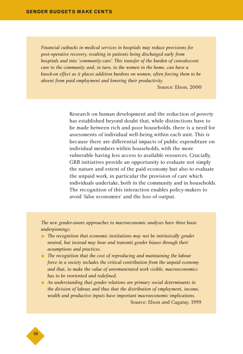*Financial cutbacks in medical services in hospitals may reduce provisions for post-operative recovery, resulting in patients being discharged early from hospitals and into 'community-care'. This transfer of the burden of convalescent care to the community and, in turn, to the women in the home, can have a knock-on effect as it places addition burdens on women, often forcing them to be absent from paid employment and lowering their productivity.* 

Source: Elson, 2000

Research on human development and the reduction of poverty has established beyond doubt that, while distinctions have to be made between rich and poor households, there is a need for assessments of individual well-being within each unit. This is because there are differential impacts of public expenditure on individual members within households, with the more vulnerable having less access to available resources. Crucially, GRB initiatives provide an opportunity to evaluate not simply the nature and extent of the paid economy but also to evaluate the unpaid work, in particular the provision of care which individuals undertake, both in the community and in households. The recognition of this interaction enables policy-makers to avoid 'false economies' and the loss of output.

*The new gender-aware approaches to macroeconomic analyses have three basic underpinnings:*

- ◆ *The recognition that economic institutions may not be intrinsically gender neutral, but instead may bear and transmit gender biases through their assumptions and practices.*
- ◆ *The recognition that the cost of reproducing and maintaining the labour force in a society includes the critical contribution from the unpaid economy and that, to make the value of unremunerated work visible, macroeconomics has to be reoriented and redefined.*
- ◆ *An understanding that gender relations are primary social determinants in the division of labour, and thus that the distribution of employment, income, wealth and productive inputs have important macroeconomic implications.* Source: Elson and Cagatay, 1999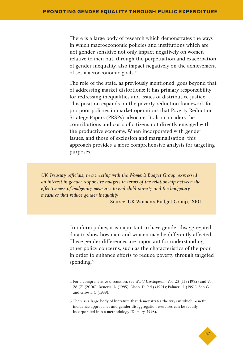There is a large body of research which demonstrates the ways in which macroeconomic policies and institutions which are not gender sensitive not only impact negatively on women relative to men but, through the perpetuation and exacerbation of gender inequality, also impact negatively on the achievement of set macroeconomic goals.<sup>4</sup>

The role of the state, as previously mentioned, goes beyond that of addressing market distortions: It has primary responsibility for redressing inequalities and issues of distributive justice. This position expands on the poverty-reduction framework for pro-poor policies in market operations that Poverty Reduction Strategy Papers (PRSPs) advocate. It also considers the contributions and costs of citizens not directly engaged with the productive economy. When incorporated with gender issues, and those of exclusion and marginalisation, this approach provides a more comprehensive analysis for targeting purposes.

*UK Treasury officials, in a meeting with the Women's Budget Group, expressed an interest in gender responsive budgets in terms of the relationship between the effectiveness of budgetary measures to end child poverty and the budgetary measures that reduce gender inequality.*

Source: UK Women's Budget Group, 2001

To inform policy, it is important to have gender-disaggregated data to show how men and women may be differently affected. These gender differences are important for understanding other policy concerns, such as the characteristics of the poor, in order to enhance efforts to reduce poverty through targeted spending.<sup>5</sup>

<sup>5</sup> There is a large body of literature that demonstrates the ways in which benefit incidence approaches and gender disaggregation exercises can be readily incorporated into a methodology (Demery, 1998).



<sup>4</sup> For a comprehensive discussion, see *World Development*, Vol. 23 (11) (1995) and Vol. 28 (7) (2000); Beneria, L. (1995); Elson, D. (ed.) (1991); Palmer , I. (1991); Sen G. and Grown, C (1988).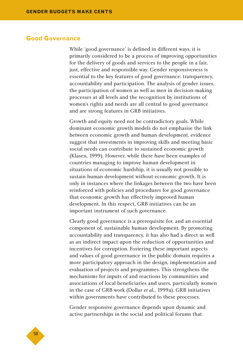#### **Good Governance**

While 'good governance' is defined in different ways, it is primarily considered to be a process of improving opportunities for the delivery of goods and services to the people in a fair, just, effective and responsible way. Gender responsiveness is essential to the key features of good governance: transparency, accountability and participation. The analysis of gender issues, the participation of women as well as men in decision-making processes at all levels and the recognition by institutions of women's rights and needs are all central to good governance and are strong features in GRB initiatives.

Growth and equity need not be contradictory goals. While dominant economic growth models do not emphasise the link between economic growth and human development, evidence suggest that investments in improving skills and meeting basic social needs can contribute to sustained economic growth (Klasen, 1999). However, while there have been examples of countries managing to improve human development in situations of economic hardship, it is usually not possible to sustain human development without economic growth. It is only in instances where the linkages between the two have been reinforced with policies and procedures for good governance that economic growth has effectively improved human development. In this respect, GRB initiatives can be an important instrument of such governance.

Clearly good governance is a prerequisite for, and an essential component of, sustainable human development. By promoting accountability and transparency, it has also had a direct as well as an indirect impact upon the reduction of opportunities and incentives for corruption. Fostering these important aspects and values of good governance in the public domain requires a more participatory approach in the design, implementation and evaluation of projects and programmes. This strengthens the mechanisms for inputs of and reactions by communities and associations of local beneficiaries and users, particularly women in the case of GRB work (Dollar *et al.*, 1999a). GRB initiatives within governments have contributed to these processes.

Gender responsive governance depends upon dynamic and active partnerships in the social and political forums that

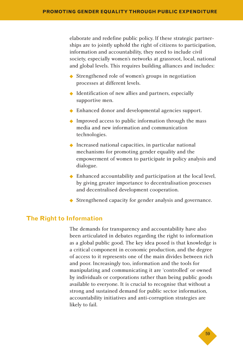elaborate and redefine public policy. If these strategic partnerships are to jointly uphold the right of citizens to participation, information and accountability, they need to include civil society, especially women's networks at grassroot, local, national and global levels. This requires building alliances and includes:

- ◆ Strengthened role of women's groups in negotiation processes at different levels.
- ◆ Identification of new allies and partners, especially supportive men.
- ◆ Enhanced donor and developmental agencies support.
- ◆ Improved access to public information through the mass media and new information and communication technologies.
- ◆ Increased national capacities, in particular national mechanisms for promoting gender equality and the empowerment of women to participate in policy analysis and dialogue.
- ◆ Enhanced accountability and participation at the local level, by giving greater importance to decentralisation processes and decentralised development cooperation.
- ◆ Strengthened capacity for gender analysis and governance.

#### **The Right to Information**

The demands for transparency and accountability have also been articulated in debates regarding the right to information as a global public good. The key idea posed is that knowledge is a critical component in economic production, and the degree of access to it represents one of the main divides between rich and poor. Increasingly too, information and the tools for manipulating and communicating it are 'controlled' or owned by individuals or corporations rather than being public goods available to everyone. It is crucial to recognise that without a strong and sustained demand for public sector information, accountability initiatives and anti-corruption strategies are likely to fail.

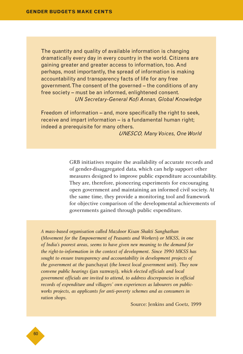The quantity and quality of available information is changing dramatically every day in every country in the world. Citizens are gaining greater and greater access to information, too. And perhaps, most importantly, the spread of information is making accountability and transparency facts of life for any free government. The consent of the governed – the conditions of any free society – must be an informed, enlightened consent. *UN Secretary-General Kofi Annan, Global Knowledge*

Freedom of information – and, more specifically the right to seek, receive and impart information – is a fundamental human right; indeed a prerequisite for many others.

*UNESCO, Many Voices, One World*

GRB initiatives require the availability of accurate records and of gender-disaggregated data, which can help support other measures designed to improve public expenditure accountability. They are, therefore, pioneering experiments for encouraging open government and maintaining an informed civil society. At the same time, they provide a monitoring tool and framework for objective comparison of the developmental achievements of governments gained through public expenditure.

*A mass-based organisation called Mazdoor Kisan Shakti Sanghathan* (*Movement for the Empowerment of Peasants and Workers*) *or MKSS, in one of India's poorest areas, seems to have given new meaning to the demand for the right-to-information in the context of development. Since 1990 MKSS has sought to ensure transparency and accountability in development projects of the government at the* panchayat (*the lowest local government unit*)*. They now convene public hearings* (jan sunwayi)*, which elected officials and local government officials are invited to attend, to address discrepancies in official records of expenditure and villagers' own experiences as labourers on publicworks projects, as applicants for anti-poverty schemes and as consumers in ration shops.*

Source: Jenkins and Goetz, 1999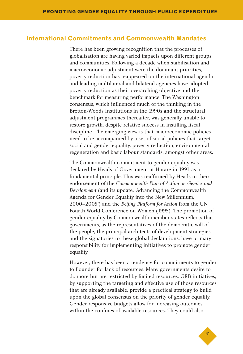#### **International Commitments and Commonwealth Mandates**

There has been growing recognition that the processes of globalisation are having varied impacts upon different groups and communities. Following a decade when stabilisation and macroeconomic adjustment were the dominant priorities, poverty reduction has reappeared on the international agenda and leading multilateral and bilateral agencies have adopted poverty reduction as their overarching objective and the benchmark for measuring performance. The Washington consensus, which influenced much of the thinking in the Bretton-Woods Institutions in the 1990s and the structural adjustment programmes thereafter, was generally unable to restore growth, despite relative success in instilling fiscal discipline. The emerging view is that macroeconomic policies need to be accompanied by a set of social policies that target social and gender equality, poverty reduction, environmental regeneration and basic labour standards, amongst other areas.

The Commonwealth commitment to gender equality was declared by Heads of Government at Harare in 1991 as a fundamental principle. This was reaffirmed by Heads in their endorsement of the *Commonwealth Plan of Action on Gender and Development* (and its update, 'Advancing the Commonwealth Agenda for Gender Equality into the New Millennium, 2000–2005') and the *Beijing Platform for Action* from the UN Fourth World Conference on Women (1995). The promotion of gender equality by Commonwealth member states reflects that governments, as the representatives of the democratic will of the people, the principal architects of development strategies and the signatories to these global declarations, have primary responsibility for implementing initiatives to promote gender equality.

However, there has been a tendency for commitments to gender to flounder for lack of resources. Many governments desire to do more but are restricted by limited resources. GRB initiatives, by supporting the targeting and effective use of those resources that are already available, provide a practical strategy to build upon the global consensus on the priority of gender equality. Gender responsive budgets allow for increasing outcomes within the confines of available resources. They could also

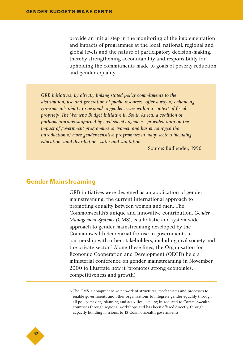provide an initial step in the monitoring of the implementation and impacts of programmes at the local, national, regional and global levels and the nature of participatory decision-making, thereby strengthening accountability and responsibility for upholding the commitments made to goals of poverty reduction and gender equality.

*GRB initiatives, by directly linking stated policy commitments to the distribution, use and generation of public resources, offer a way of enhancing government's ability to respond to gender issues within a context of fiscal propriety. The Women's Budget Initiative in South Africa, a coalition of parliamentarians supported by civil society agencies, provided data on the impact of government programmes on women and has encouraged the introduction of more gender-sensitive programmes in many sectors including education, land distribution, water and sanitation.*

Source: Budlender, 1996

#### **Gender Mainstreaming**

GRB initiatives were designed as an application of gender mainstreaming, the current international approach to promoting equality between women and men. The Commonwealth's unique and innovative contribution, *Gender Management Systems* (GMS), is a holistic and system-wide approach to gender mainstreaming developed by the Commonwealth Secretariat for use in governments in partnership with other stakeholders, including civil society and the private sector.<sup>6</sup> Along these lines, the Organisation for Economic Cooperation and Development (OECD) held a ministerial conference on gender mainstreaming in November 2000 to illustrate how it 'promotes strong economies, competitiveness and growth'.

6 The GMS, a comprehensive network of structures, mechanisms and processes to enable governments and other organisations to integrate gender equality through all policy-making, planning and activities, is being introduced to Commonwealth countries through regional workshops and has been offered directly, through capacity building missions, to 13 Commonwealth governments.

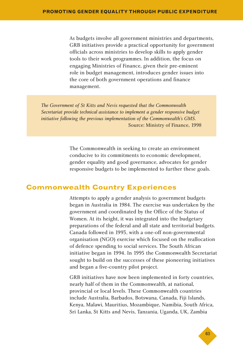As budgets involve all government ministries and departments, GRB initiatives provide a practical opportunity for government officials across ministries to develop skills to apply gender tools to their work programmes. In addition, the focus on engaging Ministries of Finance, given their pre-eminent role in budget management, introduces gender issues into the core of both government operations and finance management.

*The Government of St Kitts and Nevis requested that the Commonwealth Secretariat provide technical assistance to implement a gender responsive budget initiative following the previous implementation of the Commonwealth's GMS.* Source: Ministry of Finance, 1998

> The Commonwealth in seeking to create an environment conducive to its commitments to economic development, gender equality and good governance, advocates for gender responsive budgets to be implemented to further these goals.

#### **Commonwealth Country Experiences**

Attempts to apply a gender analysis to government budgets began in Australia in 1984. The exercise was undertaken by the government and coordinated by the Office of the Status of Women. At its height, it was integrated into the budgetary preparations of the federal and all state and territorial budgets. Canada followed in 1993, with a one-off non-governmental organisation (NGO) exercise which focused on the reallocation of defence spending to social services. The South African initiative began in 1994. In 1995 the Commonwealth Secretariat sought to build on the successes of these pioneering initiatives and began a five-country pilot project.

GRB initiatives have now been implemented in forty countries, nearly half of them in the Commonwealth, at national, provincial or local levels. These Commonwealth countries include Australia, Barbados, Botswana, Canada, Fiji Islands, Kenya, Malawi, Mauritius, Mozambique, Namibia, South Africa, Sri Lanka, St Kitts and Nevis, Tanzania, Uganda, UK, Zambia

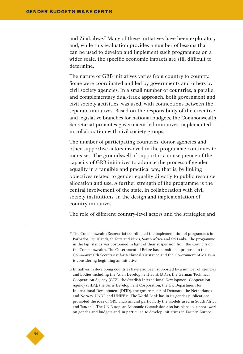and Zimbabwe.<sup>7</sup> Many of these initiatives have been exploratory and, while this evaluation provides a number of lessons that can be used to develop and implement such programmes on a wider scale, the specific economic impacts are still difficult to determine.

The nature of GRB initiatives varies from country to country. Some were coordinated and led by governments and others by civil society agencies. In a small number of countries, a parallel and complementary dual-track approach, both government and civil society activities, was used, with connections between the separate initiatives. Based on the responsibility of the executive and legislative branches for national budgets, the Commonwealth Secretariat promotes government-led initiatives, implemented in collaboration with civil society groups.

The number of participating countries, donor agencies and other supportive actors involved in the programme continues to increase.<sup>8</sup> The groundswell of support is a consequence of the capacity of GRB initiatives to advance the process of gender equality in a tangible and practical way, that is, by linking objectives related to gender equality directly to public resource allocation and use. A further strength of the programme is the central involvement of the state, in collaboration with civil society institutions, in the design and implementation of country initiatives.

The role of different country-level actors and the strategies and

- 7 The Commonwealth Secretariat coordinated the implementation of programmes in Barbados, Fiji Islands, St Kitts and Nevis, South Africa and Sri Lanka. The programme in the Fiji Islands was postponed in light of their suspension from the Councils of the Commonwealth. The Government of Belize has submitted a proposal to the Commonwealth Secretariat for technical assistance and the Government of Malaysia is considering beginning an initiative.
- 8 Initiatives in developing countries have also been supported by a number of agencies and bodies including the Asian Development Bank (ADB), the German Technical Cooperation Agency (GTZ), the Swedish International Development Cooperation Agency (SIDA), the Swiss Development Corporation, the UK Department for International Development (DFID), the governments of Denmark, the Netherlands and Norway, UNDP and UNIFEM. The World Bank has in its gender publications promoted the idea of GRB analysis, and particularly the models used in South Africa and Tanzania. The UN European Economic Commission also has plans to support work on gender and budgets and, in particular, to develop initiatives in Eastern Europe.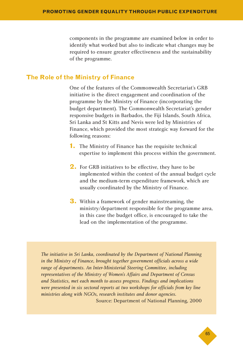components in the programme are examined below in order to identify what worked but also to indicate what changes may be required to ensure greater effectiveness and the sustainability of the programme.

#### **The Role of the Ministry of Finance**

One of the features of the Commonwealth Secretariat's GRB initiative is the direct engagement and coordination of the programme by the Ministry of Finance (incorporating the budget department). The Commonwealth Secretariat's gender responsive budgets in Barbados, the Fiji Islands, South Africa, Sri Lanka and St Kitts and Nevis were led by Ministries of Finance, which provided the most strategic way forward for the following reasons:

- **1.** The Ministry of Finance has the requisite technical expertise to implement this process within the government.
- **2.** For GRB initiatives to be effective, they have to be implemented within the context of the annual budget cycle and the medium-term expenditure framework, which are usually coordinated by the Ministry of Finance.
- **3.** Within a framework of gender mainstreaming, the ministry/department responsible for the programme area, in this case the budget office, is encouraged to take the lead on the implementation of the programme.

*The initiative in Sri Lanka, coordinated by the Department of National Planning in the Ministry of Finance, brought together government officials across a wide range of departments. An Inter-Ministerial Steering Committee, including representatives of the Ministry of Women's Affairs and Department of Census and Statistics, met each month to assess progress. Findings and implications were presented in six sectoral reports at two workshops for officials from key line ministries along with NGOs, research institutes and donor agencies.* Source: Department of National Planning, 2000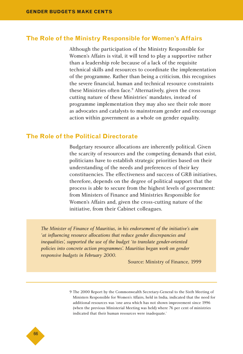#### **The Role of the Ministry Responsible for Women's Affairs**

Although the participation of the Ministry Responsible for Women's Affairs is vital, it will tend to play a supportive rather than a leadership role because of a lack of the requisite technical skills and resources to coordinate the implementation of the programme. Rather than being a criticism, this recognises the severe financial, human and technical resource constraints these Ministries often face.<sup>9</sup> Alternatively, given the cross cutting nature of these Ministries' mandates, instead of programme implementation they may also see their role more as advocates and catalysts to mainstream gender and encourage action within government as a whole on gender equality.

#### **The Role of the Political Directorate**

Budgetary resource allocations are inherently political. Given the scarcity of resources and the competing demands that exist, politicians have to establish strategic priorities based on their understanding of the needs and preferences of their key constituencies. The effectiveness and success of GRB initiatives, therefore, depends on the degree of political support that the process is able to secure from the highest levels of government: from Ministers of Finance and Ministries Responsible for Women's Affairs and, given the cross-cutting nature of the initiative, from their Cabinet colleagues.

*The Minister of Finance of Mauritius, in his endorsement of the initiative's aim 'at influencing resource allocations that reduce gender discrepancies and inequalities', supported the use of the budget 'to translate gender-oriented policies into concrete action programmes'. Mauritius began work on gender responsive budgets in February 2000.*

Source: Ministry of Finance, 1999



<sup>9</sup> The 2000 Report by the Commonwealth Secretary-General to the Sixth Meeting of Ministers Responsible for Women's Affairs, held in India, indicated that the need for additional resources was 'one area which has not shown improvement since 1996 (when the previous Ministerial Meeting was held) where 76 per cent of ministries indicated that their human resources were inadequate.'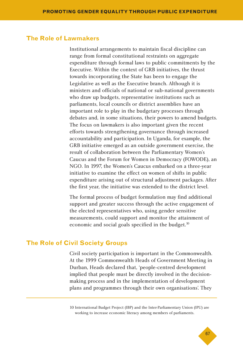#### **The Role of Lawmakers**

Institutional arrangements to maintain fiscal discipline can range from formal constitutional restraints on aggregate expenditure through formal laws to public commitments by the Executive. Within the context of GRB initiatives, the thrust towards incorporating the State has been to engage the Legislative as well as the Executive branch. Although it is ministers and officials of national or sub-national governments who draw up budgets, representative institutions such as parliaments, local councils or district assemblies have an important role to play in the budgetary processes through debates and, in some situations, their powers to amend budgets. The focus on lawmakers is also important given the recent efforts towards strengthening governance through increased accountability and participation. In Uganda, for example, the GRB initiative emerged as an outside government exercise, the result of collaboration between the Parliamentary Women's Caucus and the Forum for Women in Democracy (FOWODE), an NGO. In 1997, the Women's Caucus embarked on a three-year initiative to examine the effect on women of shifts in public expenditure arising out of structural adjustment packages. After the first year, the initiative was extended to the district level.

The formal process of budget formulation may find additional support and greater success through the active engagement of the elected representatives who, using gender sensitive measurements, could support and monitor the attainment of economic and social goals specified in the budget.<sup>10</sup>

#### **The Role of Civil Society Groups**

Civil society participation is important in the Commonwealth. At the 1999 Commonwealth Heads of Government Meeting in Durban, Heads declared that, 'people-centred development implied that people must be directly involved in the decisionmaking process and in the implementation of development plans and programmes through their own organisations'. They

10 International Budget Project (IBP) and the Inter-Parliamentary Union (IPU) are working to increase economic literacy among members of parliaments.

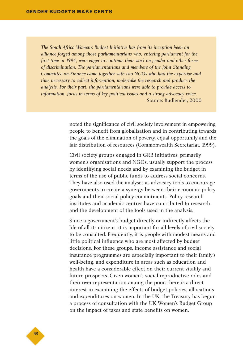*The South Africa Women's Budget Initiative has from its inception been an alliance forged among those parliamentarians who, entering parliament for the first time in 1994, were eager to continue their work on gender and other forms of discrimination. The parliamentarians and members of the Joint Standing Committee on Finance came together with two NGOs who had the expertise and time necessary to collect information, undertake the research and produce the analysis. For their part, the parliamentarians were able to provide access to information, focus in terms of key political issues and a strong advocacy voice.* Source: Budlender, 2000

> noted the significance of civil society involvement in empowering people to benefit from globalisation and in contributing towards the goals of the elimination of poverty, equal opportunity and the fair distribution of resources (Commonwealth Secretariat, 1999).

> Civil society groups engaged in GRB initiatives, primarily women's organisations and NGOs, usually support the process by identifying social needs and by examining the budget in terms of the use of public funds to address social concerns. They have also used the analyses as advocacy tools to encourage governments to create a synergy between their economic policy goals and their social policy commitments. Policy research institutes and academic centres have contributed to research and the development of the tools used in the analysis.

> Since a government's budget directly or indirectly affects the life of all its citizens, it is important for all levels of civil society to be consulted. Frequently, it is people with modest means and little political influence who are most affected by budget decisions. For these groups, income assistance and social insurance programmes are especially important to their family's well-being, and expenditure in areas such as education and health have a considerable effect on their current vitality and future prospects. Given women's social reproductive roles and their over-representation among the poor, there is a direct interest in examining the effects of budget policies, allocations and expenditures on women. In the UK, the Treasury has begun a process of consultation with the UK Women's Budget Group on the impact of taxes and state benefits on women.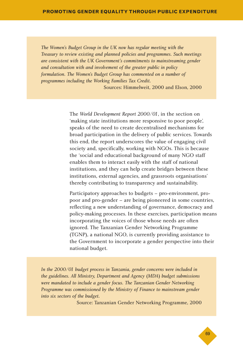*The Women's Budget Group in the UK now has regular meeting with the Treasury to review existing and planned policies and programmes. Such meetings are consistent with the UK Government's commitments to mainstreaming gender and consultation with and involvement of the greater public in policy formulation. The Women's Budget Group has commented on a number of programmes including the Working Families Tax Credit.* 

Sources: Himmelweit, 2000 and Elson, 2000

The *World Development Report 2000/01*, in the section on 'making state institutions more responsive to poor people', speaks of the need to create decentralised mechanisms for broad participation in the delivery of public services. Towards this end, the report underscores the value of engaging civil society and, specifically, working with NGOs. This is because the 'social and educational background of many NGO staff enables them to interact easily with the staff of national institutions, and they can help create bridges between these institutions, external agencies, and grassroots organisations' thereby contributing to transparency and sustainability.

Participatory approaches to budgets – pro-environment, propoor and pro-gender – are being pioneered in some countries, reflecting a new understanding of governance, democracy and policy-making processes. In these exercises, participation means incorporating the voices of those whose needs are often ignored. The Tanzanian Gender Networking Programme (TGNP), a national NGO, is currently providing assistance to the Government to incorporate a gender perspective into their national budget.

*In the 2000/01 budget process in Tanzania, gender concerns were included in the guidelines. All Ministry, Department and Agency* (*MDA*) *budget submissions were mandated to include a gender focus. The Tanzanian Gender Networking Programme was commissioned by the Ministry of Finance to mainstream gender into six sectors of the budget.*

Source: Tanzanian Gender Networking Programme, 2000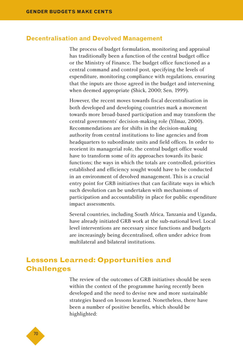#### **Decentralisation and Devolved Management**

The process of budget formulation, monitoring and appraisal has traditionally been a function of the central budget office or the Ministry of Finance. The budget office functioned as a central command and control post, specifying the levels of expenditure, monitoring compliance with regulations, ensuring that the inputs are those agreed in the budget and intervening when deemed appropriate (Shick, 2000; Sen, 1999).

However, the recent moves towards fiscal decentralisation in both developed and developing countries mark a movement towards more broad-based participation and may transform the central governments' decision-making role (Yilmaz, 2000). Recommendations are for shifts in the decision-making authority from central institutions to line agencies and from headquarters to subordinate units and field offices. In order to reorient its managerial role, the central budget office would have to transform some of its approaches towards its basic functions; the ways in which the totals are controlled, priorities established and efficiency sought would have to be conducted in an environment of devolved management. This is a crucial entry point for GRB initiatives that can facilitate ways in which such devolution can be undertaken with mechanisms of participation and accountability in place for public expenditure impact assessments.

Several countries, including South Africa, Tanzania and Uganda, have already initiated GRB work at the sub-national level. Local level interventions are necessary since functions and budgets are increasingly being decentralised, often under advice from multilateral and bilateral institutions.

# **Lessons Learned: Opportunities and Challenges**

The review of the outcomes of GRB initiatives should be seen within the context of the programme having recently been developed and the need to devise new and more sustainable strategies based on lessons learned. Nonetheless, there have been a number of positive benefits, which should be highlighted:

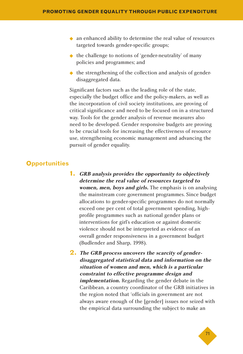- ◆ an enhanced ability to determine the real value of resources targeted towards gender-specific groups;
- ◆ the challenge to notions of 'gender-neutrality' of many policies and programmes; and
- ◆ the strengthening of the collection and analysis of genderdisaggregated data.

Significant factors such as the leading role of the state, especially the budget office and the policy-makers, as well as the incorporation of civil society institutions, are proving of critical significance and need to be focused on in a structured way. Tools for the gender analysis of revenue measures also need to be developed. Gender responsive budgets are proving to be crucial tools for increasing the effectiveness of resource use, strengthening economic management and advancing the pursuit of gender equality.

# **Opportunities**

- **1. GRB analysis provides the opportunity to objectively determine the real value of resources targeted to women, men, boys and girls.** The emphasis is on analysing the mainstream core government programmes. Since budget allocations to gender-specific programmes do not normally exceed one per cent of total government spending, highprofile programmes such as national gender plans or interventions for girl's education or against domestic violence should not be interpreted as evidence of an overall gender responsiveness in a government budget (Budlender and Sharp, 1998).
- **2. The GRB process uncovers the scarcity of genderdisaggregated statistical data and information on the situation of women and men, which is a particular constraint to effective programme design and implementation.** Regarding the gender debate in the Caribbean, a country coordinator of the GRB initiatives in the region noted that 'officials in government are not always aware enough of the [gender] issues nor seized with the empirical data surrounding the subject to make an

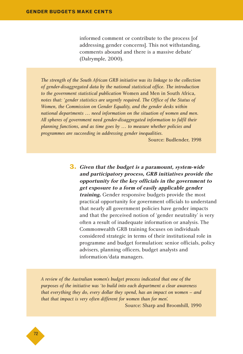informed comment or contribute to the process [of addressing gender concerns]. This not withstanding, comments abound and there is a massive debate' (Dalrymple, 2000).

*The strength of the South African GRB initiative was its linkage to the collection of gender-disaggregated data by the national statistical office. The introduction to the government statistical publication* Women and Men in South Africa*, notes that: 'gender statistics are urgently required. The Office of the Status of Women, the Commission on Gender Equality, and the gender desks within national departments … need information on the situation of women and men. All spheres of government need gender-disaggregated information to fulfil their planning functions, and as time goes by … to measure whether policies and programmes are succeeding in addressing gender inequalities.*

Source: Budlender, 1998

**3. Given that the budget is a paramount, system-wide and participatory process, GRB initiatives provide the opportunity for the key officials in the government to get exposure to a form of easily applicable gender training.** Gender responsive budgets provide the most practical opportunity for government officials to understand that nearly all government policies have gender impacts and that the perceived notion of 'gender neutrality' is very often a result of inadequate information or analysis. The Commonwealth GRB training focuses on individuals considered strategic in terms of their institutional role in programme and budget formulation: senior officials, policy advisers, planning officers, budget analysts and information/data managers.

*A review of the Australian women's budget process indicated that one of the purposes of the initiative was 'to build into each department a clear awareness that everything they do, every dollar they spend, has an impact on women – and that that impact is very often different for women than for men'.* Source: Sharp and Broomhill, 1990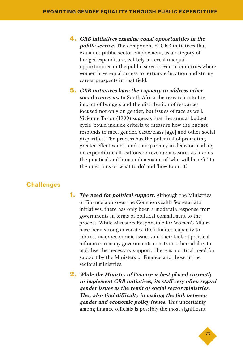- **4. GRB initiatives examine equal opportunities in the public service.** The component of GRB initiatives that examines public sector employment, as a category of budget expenditure, is likely to reveal unequal opportunities in the public service even in countries where women have equal access to tertiary education and strong career prospects in that field.
- **5. GRB initiatives have the capacity to address other social concerns.** In South Africa the research into the impact of budgets and the distribution of resources focused not only on gender, but issues of race as well. Vivienne Taylor (1999) suggests that the annual budget cycle 'could include criteria to measure how the budget responds to race, gender, caste/class [age] and other social disparities'. The process has the potential of promoting greater effectiveness and transparency in decision-making on expenditure allocations or revenue measures as it adds the practical and human dimension of 'who will benefit' to the questions of 'what to do' and 'how to do it'.

# **Challenges**

- **1. The need for political support.** Although the Ministries of Finance approved the Commonwealth Secretariat's initiatives, there has only been a moderate response from governments in terms of political commitment to the process. While Ministers Responsible for Women's Affairs have been strong advocates, their limited capacity to address macroeconomic issues and their lack of political influence in many governments constrains their ability to mobilise the necessary support. There is a critical need for support by the Ministers of Finance and those in the sectoral ministries.
- **2. While the Ministry of Finance is best placed currently to implement GRB initiatives, its staff very often regard gender issues as the remit of social sector ministries. They also find difficulty in making the link between gender and economic policy issues.** This uncertainty among finance officials is possibly the most significant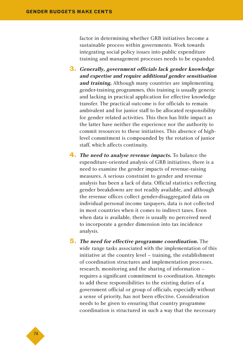factor in determining whether GRB initiatives become a sustainable process within governments. Work towards integrating social policy issues into public expenditure training and management processes needs to be expanded.

- **3. Generally, government officials lack gender knowledge and expertise and require additional gender sensitisation and training.** Although many countries are implementing gender-training programmes, this training is usually generic and lacking in practical application for effective knowledge transfer. The practical outcome is for officials to remain ambivalent and for junior staff to be allocated responsibility for gender related activities. This then has little impact as the latter have neither the experience nor the authority to commit resources to these initiatives. This absence of highlevel commitment is compounded by the rotation of junior staff, which affects continuity.
- **4. The need to analyse revenue impacts.** To balance the expenditure-oriented analysis of GRB initiatives, there is a need to examine the gender impacts of revenue-raising measures. A serious constraint to gender and revenue analysis has been a lack of data. Official statistics reflecting gender breakdowns are not readily available, and although the revenue offices collect gender-disaggregated data on individual personal income taxpayers, data is not collected in most countries when it comes to indirect taxes. Even when data is available, there is usually no perceived need to incorporate a gender dimension into tax incidence analysis.
- **5. The need for effective programme coordination.** The wide range tasks associated with the implementation of this initiative at the country level – training, the establishment of coordination structures and implementation processes, research, monitoring and the sharing of information – requires a significant commitment to coordination. Attempts to add these responsibilities to the existing duties of a government official or group of officials, especially without a sense of priority, has not been effective. Consideration needs to be given to ensuring that country programme coordination is structured in such a way that the necessary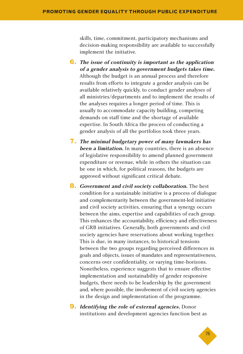skills, time, commitment, participatory mechanisms and decision-making responsibility are available to successfully implement the initiative.

- **6. The issue of continuity is important as the application of a gender analysis to government budgets takes time.** Although the budget is an annual process and therefore results from efforts to integrate a gender analysis can be available relatively quickly, to conduct gender analyses of all ministries/departments and to implement the results of the analyses requires a longer period of time. This is usually to accommodate capacity building, competing demands on staff time and the shortage of available expertise. In South Africa the process of conducting a gender analysis of all the portfolios took three years.
- **7. The minimal budgetary power of many lawmakers has been a limitation.** In many countries, there is an absence of legislative responsibility to amend planned government expenditure or revenue, while in others the situation can be one in which, for political reasons, the budgets are approved without significant critical debate.
- **8. Government and civil society collaboration.** The best condition for a sustainable initiative is a process of dialogue and complementarity between the government-led initiative and civil society activities, ensuring that a synergy occurs between the aims, expertise and capabilities of each group. This enhances the accountability, efficiency and effectiveness of GRB initiatives. Generally, both governments and civil society agencies have reservations about working together. This is due, in many instances, to historical tensions between the two groups regarding perceived differences in goals and objects, issues of mandates and representativeness, concerns over confidentiality, or varying time-horizons. Nonetheless, experience suggests that to ensure effective implementation and sustainability of gender responsive budgets, there needs to be leadership by the government and, where possible, the involvement of civil society agencies in the design and implementation of the programme.
- **9. Identifying the role of external agencies.** Donor institutions and development agencies function best as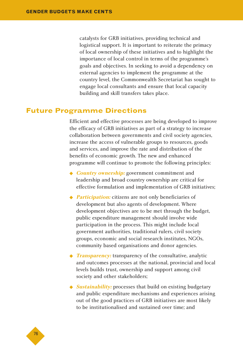catalysts for GRB initiatives, providing technical and logistical support. It is important to reiterate the primacy of local ownership of these initiatives and to highlight the importance of local control in terms of the programme's goals and objectives. In seeking to avoid a dependency on external agencies to implement the programme at the country level, the Commonwealth Secretariat has sought to engage local consultants and ensure that local capacity building and skill transfers takes place.

# **Future Programme Directions**

Efficient and effective processes are being developed to improve the efficacy of GRB initiatives as part of a strategy to increase collaboration between governments and civil society agencies, increase the access of vulnerable groups to resources, goods and services, and improve the rate and distribution of the benefits of economic growth. The new and enhanced programme will continue to promote the following principles:

- ◆ *Country ownership:* government commitment and leadership and broad country ownership are critical for effective formulation and implementation of GRB initiatives;
- ◆ *Participation:* citizens are not only beneficiaries of development but also agents of development. Where development objectives are to be met through the budget, public expenditure management should involve wide participation in the process. This might include local government authorities, traditional rulers, civil society groups, economic and social research institutes, NGOs, community based organisations and donor agencies.
- ◆ *Transparency:* transparency of the consultative, analytic and outcomes processes at the national, provincial and local levels builds trust, ownership and support among civil society and other stakeholders;
- ◆ *Sustainability:* processes that build on existing budgetary and public expenditure mechanisms and experiences arising out of the good practices of GRB initiatives are most likely to be institutionalised and sustained over time; and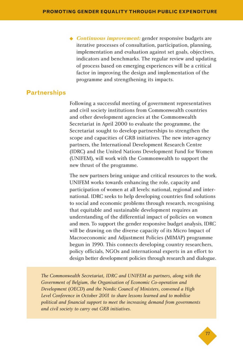◆ **Continuous improvement:** gender responsive budgets are iterative processes of consultation, participation, planning, implementation and evaluation against set goals, objectives, indicators and benchmarks. The regular review and updating of process based on emerging experiences will be a critical factor in improving the design and implementation of the programme and strengthening its impacts.

### **Partnerships**

Following a successful meeting of government representatives and civil society institutions from Commonwealth countries and other development agencies at the Commonwealth Secretariat in April 2000 to evaluate the programme, the Secretariat sought to develop partnerships to strengthen the scope and capacities of GRB initiatives. The new inter-agency partners, the International Development Research Centre (IDRC) and the United Nations Development Fund for Women (UNIFEM), will work with the Commonwealth to support the new thrust of the programme.

The new partners bring unique and critical resources to the work. UNIFEM works towards enhancing the role, capacity and participation of women at all levels: national, regional and international. IDRC seeks to help developing countries find solutions to social and economic problems through research, recognising that equitable and sustainable development requires an understanding of the differential impact of policies on women and men. To support the gender responsive budget analysis, IDRC will be drawing on the diverse capacity of its Micro Impact of Macroeconomic and Adjustment Policies (MIMAP) programme begun in 1990. This connects developing country researchers, policy officials, NGOs and international experts in an effort to design better development policies through research and dialogue.

*The Commonwealth Secretariat, IDRC and UNIFEM as partners, along with the Government of Belgium, the Organisation of Economic Co-operation and Development* (*OECD*) *and the Nordic Council of Ministers, convened a High Level Conference in October 2001 to share lessons learned and to mobilise political and financial support to meet the increasing demand from governments and civil society to carry out GRB initiatives.*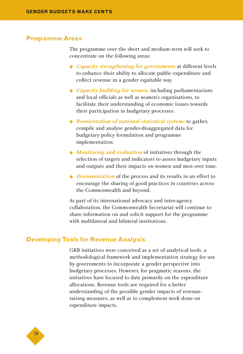#### **Programme Areas**

The programme over the short and medium-term will seek to concentrate on the following areas:

- ◆ **Capacity strengthening for governments** at different levels to enhance their ability to allocate public expenditure and collect revenue in a gender equitable way.
- ◆ *Capacity building for women*, including parliamentarians and local officials as well as women's organisations, to facilitate their understanding of economic issues towards their participation in budgetary processes.
- ◆ **Reorientation of national statistical systems** to gather, compile and analyse gender-disaggregated data for budgetary policy formulation and programme implementation.
- ◆ *Monitoring and evaluation* of initiatives through the selection of targets and indicators to assess budgetary inputs and outputs and their impacts on women and men over time.
- ◆ *Documentation* of the process and its results in an effort to encourage the sharing of good practices in countries across the Commonwealth and beyond.

As part of its international advocacy and inter-agency collaboration, the Commonwealth Secretariat will continue to share information on and solicit support for the programme with multilateral and bilateral institutions.

#### **Developing Tools for Revenue Analysis**

GRB initiatives were conceived as a set of analytical tools, a methodological framework and implementation strategy for use by governments to incorporate a gender perspective into budgetary processes. However, for pragmatic reasons, the initiatives have focused to date primarily on the expenditure allocations. Revenue tools are required for a better understanding of the possible gender impacts of revenueraising measures, as well as to complement work done on expenditure impacts.

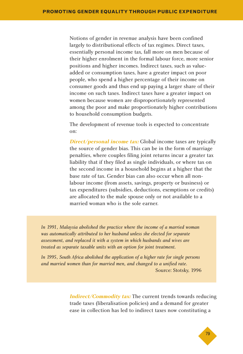Notions of gender in revenue analysis have been confined largely to distributional effects of tax regimes. Direct taxes, essentially personal income tax, fall more on men because of their higher enrolment in the formal labour force, more senior positions and higher incomes. Indirect taxes, such as valueadded or consumption taxes, have a greater impact on poor people, who spend a higher percentage of their income on consumer goods and thus end up paying a larger share of their income on such taxes. Indirect taxes have a greater impact on women because women are disproportionately represented among the poor and make proportionately higher contributions to household consumption budgets.

The development of revenue tools is expected to concentrate on:

**Direct/personal income tax:** Global income taxes are typically the source of gender bias. This can be in the form of marriage penalties, where couples filing joint returns incur a greater tax liability that if they filed as single individuals, or where tax on the second income in a household begins at a higher that the base rate of tax. Gender bias can also occur when all nonlabour income (from assets, savings, property or business) or tax expenditures (subsidies, deductions, exemptions or credits) are allocated to the male spouse only or not available to a married woman who is the sole earner.

*In 1991, Malaysia abolished the practice where the income of a married woman was automatically attributed to her husband unless she elected for separate assessment, and replaced it with a system in which husbands and wives are treated as separate taxable units with an option for joint treatment.* 

*In 1995, South Africa abolished the application of a higher rate for single persons and married women than for married men, and changed to a unified rate.* Source: Stotsky, 1996

> **Indirect/Commodity tax:** The current trends towards reducing trade taxes (liberalisation policies) and a demand for greater ease in collection has led to indirect taxes now constituting a

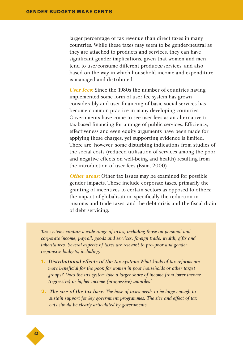larger percentage of tax revenue than direct taxes in many countries. While these taxes may seem to be gender-neutral as they are attached to products and services, they can have significant gender implications, given that women and men tend to use/consume different products/services, and also based on the way in which household income and expenditure is managed and distributed.

**User fees:** Since the 1980s the number of countries having implemented some form of user fee system has grown considerably and user financing of basic social services has become common practice in many developing countries. Governments have come to see user fees as an alternative to tax-based financing for a range of public services. Efficiency, effectiveness and even equity arguments have been made for applying these charges, yet supporting evidence is limited. There are, however, some disturbing indications from studies of the social costs (reduced utilisation of services among the poor and negative effects on well-being and health) resulting from the introduction of user fees (Esim, 2000).

**Other areas:** Other tax issues may be examined for possible gender impacts. These include corporate taxes, primarily the granting of incentives to certain sectors as opposed to others; the impact of globalisation, specifically the reduction in customs and trade taxes; and the debt crisis and the fiscal drain of debt servicing.

*Tax systems contain a wide range of taxes, including those on personal and corporate income, payroll, goods and services, foreign trade, wealth, gifts and inheritances. Several aspects of taxes are relevant to pro-poor and gender responsive budgets, including:*

- **1.** Distributional effects of the tax system: *What kinds of tax reforms are more beneficial for the poor, for women in poor households or other target groups? Does the tax system take a larger share of income from lower income (regressive) or higher income (progressive) quintiles?*
- **2.** The size of the tax base: *The base of taxes needs to be large enough to sustain support for key government programmes. The size and effect of tax cuts should be clearly articulated by governments.*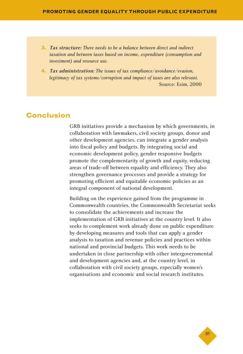- **3.** Tax structure: *There needs to be a balance between direct and indirect taxation and between taxes based on income, expenditure (consumption and investment) and resource use.*
- **4.** Tax administration: *The issues of tax compliance/avoidance/evasion, legitimacy of tax systems/corruption and impact of taxes are also relevant.* Source: Esim, 2000

# **Conclusion**

GRB initiatives provide a mechanism by which governments, in collaboration with lawmakers, civil society groups, donor and other development agencies, can integrate a gender analysis into fiscal policy and budgets. By integrating social and economic development policy, gender responsive budgets promote the complementarity of growth and equity, reducing areas of trade-off between equality and efficiency. They also strengthen governance processes and provide a strategy for promoting efficient and equitable economic policies as an integral component of national development.

Building on the experience gained from the programme in Commonwealth countries, the Commonwealth Secretariat seeks to consolidate the achievements and increase the implementation of GRB initiatives at the country level. It also seeks to complement work already done on public expenditure by developing measures and tools that can apply a gender analysis to taxation and revenue policies and practices within national and provincial budgets. This work needs to be undertaken in close partnership with other intergovernmental and development agencies and, at the country level, in collaboration with civil society groups, especially women's organisations and economic and social research institutes.

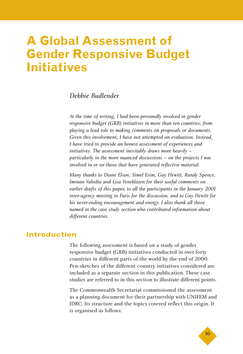# **A Global Assessment of Gender Responsive Budget Initiatives**

# *Debbie Budlender*

*At the time of writing, I had been personally involved in gender responsive budget (GRB) initiatives in more than ten countries, from playing a lead role to making comments on proposals or documents. Given this involvement, I have not attempted an evaluation. Instead, I have tried to provide an honest assessment of experiences and initiatives. The assessment inevitably draws more heavily – particularly in the more nuanced discussions – on the projects I was involved in or on those that have generated reflective material.*

*Many thanks to Diane Elson, Simel Esim, Guy Hewitt, Randy Spence, Imraan Valodia and Lisa Veneklasen for their useful comments on earlier drafts of this paper, to all the participants in the January 2001 inter-agency meeting in Paris for the discussion, and to Guy Hewitt for his never-ending encouragement and energy. I also thank all those named in the case study section who contributed information about different countries.*

# **Introduction**

The following assessment is based on a study of gender responsive budget (GRB) initiatives conducted in over forty countries in different parts of the world by the end of 2000. Pen-sketches of the different country initiatives considered are included as a separate section in this publication. These case studies are referred to in this section to illustrate different points.

The Commonwealth Secretariat commissioned the assessment as a planning document for their partnership with UNIFEM and IDRC. Its structure and the topics covered reflect this origin. It is organised as follows:

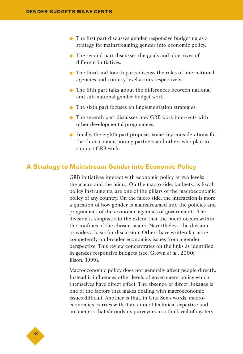- ◆ The first part discusses gender responsive budgeting as a strategy for mainstreaming gender into economic policy.
- ◆ The second part discusses the goals and objectives of different initiatives.
- ◆ The third and fourth parts discuss the roles of international agencies and country-level actors respectively.
- ◆ The fifth part talks about the differences between national and sub-national gender budget work.
- ◆ The sixth part focuses on implementation strategies.
- ◆ The seventh part discusses how GRB work intersects with other developmental programmes.
- ◆ Finally, the eighth part proposes some key considerations for the three commissioning partners and others who plan to support GRB work.

#### **A Strategy to Mainstream Gender into Economic Policy**

GRB initiatives interact with economic policy at two levels: the macro and the micro. On the macro side, budgets, as fiscal policy instruments, are one of the pillars of the macroeconomic policy of any country. On the micro side, the interaction is more a question of how gender is mainstreamed into the policies and programmes of the economic agencies of governments. The division is simplistic to the extent that the micro occurs within the confines of the chosen macro. Nevertheless, the division provides a basis for discussion. Others have written far more competently on broader economics issues from a gender perspective. This review concentrates on the links as identified in gender responsive budgets (see, Grown *et al.*, 2000; Elson, 1999).

Macroeconomic policy does not generally affect people directly. Instead it influences other levels of government policy which themselves have direct effect. The absence of direct linkages is one of the factors that makes dealing with macroeconomic issues difficult. Another is that, in Gita Sen's words, macroeconomics 'carries with it an aura of technical expertise and arcaneness that shrouds its purveyors in a thick veil of mystery'

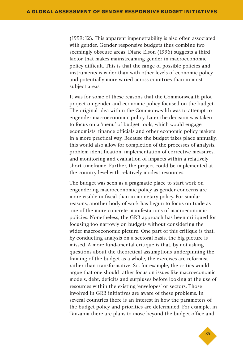(1999:12). This apparent impenetrability is also often associated with gender. Gender responsive budgets thus combine two seemingly obscure areas! Diane Elson (1996) suggests a third factor that makes mainstreaming gender in macroeconomic policy difficult. This is that the range of possible policies and instruments is wider than with other levels of economic policy and potentially more varied across countries than in most subject areas.

It was for some of these reasons that the Commonwealth pilot project on gender and economic policy focused on the budget. The original idea within the Commonwealth was to attempt to engender macroeconomic policy. Later the decision was taken to focus on a 'menu' of budget tools, which would engage economists, finance officials and other economic policy makers in a more practical way. Because the budget takes place annually, this would also allow for completion of the processes of analysis, problem identification, implementation of corrective measures, and monitoring and evaluation of impacts within a relatively short timeframe. Further, the project could be implemented at the country level with relatively modest resources.

The budget was seen as a pragmatic place to start work on engendering macroeconomic policy as gender concerns are more visible in fiscal than in monetary policy. For similar reasons, another body of work has begun to focus on trade as one of the more concrete manifestations of macroeconomic policies. Nonetheless, the GRB approach has been critiqued for focusing too narrowly on budgets without considering the wider macroeconomic picture. One part of this critique is that, by conducting analysis on a sectoral basis, the big picture is missed. A more fundamental critique is that, by not asking questions about the theoretical assumptions underpinning the framing of the budget as a whole, the exercises are reformist rather than transformative. So, for example, the critics would argue that one should rather focus on issues like macroeconomic models, debt, deficits and surpluses before looking at the use of resources within the existing 'envelopes' or sectors. Those involved in GRB initiatives are aware of these problems. In several countries there is an interest in how the parameters of the budget policy and priorities are determined. For example, in Tanzania there are plans to move beyond the budget office and

◆85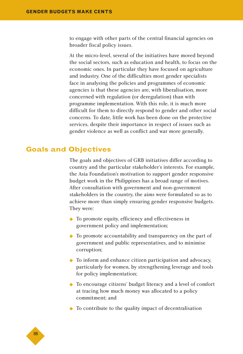to engage with other parts of the central financial agencies on broader fiscal policy issues.

At the micro-level, several of the initiatives have moved beyond the social sectors, such as education and health, to focus on the economic ones. In particular they have focused on agriculture and industry. One of the difficulties most gender specialists face in analysing the policies and programmes of economic agencies is that these agencies are, with liberalisation, more concerned with regulation (or deregulation) than with programme implementation. With this role, it is much more difficult for them to directly respond to gender and other social concerns. To date, little work has been done on the protective services, despite their importance in respect of issues such as gender violence as well as conflict and war more generally.

# **Goals and Objectives**

The goals and objectives of GRB initiatives differ according to country and the particular stakeholder's interests. For example, the Asia Foundation's motivation to support gender responsive budget work in the Philippines has a broad range of motives. After consultation with government and non-government stakeholders in the country, the aims were formulated so as to achieve more than simply ensuring gender responsive budgets. They were:

- ◆ To promote equity, efficiency and effectiveness in government policy and implementation;
- ◆ To promote accountability and transparency on the part of government and public representatives, and to minimise corruption;
- ◆ To inform and enhance citizen participation and advocacy, particularly for women, by strengthening leverage and tools for policy implementation;
- ◆ To encourage citizens' budget literacy and a level of comfort at tracing how much money was allocated to a policy commitment; and
- ◆ To contribute to the quality impact of decentralisation

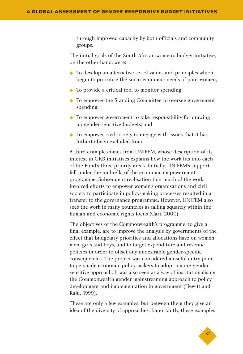through improved capacity by both officials and community groups.

The initial goals of the South African women's budget initiative, on the other hand, were:

- ◆ To develop an alternative set of values and principles which begin to prioritise the socio-economic needs of poor women;
- ◆ To provide a critical tool to monitor spending;
- ◆ To empower the Standing Committee to oversee government spending;
- ◆ To empower government to take responsibility for drawing up gender sensitive budgets; and
- ◆ To empower civil society to engage with issues that it has hitherto been excluded from.

A third example comes from UNIFEM, whose description of its interest in GRB initiatives explains how the work fits into each of the Fund's three priority areas. Initially, UNIFEM's support fell under the umbrella of the economic empowerment programme. Subsequent realisation that much of the work involved efforts to empower women's organisations and civil society to participate in policy-making processes resulted in a transfer to the governance programme. However, UNIFEM also sees the work in many countries as falling squarely within the human and economic rights focus (Carr, 2000).

The objectives of the Commonwealth's programme, to give a final example, are to improve the analysis by governments of the effect that budgetary priorities and allocations have on women, men, girls and boys, and to target expenditure and revenue policies in order to offset any undesirable gender-specific consequences. The project was considered a useful entry point to persuade economic policy makers to adopt a more gender sensitive approach. It was also seen as a way of institutionalising the Commonwealth gender mainstreaming approach to policy development and implementation in government (Hewitt and Raju, 1999).

These are only a few examples, but between them they give an idea of the diversity of approaches. Importantly, these examples

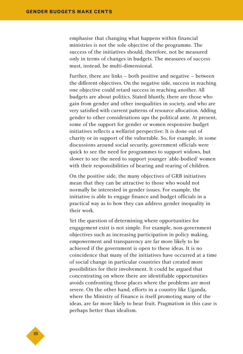emphasise that changing what happens within financial ministries is not the sole objective of the programme. The success of the initiatives should, therefore, not be measured only in terms of changes in budgets. The measures of success must, instead, be multi-dimensional.

Further, there are links – both positive and negative – between the different objectives. On the negative side, success in reaching one objective could retard success in reaching another. All budgets are about politics. Stated bluntly, there are those who gain from gender and other inequalities in society, and who are very satisfied with current patterns of resource allocation. Adding gender to other considerations ups the political ante. At present, some of the support for gender or women responsive budget initiatives reflects a welfarist perspective: It is done out of charity or in support of the vulnerable. So, for example, in some discussions around social security, government officials were quick to see the need for programmes to support widows, but slower to see the need to support younger 'able-bodied' women with their responsibilities of bearing and rearing of children.

On the positive side, the many objectives of GRB initiatives mean that they can be attractive to those who would not normally be interested in gender issues. For example, the initiative is able to engage finance and budget officials in a practical way as to how they can address gender inequality in their work.

Yet the question of determining where opportunities for engagement exist is not simple. For example, non-government objectives such as increasing participation in policy making, empowerment and transparency are far more likely to be achieved if the government is open to these ideas. It is no coincidence that many of the initiatives have occurred at a time of social change in particular countries that created more possibilities for their involvement. It could be argued that concentrating on where there are identifiable opportunities avoids confronting those places where the problems are most severe. On the other hand, efforts in a country like Uganda, where the Ministry of Finance is itself promoting many of the ideas, are far more likely to bear fruit. Pragmatism in this case is perhaps better than idealism.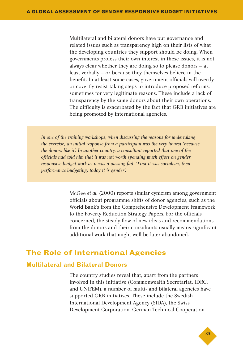Multilateral and bilateral donors have put governance and related issues such as transparency high on their lists of what the developing countries they support should be doing. When governments profess their own interest in these issues, it is not always clear whether they are doing so to please donors – at least verbally – or because they themselves believe in the benefit. In at least some cases, government officials will overtly or covertly resist taking steps to introduce proposed reforms, sometimes for very legitimate reasons. These include a lack of transparency by the same donors about their own operations. The difficulty is exacerbated by the fact that GRB initiatives are being promoted by international agencies.

*In one of the training workshops, when discussing the reasons for undertaking the exercise, an initial response from a participant was the very honest 'because the donors like it'. In another country, a consultant reported that one of the officials had told him that it was not worth spending much effort on gender responsive budget work as it was a passing fad: 'First it was socialism, then performance budgeting, today it is gender'.*

> McGee *et al.* (2000) reports similar cynicism among government officials about programme shifts of donor agencies, such as the World Bank's from the Comprehensive Development Framework to the Poverty Reduction Strategy Papers. For the officials concerned, the steady flow of new ideas and recommendations from the donors and their consultants usually means significant additional work that might well be later abandoned.

# **The Role of International Agencies**

#### **Multilateral and Bilateral Donors**

The country studies reveal that, apart from the partners involved in this initiative (Commonwealth Secretariat, IDRC, and UNIFEM), a number of multi- and bilateral agencies have supported GRB initiatives. These include the Swedish International Development Agency (SIDA), the Swiss Development Corporation, German Technical Cooperation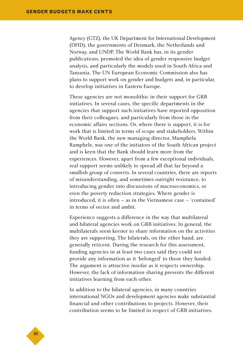Agency (GTZ), the UK Department for International Development (DFID), the governments of Denmark, the Netherlands and Norway, and UNDP. The World Bank has, in its gender publications, promoted the idea of gender responsive budget analysis, and particularly the models used in South Africa and Tanzania. The UN European Economic Commission also has plans to support work on gender and budgets and, in particular, to develop initiatives in Eastern Europe.

These agencies are not monolithic in their support for GRB initiatives. In several cases, the specific departments in the agencies that support such initiatives have reported opposition from their colleagues, and particularly from those in the economic affairs sections. Or, where there is support, it is for work that is limited in terms of scope and stakeholders. Within the World Bank, the new managing director, Mamphela Ramphele, was one of the initiators of the South African project and is keen that the Bank should learn more from the experiences. However, apart from a few exceptional individuals, real support seems unlikely to spread all that far beyond a smallish group of converts. In several countries, there are reports of misunderstanding, and sometimes outright resistance, to introducing gender into discussions of macroeconomics, or even the poverty reduction strategies. Where gender is introduced, it is often – as in the Vietnamese case – 'contained' in terms of sector and ambit.

Experience suggests a difference in the way that multilateral and bilateral agencies work on GRB initiatives. In general, the multilaterals seem keener to share information on the activities they are supporting. The bilaterals, on the other hand, are generally reticent. During the research for this assessment, funding agencies in at least two cases said they could not provide any information as it 'belonged' to those they funded. The argument is attractive insofar as it respects ownership. However, the lack of information sharing prevents the different initiatives learning from each other.

In addition to the bilateral agencies, in many countries international NGOs and development agencies make substantial financial and other contributions to projects. However, their contribution seems to be limited in respect of GRB initiatives.

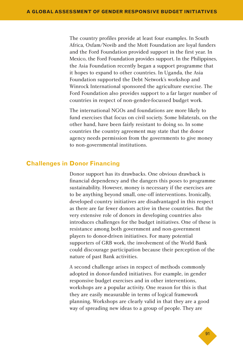The country profiles provide at least four examples. In South Africa, Oxfam/Novib and the Mott Foundation are loyal funders and the Ford Foundation provided support in the first year. In Mexico, the Ford Foundation provides support. In the Philippines, the Asia Foundation recently began a support programme that it hopes to expand to other countries. In Uganda, the Asia Foundation supported the Debt Network's workshop and Winrock International sponsored the agriculture exercise. The Ford Foundation also provides support to a far larger number of countries in respect of non-gender-focussed budget work.

The international NGOs and foundations are more likely to fund exercises that focus on civil society. Some bilaterals, on the other hand, have been fairly resistant to doing so. In some countries the country agreement may state that the donor agency needs permission from the governments to give money to non-governmental institutions.

#### **Challenges in Donor Financing**

Donor support has its drawbacks. One obvious drawback is financial dependency and the dangers this poses to programme sustainability. However, money is necessary if the exercises are to be anything beyond small, one-off interventions. Ironically, developed country initiatives are disadvantaged in this respect as there are far fewer donors active in these countries. But the very extensive role of donors in developing countries also introduces challenges for the budget initiatives. One of these is resistance among both government and non-government players to donor-driven initiatives. For many potential supporters of GRB work, the involvement of the World Bank could discourage participation because their perception of the nature of past Bank activities.

A second challenge arises in respect of methods commonly adopted in donor-funded initiatives. For example, in gender responsive budget exercises and in other interventions, workshops are a popular activity. One reason for this is that they are easily measurable in terms of logical framework planning. Workshops are clearly valid in that they are a good way of spreading new ideas to a group of people. They are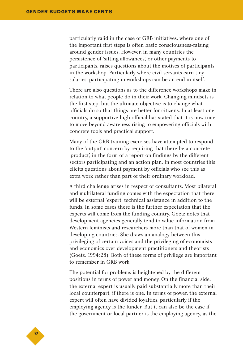particularly valid in the case of GRB initiatives, where one of the important first steps is often basic consciousness-raising around gender issues. However, in many countries the persistence of 'sitting allowances', or other payments to participants, raises questions about the motives of participants in the workshop. Particularly where civil servants earn tiny salaries, participating in workshops can be an end in itself.

There are also questions as to the difference workshops make in relation to what people do in their work. Changing mindsets is the first step, but the ultimate objective is to change what officials do so that things are better for citizens. In at least one country, a supportive high official has stated that it is now time to move beyond awareness rising to empowering officials with concrete tools and practical support.

Many of the GRB training exercises have attempted to respond to the 'output' concern by requiring that there be a concrete 'product', in the form of a report on findings by the different sectors participating and an action plan. In most countries this elicits questions about payment by officials who see this as extra work rather than part of their ordinary workload.

A third challenge arises in respect of consultants. Most bilateral and multilateral funding comes with the expectation that there will be external 'expert' technical assistance in addition to the funds. In some cases there is the further expectation that the experts will come from the funding country. Goetz notes that development agencies generally tend to value information from Western feminists and researchers more than that of women in developing countries. She draws an analogy between this privileging of certain voices and the privileging of economists and economics over development practitioners and theorists (Goetz, 1994:28). Both of these forms of privilege are important to remember in GRB work.

The potential for problems is heightened by the different positions in terms of power and money. On the financial side, the external expert is usually paid substantially more than their local counterpart, if there is one. In terms of power, the external expert will often have divided loyalties, particularly if the employing agency is the funder. But it can also be the case if the government or local partner is the employing agency, as the

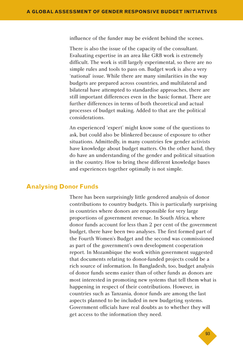influence of the funder may be evident behind the scenes.

There is also the issue of the capacity of the consultant. Evaluating expertise in an area like GRB work is extremely difficult. The work is still largely experimental, so there are no simple rules and tools to pass on. Budget work is also a very 'national' issue. While there are many similarities in the way budgets are prepared across countries, and multilateral and bilateral have attempted to standardise approaches, there are still important differences even in the basic format. There are further differences in terms of both theoretical and actual processes of budget making. Added to that are the political considerations.

An experienced 'expert' might know some of the questions to ask, but could also be blinkered because of exposure to other situations. Admittedly, in many countries few gender activists have knowledge about budget matters. On the other hand, they do have an understanding of the gender and political situation in the country. How to bring these different knowledge bases and experiences together optimally is not simple.

#### **Analysing Donor Funds**

There has been surprisingly little gendered analysis of donor contributions to country budgets. This is particularly surprising in countries where donors are responsible for very large proportions of government revenue. In South Africa, where donor funds account for less than 2 per cent of the government budget, there have been two analyses. The first formed part of the Fourth Women's Budget and the second was commissioned as part of the government's own development cooperation report. In Mozambique the work within government suggested that documents relating to donor-funded projects could be a rich source of information. In Bangladesh, too, budget analysis of donor funds seems easier than of other funds as donors are most interested in promoting new systems that tell them what is happening in respect of their contributions. However, in countries such as Tanzania, donor funds are among the last aspects planned to be included in new budgeting systems. Government officials have real doubts as to whether they will get access to the information they need.

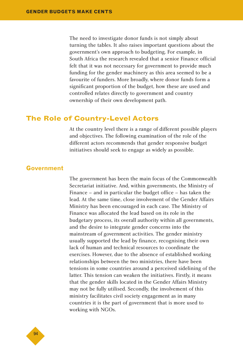The need to investigate donor funds is not simply about turning the tables. It also raises important questions about the government's own approach to budgeting. For example, in South Africa the research revealed that a senior Finance official felt that it was not necessary for government to provide much funding for the gender machinery as this area seemed to be a favourite of funders. More broadly, where donor funds form a significant proportion of the budget, how these are used and controlled relates directly to government and country ownership of their own development path.

#### **The Role of Country-Level Actors**

At the country level there is a range of different possible players and objectives. The following examination of the role of the different actors recommends that gender responsive budget initiatives should seek to engage as widely as possible.

#### **Government**

The government has been the main focus of the Commonwealth Secretariat initiative. And, within governments, the Ministry of Finance – and in particular the budget office – has taken the lead. At the same time, close involvement of the Gender Affairs Ministry has been encouraged in each case. The Ministry of Finance was allocated the lead based on its role in the budgetary process, its overall authority within all governments, and the desire to integrate gender concerns into the mainstream of government activities. The gender ministry usually supported the lead by finance, recognising their own lack of human and technical resources to coordinate the exercises. However, due to the absence of established working relationships between the two ministries, there have been tensions in some countries around a perceived sidelining of the latter. This tension can weaken the initiatives. Firstly, it means that the gender skills located in the Gender Affairs Ministry may not be fully utilised. Secondly, the involvement of this ministry facilitates civil society engagement as in many countries it is the part of government that is more used to working with NGOs.

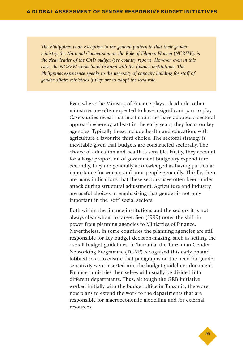*The Philippines is an exception to the general pattern in that their gender ministry, the National Commission on the Role of Filipino Women* (*NCRFW*)*, is the clear leader of the GAD budget* (*see country report*)*. However, even in this case, the NCRFW works hand in hand with the finance institutions. The Philippines experience speaks to the necessity of capacity building for staff of gender affairs ministries if they are to adopt the lead role.*

> Even where the Ministry of Finance plays a lead role, other ministries are often expected to have a significant part to play. Case studies reveal that most countries have adopted a sectoral approach whereby, at least in the early years, they focus on key agencies. Typically these include health and education, with agriculture a favourite third choice. The sectoral strategy is inevitable given that budgets are constructed sectorally. The choice of education and health is sensible. Firstly, they account for a large proportion of government budgetary expenditure. Secondly, they are generally acknowledged as having particular importance for women and poor people generally. Thirdly, there are many indications that these sectors have often been under attack during structural adjustment. Agriculture and industry are useful choices in emphasising that gender is not only important in the 'soft' social sectors.

> Both within the finance institutions and the sectors it is not always clear whom to target. Sen (1999) notes the shift in power from planning agencies to Ministries of Finance. Nevertheless, in some countries the planning agencies are still responsible for key budget decision-making, such as setting the overall budget guidelines. In Tanzania, the Tanzanian Gender Networking Programme (TGNP) recognised this early on and lobbied so as to ensure that paragraphs on the need for gender sensitivity were inserted into the budget guidelines document. Finance ministries themselves will usually be divided into different departments. Thus, although the GRB initiative worked initially with the budget office in Tanzania, there are now plans to extend the work to the departments that are responsible for macroeconomic modelling and for external resources.

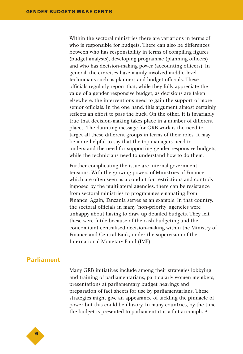Within the sectoral ministries there are variations in terms of who is responsible for budgets. There can also be differences between who has responsibility in terms of compiling figures (budget analysts), developing programme (planning officers) and who has decision-making power (accounting officers). In general, the exercises have mainly involved middle-level technicians such as planners and budget officials. These officials regularly report that, while they fully appreciate the value of a gender responsive budget, as decisions are taken elsewhere, the interventions need to gain the support of more senior officials. In the one hand, this argument almost certainly reflects an effort to pass the buck. On the other, it is invariably true that decision-making takes place in a number of different places. The daunting message for GRB work is the need to target all these different groups in terms of their roles. It may be more helpful to say that the top managers need to understand the need for supporting gender responsive budgets, while the technicians need to understand how to do them.

Further complicating the issue are internal government tensions. With the growing powers of Ministries of Finance, which are often seen as a conduit for restrictions and controls imposed by the multilateral agencies, there can be resistance from sectoral ministries to programmes emanating from Finance. Again, Tanzania serves as an example. In that country, the sectoral officials in many 'non-priority' agencies were unhappy about having to draw up detailed budgets. They felt these were futile because of the cash budgeting and the concomitant centralised decision-making within the Ministry of Finance and Central Bank, under the supervision of the International Monetary Fund (IMF).

### **Parliament**

Many GRB initiatives include among their strategies lobbying and training of parliamentarians, particularly women members, presentations at parliamentary budget hearings and preparation of fact sheets for use by parliamentarians. These strategies might give an appearance of tackling the pinnacle of power but this could be illusory. In many countries, by the time the budget is presented to parliament it is a fait accompli. A

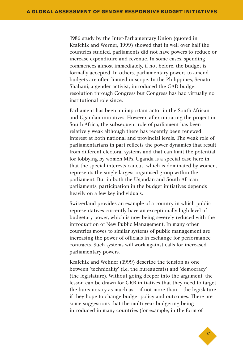1986 study by the Inter-Parliamentary Union (quoted in Krafchik and Werner, 1999) showed that in well over half the countries studied, parliaments did not have powers to reduce or increase expenditure and revenue. In some cases, spending commences almost immediately, if not before, the budget is formally accepted. In others, parliamentary powers to amend budgets are often limited in scope. In the Philippines, Senator Shahani, a gender activist, introduced the GAD budget resolution through Congress but Congress has had virtually no institutional role since.

Parliament has been an important actor in the South African and Ugandan initiatives. However, after initiating the project in South Africa, the subsequent role of parliament has been relatively weak although there has recently been renewed interest at both national and provincial levels. The weak role of parliamentarians in part reflects the power dynamics that result from different electoral systems and that can limit the potential for lobbying by women MPs. Uganda is a special case here in that the special interests caucus, which is dominated by women, represents the single largest organised group within the parliament. But in both the Ugandan and South African parliaments, participation in the budget initiatives depends heavily on a few key individuals.

Switzerland provides an example of a country in which public representatives currently have an exceptionally high level of budgetary power, which is now being severely reduced with the introduction of New Public Management. In many other countries moves to similar systems of public management are increasing the power of officials in exchange for performance contracts. Such systems will work against calls for increased parliamentary powers.

Krafchik and Wehner (1999) describe the tension as one between 'technicality' (i.e. the bureaucrats) and 'democracy' (the legislature). Without going deeper into the argument, the lesson can be drawn for GRB initiatives that they need to target the bureaucracy as much as – if not more than – the legislature if they hope to change budget policy and outcomes. There are some suggestions that the multi-year budgeting being introduced in many countries (for example, in the form of

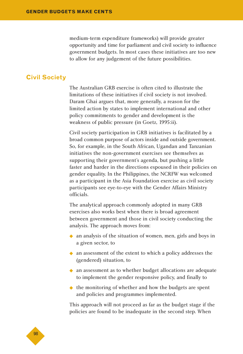medium-term expenditure frameworks) will provide greater opportunity and time for parliament and civil society to influence government budgets. In most cases these initiatives are too new to allow for any judgement of the future possibilities.

#### **Civil Society**

The Australian GRB exercise is often cited to illustrate the limitations of these initiatives if civil society is not involved. Daram Ghai argues that, more generally, a reason for the limited action by states to implement international and other policy commitments to gender and development is the weakness of public pressure (in Goetz, 1995:ii).

Civil society participation in GRB initiatives is facilitated by a broad common purpose of actors inside and outside government. So, for example, in the South African, Ugandan and Tanzanian initiatives the non-government exercises see themselves as supporting their government's agenda, but pushing a little faster and harder in the directions espoused in their policies on gender equality. In the Philippines, the NCRFW was welcomed as a participant in the Asia Foundation exercise as civil society participants see eye-to-eye with the Gender Affairs Ministry officials.

The analytical approach commonly adopted in many GRB exercises also works best when there is broad agreement between government and those in civil society conducting the analysis. The approach moves from:

- ◆ an analysis of the situation of women, men, girls and boys in a given sector, to
- ◆ an assessment of the extent to which a policy addresses the (gendered) situation, to
- ◆ an assessment as to whether budget allocations are adequate to implement the gender responsive policy, and finally to
- ◆ the monitoring of whether and how the budgets are spent and policies and programmes implemented.

This approach will not proceed as far as the budget stage if the policies are found to be inadequate in the second step. When

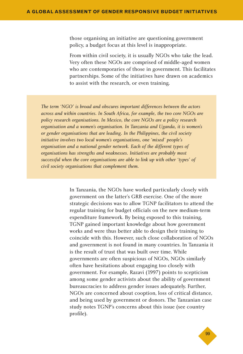those organising an initiative are questioning government policy, a budget focus at this level is inappropriate.

From within civil society, it is usually NGOs who take the lead. Very often these NGOs are comprised of middle-aged women who are contemporaries of those in government. This facilitates partnerships. Some of the initiatives have drawn on academics to assist with the research, or even training.

*The term 'NGO' is broad and obscures important differences between the actors across and within countries. In South Africa, for example, the two core NGOs are policy research organisations. In Mexico, the core NGOs are a policy research organisation and a women's organisation. In Tanzania and Uganda, it is women's or gender organisations that are leading. In the Philippines, the civil society initiative involves two local women's organisations, one 'mixed' people's organisation and a national gender network. Each of the different types of organisations has strengths and weaknesses. Initiatives are probably most successful when the core organisations are able to link up with other 'types' of civil society organisations that complement them.*

> In Tanzania, the NGOs have worked particularly closely with government on the latter's GRB exercise. One of the more strategic decisions was to allow TGNP facilitators to attend the regular training for budget officials on the new medium-term expenditure framework. By being exposed to this training, TGNP gained important knowledge about how government works and were thus better able to design their training to coincide with this. However, such close collaboration of NGOs and government is not found in many countries. In Tanzania it is the result of trust that was built over time. While governments are often suspicious of NGOs, NGOs similarly often have hesitations about engaging too closely with government. For example, Razavi (1997) points to scepticism among some gender activists about the ability of government bureaucracies to address gender issues adequately. Further, NGOs are concerned about cooption, loss of critical distance, and being used by government or donors. The Tanzanian case study notes TGNP's concerns about this issue (see country profile).

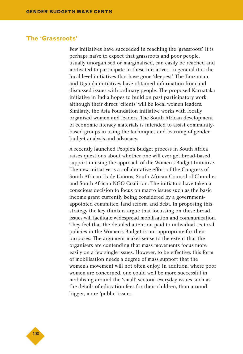#### **The 'Grassroots'**

Few initiatives have succeeded in reaching the 'grassroots'. It is perhaps naïve to expect that grassroots and poor people, usually unorganised or marginalised, can easily be reached and motivated to participate in these initiatives. In general it is the local level initiatives that have gone 'deepest'. The Tanzanian and Uganda initiatives have obtained information from and discussed issues with ordinary people. The proposed Karnataka initiative in India hopes to build on past participatory work, although their direct 'clients' will be local women leaders. Similarly, the Asia Foundation initiative works with locally organised women and leaders. The South African development of economic literacy materials is intended to assist communitybased groups in using the techniques and learning of gender budget analysis and advocacy.

A recently launched People's Budget process in South Africa raises questions about whether one will ever get broad-based support in using the approach of the Women's Budget Initiative. The new initiative is a collaborative effort of the Congress of South African Trade Unions, South African Council of Churches and South African NGO Coalition. The initiators have taken a conscious decision to focus on macro issues such as the basic income grant currently being considered by a governmentappointed committee, land reform and debt. In proposing this strategy the key thinkers argue that focussing on these broad issues will facilitate widespread mobilisation and communication. They feel that the detailed attention paid to individual sectoral policies in the Women's Budget is not appropriate for their purposes. The argument makes sense to the extent that the organisers are contending that mass movements focus more easily on a few single issues. However, to be effective, this form of mobilisation needs a degree of mass support that the women's movement will not often enjoy. In addition, where poor women are concerned, one could well be more successful in mobilising around the 'small', sectoral everyday issues such as the details of education fees for their children, than around bigger, more 'public' issues.

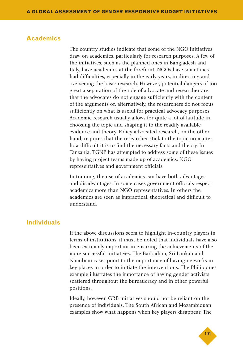#### **Academics**

The country studies indicate that some of the NGO initiatives draw on academics, particularly for research purposes. A few of the initiatives, such as the planned ones in Bangladesh and Italy, have academics at the forefront. NGOs have sometimes had difficulties, especially in the early years, in directing and overseeing the basic research. However, potential dangers of too great a separation of the role of advocate and researcher are that the advocates do not engage sufficiently with the content of the arguments or, alternatively, the researchers do not focus sufficiently on what is useful for practical advocacy purposes. Academic research usually allows for quite a lot of latitude in choosing the topic and shaping it to the readily available evidence and theory. Policy-advocated research, on the other hand, requires that the researcher stick to the topic no matter how difficult it is to find the necessary facts and theory. In Tanzania, TGNP has attempted to address some of these issues by having project teams made up of academics, NGO representatives and government officials.

In training, the use of academics can have both advantages and disadvantages. In some cases government officials respect academics more than NGO representatives. In others the academics are seen as impractical, theoretical and difficult to understand.

#### **Individuals**

If the above discussions seem to highlight in-country players in terms of institutions, it must be noted that individuals have also been extremely important in ensuring the achievements of the more successful initiatives. The Barbadian, Sri Lankan and Namibian cases point to the importance of having networks in key places in order to initiate the interventions. The Philippines example illustrates the importance of having gender activists scattered throughout the bureaucracy and in other powerful positions.

Ideally, however, GRB initiatives should not be reliant on the presence of individuals. The South African and Mozambiquan examples show what happens when key players disappear. The

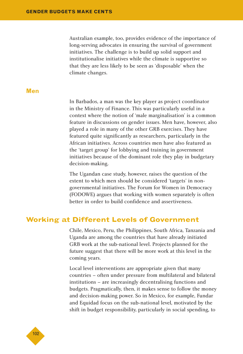Australian example, too, provides evidence of the importance of long-serving advocates in ensuring the survival of government initiatives. The challenge is to build up solid support and institutionalise initiatives while the climate is supportive so that they are less likely to be seen as 'disposable' when the climate changes.

#### **Men**

In Barbados, a man was the key player as project coordinator in the Ministry of Finance. This was particularly useful in a context where the notion of 'male marginalisation' is a common feature in discussions on gender issues. Men have, however, also played a role in many of the other GRB exercises. They have featured quite significantly as researchers, particularly in the African initiatives. Across countries men have also featured as the 'target group' for lobbying and training in government initiatives because of the dominant role they play in budgetary decision-making.

The Ugandan case study, however, raises the question of the extent to which men should be considered 'targets' in nongovernmental initiatives. The Forum for Women in Democracy (FODOWE) argues that working with women separately is often better in order to build confidence and assertiveness.

# **Working at Different Levels of Government**

Chile, Mexico, Peru, the Philippines, South Africa, Tanzania and Uganda are among the countries that have already initiated GRB work at the sub-national level. Projects planned for the future suggest that there will be more work at this level in the coming years.

Local level interventions are appropriate given that many countries – often under pressure from multilateral and bilateral institutions – are increasingly decentralising functions and budgets. Pragmatically, then, it makes sense to follow the money and decision-making power. So in Mexico, for example, Fundar and Equidad focus on the sub-national level, motivated by the shift in budget responsibility, particularly in social spending, to

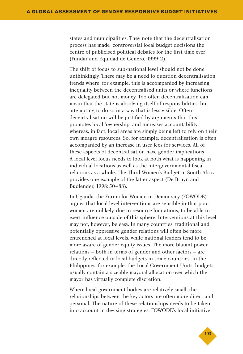states and municipalities. They note that the decentralisation process has made 'controversial local budget decisions the centre of publicised political debates for the first time ever' (Fundar and Equidad de Genero, 1999:2).

The shift of focus to sub-national level should not be done unthinkingly. There may be a need to question decentralisation trends where, for example, this is accompanied by increasing inequality between the decentralised units or where functions are delegated but not money. Too often decentralisation can mean that the state is absolving itself of responsibilities, but attempting to do so in a way that is less visible. Often decentralisation will be justified by arguments that this promotes local 'ownership' and increases accountability whereas, in fact, local areas are simply being left to rely on their own meagre resources. So, for example, decentralisation is often accompanied by an increase in user fees for services. All of these aspects of decentralisation have gender implications. A local level focus needs to look at both what is happening in individual locations as well as the intergovernmental fiscal relations as a whole. The Third Women's Budget in South Africa provides one example of the latter aspect (De Bruyn and Budlender, 1998:50–88).

In Uganda, the Forum for Women in Democracy (FOWODE) argues that local level interventions are sensible in that poor women are unlikely, due to resource limitations, to be able to exert influence outside of this sphere. Interventions at this level may not, however, be easy. In many countries, traditional and potentially oppressive gender relations will often be more entrenched at local levels, while national leaders tend to be more aware of gender equity issues. The more blatant power relations – both in terms of gender and other factors – are directly reflected in local budgets in some countries. In the Philippines, for example, the Local Government Units' budgets usually contain a sizeable mayoral allocation over which the mayor has virtually complete discretion.

Where local government bodies are relatively small, the relationships between the key actors are often more direct and personal. The nature of these relationships needs to be taken into account in devising strategies. FOWODE's local initiative

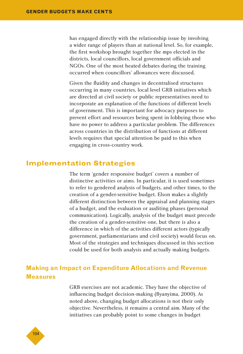has engaged directly with the relationship issue by involving a wider range of players than at national level. So, for example, the first workshop brought together the mps elected in the districts, local councillors, local government officials and NGOs. One of the most heated debates during the training occurred when councillors' allowances were discussed.

Given the fluidity and changes in decentralised structures occurring in many countries, local level GRB initiatives which are directed at civil society or public representatives need to incorporate an explanation of the functions of different levels of government. This is important for advocacy purposes to prevent effort and resources being spent in lobbying those who have no power to address a particular problem. The differences across countries in the distribution of functions at different levels requires that special attention be paid to this when engaging in cross-country work.

### **Implementation Strategies**

The term 'gender responsive budget' covers a number of distinctive activities or aims. In particular, it is used sometimes to refer to gendered analysis of budgets, and other times, to the creation of a gender-sensitive budget. Elson makes a slightly different distinction between the appraisal and planning stages of a budget, and the evaluation or auditing phases (personal communication). Logically, analysis of the budget must precede the creation of a gender-sensitive one, but there is also a difference in which of the activities different actors (typically government, parliamentarians and civil society) would focus on. Most of the strategies and techniques discussed in this section could be used for both analysis and actually making budgets.

# **Making an Impact on Expenditure Allocations and Revenue Measures**

GRB exercises are not academic. They have the objective of influencing budget decision-making (Byanyima, 2000). As noted above, changing budget allocations is not their only objective. Nevertheless, it remains a central aim. Many of the initiatives can probably point to some changes in budget

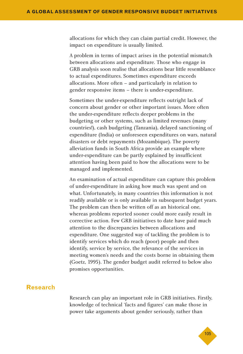allocations for which they can claim partial credit. However, the impact on expenditure is usually limited.

A problem in terms of impact arises in the potential mismatch between allocations and expenditure. Those who engage in GRB analysis soon realise that allocations bear little resemblance to actual expenditures. Sometimes expenditure exceeds allocations. More often – and particularly in relation to gender responsive items – there is under-expenditure.

Sometimes the under-expenditure reflects outright lack of concern about gender or other important issues. More often the under-expenditure reflects deeper problems in the budgeting or other systems, such as limited revenues (many countries!), cash budgeting (Tanzania), delayed sanctioning of expenditure (India) or unforeseen expenditures on wars, natural disasters or debt repayments (Mozambique). The poverty alleviation funds in South Africa provide an example where under-expenditure can be partly explained by insufficient attention having been paid to how the allocations were to be managed and implemented.

An examination of actual expenditure can capture this problem of under-expenditure in asking how much was spent and on what. Unfortunately, in many countries this information is not readily available or is only available in subsequent budget years. The problem can then be written off as an historical one, whereas problems reported sooner could more easily result in corrective action. Few GRB initiatives to date have paid much attention to the discrepancies between allocations and expenditure. One suggested way of tackling the problem is to identify services which do reach (poor) people and then identify, service by service, the relevance of the services in meeting women's needs and the costs borne in obtaining them (Goetz, 1995). The gender budget audit referred to below also promises opportunities.

#### **Research**

Research can play an important role in GRB initiatives. Firstly, knowledge of technical 'facts and figures' can make those in power take arguments about gender seriously, rather than

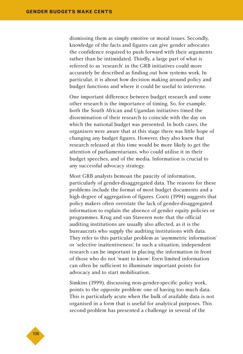dismissing them as simply emotive or moral issues. Secondly, knowledge of the facts and figures can give gender advocates the confidence required to push forward with their arguments rather than be intimidated. Thirdly, a large part of what is referred to as 'research' in the GRB initiatives could more accurately be described as finding out how systems work. In particular, it is about how decision making around policy and budget functions and where it could be useful to intervene.

One important difference between budget research and some other research is the importance of timing. So, for example, both the South African and Ugandan initiatives timed the dissemination of their research to coincide with the day on which the national budget was presented. In both cases, the organisers were aware that at this stage there was little hope of changing any budget figures. However, they also knew that research released at this time would be more likely to get the attention of parliamentarians, who could utilise it in their budget speeches, and of the media. Information is crucial to any successful advocacy strategy.

Most GRB analysts bemoan the paucity of information, particularly of gender-disaggregated data. The reasons for these problems include the format of most budget documents and a high degree of aggregation of figures. Goetz (1994) suggests that policy makers often overstate the lack of gender-disaggregated information to explain the absence of gender equity policies or programmes. Krug and van Staveren note that the official auditing institutions are usually also affected, as it is the bureaucrats who supply the auditing institutions with data. They refer to this particular problem as 'asymmetric information' or 'selective inattentiveness'. In such a situation, independent research can be important in placing the information in front of those who do not 'want to know'. Even limited information can often be sufficient to illuminate important points for advocacy and to start mobilisation.

Simkins (1999), discussing non-gender-specific policy work, points to the opposite problem: one of having too much data. This is particularly acute when the bulk of available data is not organised in a form that is useful for analytical purposes. This second problem has presented a challenge in several of the

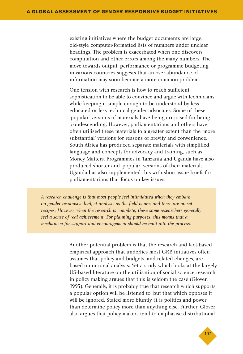existing initiatives where the budget documents are large, old-style computer-formatted lists of numbers under unclear headings. The problem is exacerbated when one discovers computation and other errors among the many numbers. The move towards output, performance or programme budgeting in various countries suggests that an over-abundance of information may soon become a more common problem.

One tension with research is how to reach sufficient sophistication to be able to convince and argue with technicians, while keeping it simple enough to be understood by less educated or less technical gender advocates. Some of these 'popular' versions of materials have being criticised for being 'condescending'. However, parliamentarians and others have often utilised these materials to a greater extent than the 'more substantial' versions for reasons of brevity and convenience. South Africa has produced separate materials with simplified language and concepts for advocacy and training, such as Money Matters. Programmes in Tanzania and Uganda have also produced shorter and 'popular' versions of their materials. Uganda has also supplemented this with short issue briefs for parliamentarians that focus on key issues.

*A research challenge is that most people feel intimidated when they embark on gender responsive budget analysis as the field is new and there are no set recipes. However, when the research is complete, these same researchers generally feel a sense of real achievement. For planning purposes, this means that a mechanism for support and encouragement should be built into the process.*

> Another potential problem is that the research and fact-based empirical approach that underlies most GRB initiatives often assumes that policy and budgets, and related changes, are based on rational analysis. Yet a study which looks at the largely US-based literature on the utilisation of social science research in policy making argues that this is seldom the case (Glover, 1993). Generally, it is probably true that research which supports a popular option will be listened to, but that which opposes it will be ignored. Stated more bluntly, it is politics and power than determine policy more than anything else. Further, Glover also argues that policy makers tend to emphasise distributional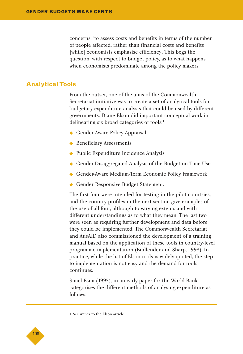concerns, 'to assess costs and benefits in terms of the number of people affected, rather than financial costs and benefits [while] economists emphasise efficiency'. This begs the question, with respect to budget policy, as to what happens when economists predominate among the policy makers.

#### **Analytical Tools**

From the outset, one of the aims of the Commonwealth Secretariat initiative was to create a set of analytical tools for budgetary expenditure analysis that could be used by different governments. Diane Elson did important conceptual work in delineating six broad categories of tools:<sup>1</sup>

- ◆ Gender-Aware Policy Appraisal
- ◆ Beneficiary Assessments
- ◆ Public Expenditure Incidence Analysis
- ◆ Gender-Disaggregated Analysis of the Budget on Time Use
- ◆ Gender-Aware Medium-Term Economic Policy Framework
- ◆ Gender Responsive Budget Statement.

The first four were intended for testing in the pilot countries, and the country profiles in the next section give examples of the use of all four, although to varying extents and with different understandings as to what they mean. The last two were seen as requiring further development and data before they could be implemented. The Commonwealth Secretariat and AusAID also commissioned the development of a training manual based on the application of these tools in country-level programme implementation (Budlender and Sharp, 1998). In practice, while the list of Elson tools is widely quoted, the step to implementation is not easy and the demand for tools continues.

Simel Esim (1995), in an early paper for the World Bank, categorises the different methods of analysing expenditure as follows:

1 See Annex to the Elson article.

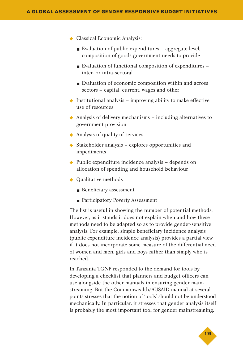- ◆ Classical Economic Analysis:
	- Evaluation of public expenditures aggregate level, composition of goods government needs to provide
	- Evaluation of functional composition of expenditures inter- or intra-sectoral
	- Evaluation of economic composition within and across sectors – capital, current, wages and other
- $\blacklozenge$  Institutional analysis improving ability to make effective use of resources
- $\triangle$  Analysis of delivery mechanisms including alternatives to government provision
- ◆ Analysis of quality of services
- ◆ Stakeholder analysis explores opportunities and impediments
- ◆ Public expenditure incidence analysis depends on allocation of spending and household behaviour
- ◆ Oualitative methods
	- Beneficiary assessment
	- Participatory Poverty Assessment

The list is useful in showing the number of potential methods. However, as it stands it does not explain when and how these methods need to be adapted so as to provide gender-sensitive analysis. For example, simple beneficiary incidence analysis (public expenditure incidence analysis) provides a partial view if it does not incorporate some measure of the differential need of women and men, girls and boys rather than simply who is reached.

In Tanzania TGNP responded to the demand for tools by developing a checklist that planners and budget officers can use alongside the other manuals in ensuring gender mainstreaming. But the Commonwealth/AUSAID manual at several points stresses that the notion of 'tools' should not be understood mechanically. In particular, it stresses that gender analysis itself is probably the most important tool for gender mainstreaming.

◆109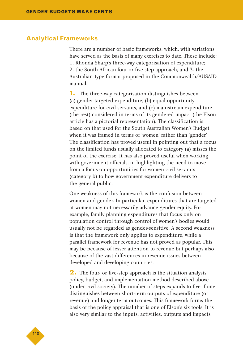#### **Analytical Frameworks**

There are a number of basic frameworks, which, with variations, have served as the basis of many exercises to date. These include: 1. Rhonda Sharp's three-way categorisation of expenditure; 2. the South African four or five step approach; and 3. the Australian-type format proposed in the Commonwealth/AUSAID manual.

**1.** The three-way categorisation distinguishes between (a) gender-targeted expenditure; (b) equal opportunity expenditure for civil servants; and (c) mainstream expenditure (the rest) considered in terms of its gendered impact (the Elson article has a pictorial representation). The classification is based on that used for the South Australian Women's Budget when it was framed in terms of 'women' rather than 'gender'. The classification has proved useful in pointing out that a focus on the limited funds usually allocated to category (a) misses the point of the exercise. It has also proved useful when working with government officials, in highlighting the need to move from a focus on opportunities for women civil servants (category b) to how government expenditure delivers to the general public.

One weakness of this framework is the confusion between women and gender. In particular, expenditures that are targeted at women may not necessarily advance gender equity. For example, family planning expenditures that focus only on population control through control of women's bodies would usually not be regarded as gender-sensitive. A second weakness is that the framework only applies to expenditure, while a parallel framework for revenue has not proved as popular. This may be because of lesser attention to revenue but perhaps also because of the vast differences in revenue issues between developed and developing countries.

**2.** The four- or five-step approach is the situation analysis, policy, budget, and implementation method described above (under civil society). The number of steps expands to five if one distinguishes between short-term outputs of expenditure (or revenue) and longer-term outcomes. This framework forms the basis of the policy appraisal that is one of Elson's six tools. It is also very similar to the inputs, activities, outputs and impacts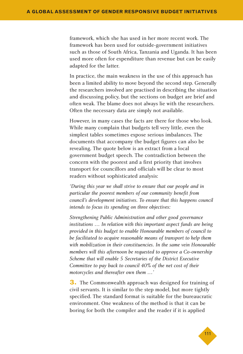framework, which she has used in her more recent work. The framework has been used for outside-government initiatives such as those of South Africa, Tanzania and Uganda. It has been used more often for expenditure than revenue but can be easily adapted for the latter.

In practice, the main weakness in the use of this approach has been a limited ability to move beyond the second step. Generally the researchers involved are practised in describing the situation and discussing policy, but the sections on budget are brief and often weak. The blame does not always lie with the researchers. Often the necessary data are simply not available.

However, in many cases the facts are there for those who look. While many complain that budgets tell very little, even the simplest tables sometimes expose serious imbalances. The documents that accompany the budget figures can also be revealing. The quote below is an extract from a local government budget speech. The contradiction between the concern with the poorest and a first priority that involves transport for councillors and officials will be clear to most readers without sophisticated analysis:

*'During this year we shall strive to ensure that our people and in particular the poorest members of our community benefit from council's development initiatives. To ensure that this happens council intends to focus its spending on three objectives:*

*Strengthening Public Administration and other good governance institutions … In relation with this important aspect funds are being provided in this budget to enable Honourable members of council to be facilitated to acquire reasonable means of transport to help them with mobilization in their constituencies. In the same vein Honourable members will this afternoon be requested to approve a Co-ownership Scheme that will enable 5 Secretaries of the District Executive Committee to pay back to council 40% of the net cost of their motorcycles and thereafter own them …'*

**3.** The Commonwealth approach was designed for training of civil servants. It is similar to the step model, but more tightly specified. The standard format is suitable for the bureaucratic environment. One weakness of the method is that it can be boring for both the compiler and the reader if it is applied

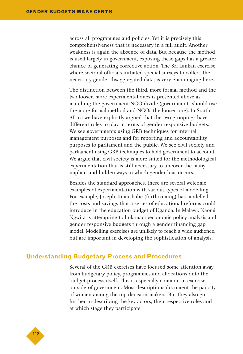across all programmes and policies. Yet it is precisely this comprehensiveness that is necessary in a full audit. Another weakness is again the absence of data. But because the method is used largely in government, exposing these gaps has a greater chance of generating corrective action. The Sri Lankan exercise, where sectoral officials initiated special surveys to collect the necessary gender-disaggregated data, is very encouraging here.

The distinction between the third, more formal method and the two looser, more experimental ones is presented above as matching the government-NGO divide (governments should use the more formal method and NGOs the looser one). In South Africa we have explicitly argued that the two groupings have different roles to play in terms of gender responsive budgets. We see governments using GRB techniques for internal management purposes and for reporting and accountability purposes to parliament and the public. We see civil society and parliament using GRB techniques to hold government to account. We argue that civil society is more suited for the methodological experimentation that is still necessary to uncover the many implicit and hidden ways in which gender bias occurs.

Besides the standard approaches, there are several welcome examples of experimentation with various types of modelling. For example, Joseph Tumushabe (forthcoming) has modelled the costs and savings that a series of educational reforms could introduce in the education budget of Uganda. In Malawi, Naomi Ngwira is attempting to link macroeconomic policy analysis and gender responsive budgets through a gender financing gap model. Modelling exercises are unlikely to reach a wide audience, but are important in developing the sophistication of analysis.

## **Understanding Budgetary Process and Procedures**

Several of the GRB exercises have focused some attention away from budgetary policy, programmes and allocations onto the budget process itself. This is especially common in exercises outside-of-government. Most descriptions document the paucity of women among the top decision-makers. But they also go further in describing the key actors, their respective roles and at which stage they participate.

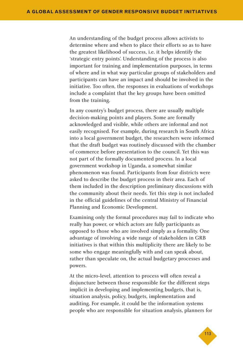An understanding of the budget process allows activists to determine where and when to place their efforts so as to have the greatest likelihood of success, i.e. it helps identify the 'strategic entry points'. Understanding of the process is also important for training and implementation purposes, in terms of where and in what way particular groups of stakeholders and participants can have an impact and should be involved in the initiative. Too often, the responses in evaluations of workshops include a complaint that the key groups have been omitted from the training.

In any country's budget process, there are usually multiple decision-making points and players. Some are formally acknowledged and visible, while others are informal and not easily recognised. For example, during research in South Africa into a local government budget, the researchers were informed that the draft budget was routinely discussed with the chamber of commerce before presentation to the council. Yet this was not part of the formally documented process. In a local government workshop in Uganda, a somewhat similar phenomenon was found. Participants from four districts were asked to describe the budget process in their area. Each of them included in the description preliminary discussions with the community about their needs. Yet this step is not included in the official guidelines of the central Ministry of Financial Planning and Economic Development.

Examining only the formal procedures may fail to indicate who really has power, or which actors are fully participants as opposed to those who are involved simply as a formality. One advantage of involving a wide range of stakeholders in GRB initiatives is that within this multiplicity there are likely to be some who engage meaningfully with and can speak about, rather than speculate on, the actual budgetary processes and powers.

At the micro-level, attention to process will often reveal a disjuncture between those responsible for the different steps implicit in developing and implementing budgets, that is, situation analysis, policy, budgets, implementation and auditing. For example, it could be the information systems people who are responsible for situation analysis, planners for

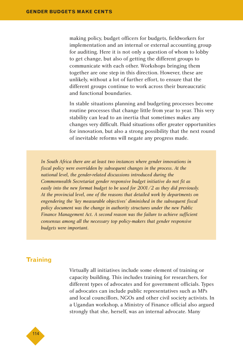making policy, budget officers for budgets, fieldworkers for implementation and an internal or external accounting group for auditing. Here it is not only a question of whom to lobby to get change, but also of getting the different groups to communicate with each other. Workshops bringing them together are one step in this direction. However, these are unlikely, without a lot of further effort, to ensure that the different groups continue to work across their bureaucratic and functional boundaries.

In stable situations planning and budgeting processes become routine processes that change little from year to year. This very stability can lead to an inertia that sometimes makes any changes very difficult. Fluid situations offer greater opportunities for innovation, but also a strong possibility that the next round of inevitable reforms will negate any progress made.

*In South Africa there are at least two instances where gender innovations in fiscal policy were overridden by subsequent changes in the process. At the national level, the gender-related discussions introduced during the Commonwealth Secretariat gender responsive budget initiative do not fit as easily into the new format budget to be used for 2001/2 as they did previously. At the provincial level, one of the reasons that detailed work by departments on engendering the 'key measurable objectives' diminished in the subsequent fiscal policy document was the change in authority structures under the new Public Finance Management Act. A second reason was the failure to achieve sufficient consensus among all the necessary top policy-makers that gender responsive budgets were important.*

## **Training**

Virtually all initiatives include some element of training or capacity building. This includes training for researchers, for different types of advocates and for government officials. Types of advocates can include public representatives such as MPs and local councillors, NGOs and other civil society activists. In a Ugandan workshop, a Ministry of Finance official also argued strongly that she, herself, was an internal advocate. Many

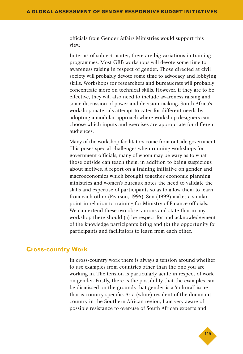officials from Gender Affairs Ministries would support this view.

In terms of subject matter, there are big variations in training programmes. Most GRB workshops will devote some time to awareness raising in respect of gender. Those directed at civil society will probably devote some time to advocacy and lobbying skills. Workshops for researchers and bureaucrats will probably concentrate more on technical skills. However, if they are to be effective, they will also need to include awareness raising and some discussion of power and decision-making. South Africa's workshop materials attempt to cater for different needs by adopting a modular approach where workshop designers can choose which inputs and exercises are appropriate for different audiences.

Many of the workshop facilitators come from outside government. This poses special challenges when running workshops for government officials, many of whom may be wary as to what those outside can teach them, in addition to being suspicious about motives. A report on a training initiative on gender and macroeconomics which brought together economic planning ministries and women's bureaux notes the need to validate the skills and expertise of participants so as to allow them to learn from each other (Pearson, 1995). Sen (1999) makes a similar point in relation to training for Ministry of Finance officials. We can extend these two observations and state that in any workshop there should (a) be respect for and acknowledgement of the knowledge participants bring and (b) the opportunity for participants and facilitators to learn from each other.

#### **Cross-country Work**

In cross-country work there is always a tension around whether to use examples from countries other than the one you are working in. The tension is particularly acute in respect of work on gender. Firstly, there is the possibility that the examples can be dismissed on the grounds that gender is a 'cultural' issue that is country-specific. As a (white) resident of the dominant country in the Southern African region, I am very aware of possible resistance to over-use of South African experts and

◆115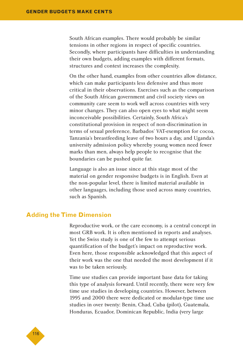South African examples. There would probably be similar tensions in other regions in respect of specific countries. Secondly, where participants have difficulties in understanding their own budgets, adding examples with different formats, structures and context increases the complexity.

On the other hand, examples from other countries allow distance, which can make participants less defensive and thus more critical in their observations. Exercises such as the comparison of the South African government and civil society views on community care seem to work well across countries with very minor changes. They can also open eyes to what might seem inconceivable possibilities. Certainly, South Africa's constitutional provision in respect of non-discrimination in terms of sexual preference, Barbados' VAT-exemption for cocoa, Tanzania's breastfeeding leave of two hours a day, and Uganda's university admission policy whereby young women need fewer marks than men, always help people to recognise that the boundaries can be pushed quite far.

Language is also an issue since at this stage most of the material on gender responsive budgets is in English. Even at the non-popular level, there is limited material available in other languages, including those used across many countries, such as Spanish.

#### **Adding the Time Dimension**

Reproductive work, or the care economy, is a central concept in most GRB work. It is often mentioned in reports and analyses. Yet the Swiss study is one of the few to attempt serious quantification of the budget's impact on reproductive work. Even here, those responsible acknowledged that this aspect of their work was the one that needed the most development if it was to be taken seriously.

Time use studies can provide important base data for taking this type of analysis forward. Until recently, there were very few time use studies in developing countries. However, between 1995 and 2000 there were dedicated or modular-type time use studies in over twenty: Benin, Chad, Cuba (pilot), Guatemala, Honduras, Ecuador, Dominican Republic, India (very large

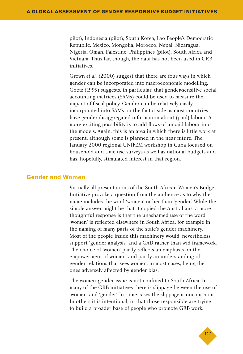pilot), Indonesia (pilot), South Korea, Lao People's Democratic Republic, Mexico, Mongolia, Morocco, Nepal, Nicaragua, Nigeria, Oman, Palestine, Philippines (pilot), South Africa and Vietnam. Thus far, though, the data has not been used in GRB initiatives.

Grown *et al.* (2000) suggest that there are four ways in which gender can be incorporated into macroeconomic modelling. Goetz (1995) suggests, in particular, that gender-sensitive social accounting matrices (SAMs) could be used to measure the impact of fiscal policy. Gender can be relatively easily incorporated into SAMs on the factor side as most countries have gender-disaggregated information about (paid) labour. A more exciting possibility is to add flows of unpaid labour into the models. Again, this is an area in which there is little work at present, although some is planned in the near future. The January 2000 regional UNIFEM workshop in Cuba focused on household and time use surveys as well as national budgets and has, hopefully, stimulated interest in that region.

## **Gender and Women**

Virtually all presentations of the South African Women's Budget Initiative provoke a question from the audience as to why the name includes the word 'women' rather than 'gender'. While the simple answer might be that it copied the Australians, a more thoughtful response is that the unashamed use of the word 'women' is reflected elsewhere in South Africa, for example in the naming of many parts of the state's gender machinery. Most of the people inside this machinery would, nevertheless, support 'gender analysis' and a GAD rather than wid framework. The choice of 'women' partly reflects an emphasis on the empowerment of women, and partly an understanding of gender relations that sees women, in most cases, being the ones adversely affected by gender bias.

The women-gender issue is not confined to South Africa. In many of the GRB initiatives there is slippage between the use of 'women' and 'gender'. In some cases the slippage is unconscious. In others it is intentional, in that those responsible are trying to build a broader base of people who promote GRB work.

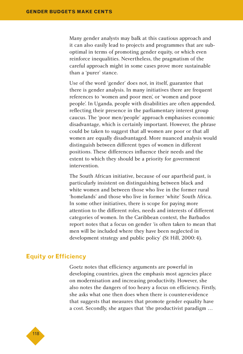Many gender analysts may balk at this cautious approach and it can also easily lead to projects and programmes that are suboptimal in terms of promoting gender equity, or which even reinforce inequalities. Nevertheless, the pragmatism of the careful approach might in some cases prove more sustainable than a 'purer' stance.

Use of the word 'gender' does not, in itself, guarantee that there is gender analysis. In many initiatives there are frequent references to 'women and poor men', or 'women and poor people'. In Uganda, people with disabilities are often appended, reflecting their presence in the parliamentary interest group caucus. The 'poor men/people' approach emphasises economic disadvantage, which is certainly important. However, the phrase could be taken to suggest that all women are poor or that all women are equally disadvantaged. More nuanced analysis would distinguish between different types of women in different positions. These differences influence their needs and the extent to which they should be a priority for government intervention.

The South African initiative, because of our apartheid past, is particularly insistent on distinguishing between black and white women and between those who live in the former rural 'homelands' and those who live in former 'white' South Africa. In some other initiatives, there is scope for paying more attention to the different roles, needs and interests of different categories of women. In the Caribbean context, the Barbados report notes that a focus on gender 'is often taken to mean that men will be included where they have been neglected in development strategy and public policy' (St Hill, 2000:4).

#### **Equity or Efficiency**

Goetz notes that efficiency arguments are powerful in developing countries, given the emphasis most agencies place on modernisation and increasing productivity. However, she also notes the dangers of too heavy a focus on efficiency. Firstly, she asks what one then does when there is counter-evidence that suggests that measures that promote gender equality have a cost. Secondly, she argues that 'the productivist paradigm …

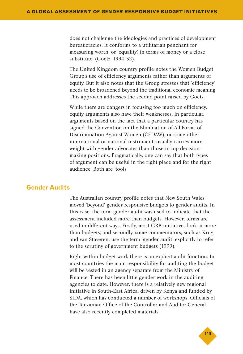does not challenge the ideologies and practices of development bureaucracies. It conforms to a utilitarian penchant for measuring worth, or 'equality', in terms of money or a close substitute' (Goetz, 1994:32).

The United Kingdom country profile notes the Women Budget Group's use of efficiency arguments rather than arguments of equity. But it also notes that the Group stresses that 'efficiency' needs to be broadened beyond the traditional economic meaning. This approach addresses the second point raised by Goetz.

While there are dangers in focusing too much on efficiency, equity arguments also have their weaknesses. In particular, arguments based on the fact that a particular country has signed the Convention on the Elimination of All Forms of Discrimination Against Women (CEDAW), or some other international or national instrument, usually carries more weight with gender advocates than those in top decisionmaking positions. Pragmatically, one can say that both types of argument can be useful in the right place and for the right audience. Both are 'tools'

## **Gender Audits**

The Australian country profile notes that New South Wales moved 'beyond' gender responsive budgets to gender audits. In this case, the term gender audit was used to indicate that the assessment included more than budgets. However, terms are used in different ways. Firstly, most GRB initiatives look at more than budgets; and secondly, some commentators, such as Krug and van Staveren, use the term 'gender audit' explicitly to refer to the scrutiny of government budgets (1999).

Right within budget work there is an explicit audit function. In most countries the main responsibility for auditing the budget will be vested in an agency separate from the Ministry of Finance. There has been little gender work in the auditing agencies to date. However, there is a relatively new regional initiative in South-East Africa, driven by Kenya and funded by SIDA, which has conducted a number of workshops. Officials of the Tanzanian Office of the Controller and Auditor-General have also recently completed materials.

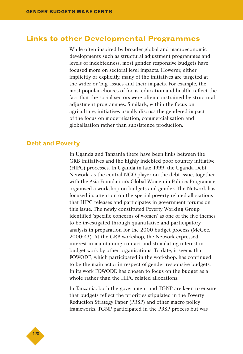## **Links to other Developmental Programmes**

While often inspired by broader global and macroeconomic developments such as structural adjustment programmes and levels of indebtedness, most gender responsive budgets have focused more on sectoral level impacts. However, either implicitly or explicitly, many of the initiatives are targeted at the wider or 'big' issues and their impacts. For example, the most popular choices of focus, education and health, reflect the fact that the social sectors were often constrained by structural adjustment programmes. Similarly, within the focus on agriculture, initiatives usually discuss the gendered impact of the focus on modernisation, commercialisation and globalisation rather than subsistence production.

#### **Debt and Poverty**

In Uganda and Tanzania there have been links between the GRB initiatives and the highly indebted poor country initiative (HIPC) processes. In Uganda in late 1999, the Uganda Debt Network, as the central NGO player on the debt issue, together with the Asia Foundation's Global Women in Politics Programme, organised a workshop on budgets and gender. The Network has focused its attention on the special poverty-related allocations that HIPC releases and participates in government forums on this issue. The newly constituted Poverty Working Group identified 'specific concerns of women' as one of the five themes to be investigated through quantitative and participatory analysis in preparation for the 2000 budget process (McGee, 2000:43). At the GRB workshop, the Network expressed interest in maintaining contact and stimulating interest in budget work by other organisations. To date, it seems that FOWODE, which participated in the workshop, has continued to be the main actor in respect of gender responsive budgets. In its work FOWODE has chosen to focus on the budget as a whole rather than the HIPC related allocations.

In Tanzania, both the government and TGNP are keen to ensure that budgets reflect the priorities stipulated in the Poverty Reduction Strategy Paper (PRSP) and other macro policy frameworks, TGNP participated in the PRSP process but was

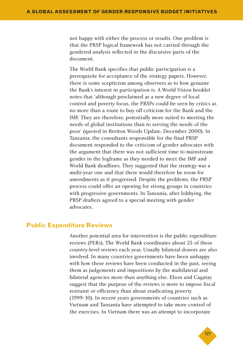not happy with either the process or results. One problem is that the PRSP logical framework has not carried through the gendered analysis reflected in the discursive parts of the document.

The World Bank specifies that public participation is a prerequisite for acceptance of the strategy papers. However, there is some scepticism among observers as to how genuine the Bank's interest in participation is. A World Vision booklet notes that 'although proclaimed as a new degree of local control and poverty focus, the PRSPs could be seen by critics as no more than a route to buy off criticism for the Bank and the IMF. They are therefore, potentially more suited to meeting the needs of global institutions than to serving the needs of the poor' (quoted in Bretton Woods Update, December 2000). In Tanzania, the consultants responsible for the final PRSP document responded to the criticism of gender advocates with the argument that there was not sufficient time to mainstream gender in the logframe as they needed to meet the IMF and World Bank deadlines. They suggested that the strategy was a multi-year one and that there would therefore be room for amendments as it progressed. Despite the problems, the PRSP process could offer an opening for strong groups in countries with progressive governments. In Tanzania, after lobbying, the PRSP drafters agreed to a special meeting with gender advocates.

#### **Public Expenditure Reviews**

Another potential area for intervention is the public expenditure reviews (PERs). The World Bank coordinates about 25 of these country-level reviews each year. Usually bilateral donors are also involved. In many countries governments have been unhappy with how these reviews have been conducted in the past, seeing them as judgements and impositions by the multilateral and bilateral agencies more than anything else. Elson and Cagatay suggest that the purpose of the reviews is more to impose fiscal restraint or efficiency than about eradicating poverty (1999:10). In recent years governments of countries such as Vietnam and Tanzania have attempted to take more control of the exercises. In Vietnam there was an attempt to incorporate

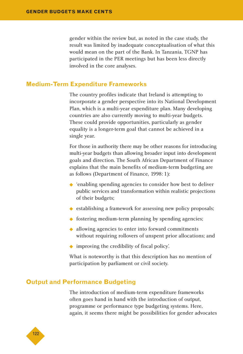gender within the review but, as noted in the case study, the result was limited by inadequate conceptualisation of what this would mean on the part of the Bank. In Tanzania, TGNP has participated in the PER meetings but has been less directly involved in the core analyses.

#### **Medium-Term Expenditure Frameworks**

The country profiles indicate that Ireland is attempting to incorporate a gender perspective into its National Development Plan, which is a multi-year expenditure plan. Many developing countries are also currently moving to multi-year budgets. These could provide opportunities, particularly as gender equality is a longer-term goal that cannot be achieved in a single year.

For those in authority there may be other reasons for introducing multi-year budgets than allowing broader input into development goals and direction. The South African Department of Finance explains that the main benefits of medium-term budgeting are as follows (Department of Finance, 1998: 1):

- ◆ 'enabling spending agencies to consider how best to deliver public services and transformation within realistic projections of their budgets;
- ◆ establishing a framework for assessing new policy proposals;
- ◆ fostering medium-term planning by spending agencies;
- ◆ allowing agencies to enter into forward commitments without requiring rollovers of unspent prior allocations; and
- ◆ improving the credibility of fiscal policy'.

What is noteworthy is that this description has no mention of participation by parliament or civil society.

## **Output and Performance Budgeting**

The introduction of medium-term expenditure frameworks often goes hand in hand with the introduction of output, programme or performance type budgeting systems. Here, again, it seems there might be possibilities for gender advocates

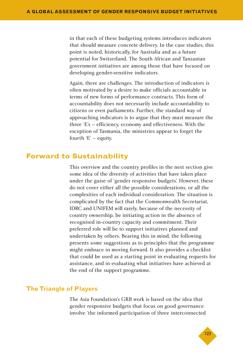in that each of these budgeting systems introduces indicators that should measure concrete delivery. In the case studies, this point is noted, historically, for Australia and as a future potential for Switzerland. The South African and Tanzanian government initiatives are among those that have focused on developing gender-sensitive indicators.

Again, there are challenges. The introduction of indicators is often motivated by a desire to make officials accountable in terms of new forms of performance contracts. This form of accountability does not necessarily include accountability to citizens or even parliaments. Further, the standard way of approaching indicators is to argue that they must measure the three 'E's – efficiency, economy and effectiveness. With the exception of Tasmania, the ministries appear to forget the fourth 'E' – equity.

# **Forward to Sustainability**

This overview and the country profiles in the next section give some idea of the diversity of activities that have taken place under the guise of 'gender responsive budgets'. However, these do not cover either all the possible considerations, or all the complexities of each individual consideration. The situation is complicated by the fact that the Commonwealth Secretariat, IDRC and UNIFEM will rarely, because of the necessity of country ownership, be initiating action in the absence of recognised in-country capacity and commitment. Their preferred role will be to support initiatives planned and undertaken by others. Bearing this in mind, the following presents some suggestions as to principles that the programme might embrace in moving forward. It also provides a checklist that could be used as a starting point in evaluating requests for assistance, and in evaluating what initiatives have achieved at the end of the support programme.

## **The Triangle of Players**

The Asia Foundation's GRB work is based on the idea that gender responsive budgets that focus on good governance involve 'the informed participation of three interconnected

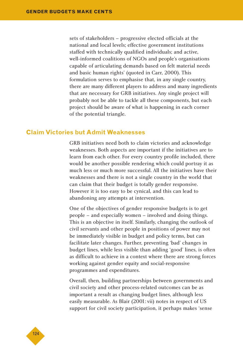sets of stakeholders – progressive elected officials at the national and local levels; effective government institutions staffed with technically qualified individuals; and active, well-informed coalitions of NGOs and people's organisations capable of articulating demands based on felt material needs and basic human rights' (quoted in Carr, 2000). This formulation serves to emphasise that, in any single country, there are many different players to address and many ingredients that are necessary for GRB initiatives. Any single project will probably not be able to tackle all these components, but each project should be aware of what is happening in each corner of the potential triangle.

#### **Claim Victories but Admit Weaknesses**

GRB initiatives need both to claim victories and acknowledge weaknesses. Both aspects are important if the initiatives are to learn from each other. For every country profile included, there would be another possible rendering which could portray it as much less or much more successful. All the initiatives have their weaknesses and there is not a single country in the world that can claim that their budget is totally gender responsive. However it is too easy to be cynical, and this can lead to abandoning any attempts at intervention.

One of the objectives of gender responsive budgets is to get people – and especially women – involved and doing things. This is an objective in itself. Similarly, changing the outlook of civil servants and other people in positions of power may not be immediately visible in budget and policy terms, but can facilitate later changes. Further, preventing 'bad' changes in budget lines, while less visible than adding 'good' lines, is often as difficult to achieve in a context where there are strong forces working against gender equity and social-responsive programmes and expenditures.

Overall, then, building partnerships between governments and civil society and other process-related outcomes can be as important a result as changing budget lines, although less easily measurable. As Blair (2001: vii) notes in respect of US support for civil society participation, it perhaps makes 'sense

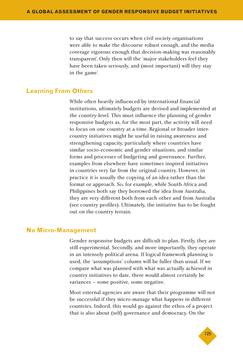to say that success occurs when civil society organisations were able to make the discourse robust enough, and the media coverage vigorous enough that decision-making was reasonably transparent'. Only then will the 'major stakeholders feel they have been taken seriously, and (most important) will they stay in the game'.

#### **Learning From Others**

While often heavily influenced by international financial institutions, ultimately budgets are devised and implemented at the country-level. This must influence the planning of gender responsive budgets as, for the most part, the activity will need to focus on one country at a time. Regional or broader intercountry initiatives might be useful in raising awareness and strengthening capacity, particularly where countries have similar socio-economic and gender situations, and similar forms and processes of budgeting and governance. Further, examples from elsewhere have sometimes inspired initiatives in countries very far from the original country. However, in practice it is usually the copying of an idea rather than the format or approach. So, for example, while South Africa and Philippines both say they borrowed the idea from Australia, they are very different both from each other and from Australia (see country profiles). Ultimately, the initiative has to be fought out on the country terrain.

#### **No Micro-Management**

Gender responsive budgets are difficult to plan. Firstly, they are still experimental. Secondly, and more importantly, they operate in an intensely political arena. If logical framework planning is used, the 'assumptions' column will be fuller than usual. If we compare what was planned with what was actually achieved in country initiatives to date, there would almost certainly be variances – some positive, some negative.

Most external agencies are aware that their programme will not be successful if they micro-manage what happens in different countries. Indeed, this would go against the ethos of a project that is also about (self) governance and democracy. On the

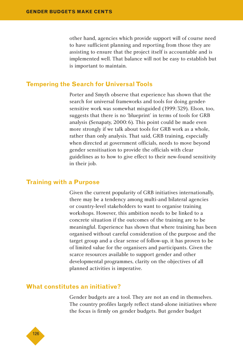other hand, agencies which provide support will of course need to have sufficient planning and reporting from those they are assisting to ensure that the project itself is accountable and is implemented well. That balance will not be easy to establish but is important to maintain.

#### **Tempering the Search for Universal Tools**

Porter and Smyth observe that experience has shown that the search for universal frameworks and tools for doing gendersensitive work was somewhat misguided (1999:329). Elson, too, suggests that there is no 'blueprint' in terms of tools for GRB analysis (Senapaty, 2000:6). This point could be made even more strongly if we talk about tools for GRB work as a whole, rather than only analysis. That said, GRB training, especially when directed at government officials, needs to move beyond gender sensitisation to provide the officials with clear guidelines as to how to give effect to their new-found sensitivity in their job.

#### **Training with a Purpose**

Given the current popularity of GRB initiatives internationally, there may be a tendency among multi-and bilateral agencies or country-level stakeholders to want to organise training workshops. However, this ambition needs to be linked to a concrete situation if the outcomes of the training are to be meaningful. Experience has shown that where training has been organised without careful consideration of the purpose and the target group and a clear sense of follow-up, it has proven to be of limited value for the organisers and participants. Given the scarce resources available to support gender and other developmental programmes, clarity on the objectives of all planned activities is imperative.

#### **What constitutes an initiative?**

Gender budgets are a tool. They are not an end in themselves. The country profiles largely reflect stand-alone initiatives where the focus is firmly on gender budgets. But gender budget

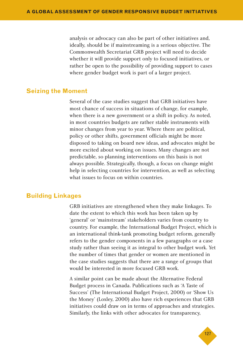analysis or advocacy can also be part of other initiatives and, ideally, should be if mainstreaming is a serious objective. The Commonwealth Secretariat GRB project will need to decide whether it will provide support only to focused initiatives, or rather be open to the possibility of providing support to cases where gender budget work is part of a larger project.

#### **Seizing the Moment**

Several of the case studies suggest that GRB initiatives have most chance of success in situations of change, for example, when there is a new government or a shift in policy. As noted, in most countries budgets are rather stable instruments with minor changes from year to year. Where there are political, policy or other shifts, government officials might be more disposed to taking on board new ideas, and advocates might be more excited about working on issues. Many changes are not predictable, so planning interventions on this basis is not always possible. Strategically, though, a focus on change might help in selecting countries for intervention, as well as selecting what issues to focus on within countries.

#### **Building Linkages**

GRB initiatives are strengthened when they make linkages. To date the extent to which this work has been taken up by 'general' or 'mainstream' stakeholders varies from country to country. For example, the International Budget Project, which is an international think-tank promoting budget reform, generally refers to the gender components in a few paragraphs or a case study rather than seeing it as integral to other budget work. Yet the number of times that gender or women are mentioned in the case studies suggests that there are a range of groups that would be interested in more focused GRB work.

A similar point can be made about the Alternative Federal Budget process in Canada. Publications such as 'A Taste of Success' (The International Budget Project, 2000) or 'Show Us the Money' (Loxley, 2000) also have rich experiences that GRB initiatives could draw on in terms of approaches and strategies. Similarly, the links with other advocates for transparency,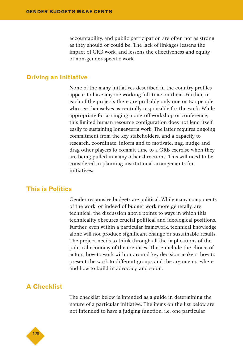accountability, and public participation are often not as strong as they should or could be. The lack of linkages lessens the impact of GRB work, and lessens the effectiveness and equity of non-gender-specific work.

#### **Driving an Initiative**

None of the many initiatives described in the country profiles appear to have anyone working full-time on them. Further, in each of the projects there are probably only one or two people who see themselves as centrally responsible for the work. While appropriate for arranging a one-off workshop or conference, this limited human resource configuration does not lend itself easily to sustaining longer-term work. The latter requires ongoing commitment from the key stakeholders, and a capacity to research, coordinate, inform and to motivate, nag, nudge and drag other players to commit time to a GRB exercise when they are being pulled in many other directions. This will need to be considered in planning institutional arrangements for initiatives.

#### **This is Politics**

Gender responsive budgets are political. While many components of the work, or indeed of budget work more generally, are technical, the discussion above points to ways in which this technicality obscures crucial political and ideological positions. Further, even within a particular framework, technical knowledge alone will not produce significant change or sustainable results. The project needs to think through all the implications of the political economy of the exercises. These include the choice of actors, how to work with or around key decision-makers, how to present the work to different groups and the arguments, where and how to build in advocacy, and so on.

## **A Checklist**

The checklist below is intended as a guide in determining the nature of a particular initiative. The items on the list below are not intended to have a judging function, i.e. one particular

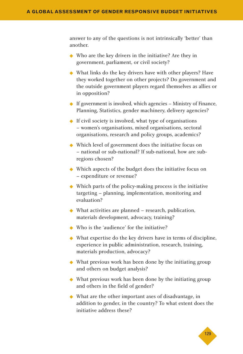answer to any of the questions is not intrinsically 'better' than another.

- ◆ Who are the key drivers in the initiative? Are they in government, parliament, or civil society?
- ◆ What links do the key drivers have with other players? Have they worked together on other projects? Do government and the outside government players regard themselves as allies or in opposition?
- ◆ If government is involved, which agencies Ministry of Finance, Planning, Statistics, gender machinery, delivery agencies?
- ◆ If civil society is involved, what type of organisations – women's organisations, mixed organisations, sectoral organisations, research and policy groups, academics?
- ◆ Which level of government does the initiative focus on – national or sub-national? If sub-national, how are subregions chosen?
- ◆ Which aspects of the budget does the initiative focus on – expenditure or revenue?
- ◆ Which parts of the policy-making process is the initiative targeting – planning, implementation, monitoring and evaluation?
- $\blacklozenge$  What activities are planned research, publication, materials development, advocacy, training?
- ◆ Who is the 'audience' for the initiative?
- ◆ What expertise do the key drivers have in terms of discipline, experience in public administration, research, training, materials production, advocacy?
- ◆ What previous work has been done by the initiating group and others on budget analysis?
- ◆ What previous work has been done by the initiating group and others in the field of gender?
- ◆ What are the other important axes of disadvantage, in addition to gender, in the country? To what extent does the initiative address these?

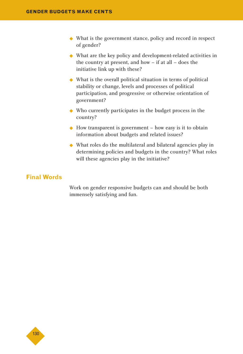- ◆ What is the government stance, policy and record in respect of gender?
- ◆ What are the key policy and development-related activities in the country at present, and how – if at all – does the initiative link up with these?
- ◆ What is the overall political situation in terms of political stability or change, levels and processes of political participation, and progressive or otherwise orientation of government?
- ◆ Who currently participates in the budget process in the country?
- $\triangle$  How transparent is government how easy is it to obtain information about budgets and related issues?
- ◆ What roles do the multilateral and bilateral agencies play in determining policies and budgets in the country? What roles will these agencies play in the initiative?

## **Final Words**

Work on gender responsive budgets can and should be both immensely satisfying and fun.

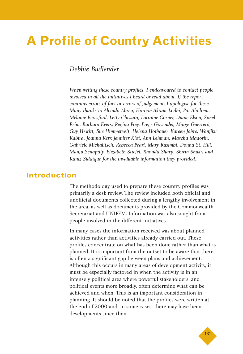# **A Profile of Country Activities**

## *Debbie Budlender*

*When writing these country profiles, I endeavoured to contact people involved in all the initiatives I heard or read about. If the report contains errors of fact or errors of judgement, I apologise for these. Many thanks to Alcinda Abreu, Haroon Akram-Lodhi, Pat Alailima, Melanie Beresford, Letty Chiwara, Lorraine Corner, Diane Elson, Simel Esim, Barbara Evers, Regina Frey, Pregs Govender, Marge Guerrero, Guy Hewitt, Sue Himmelweit, Helena Hofbauer, Kareen Jabre, Wanjiku Kabira, Joanna Kerr, Jennifer Klot, Ann Lehman, Mascha Madorin, Gabriele Michalitsch, Rebecca Pearl, Mary Rusimbi, Donna St. Hill, Manju Senapaty, Elizabeth Stiefel, Rhonda Sharp, Shirin Shukri and Kaniz Siddique for the invaluable information they provided.*

## **Introduction**

The methodology used to prepare these country profiles was primarily a desk review. The review included both official and unofficial documents collected during a lengthy involvement in the area, as well as documents provided by the Commonwealth Secretariat and UNIFEM. Information was also sought from people involved in the different initiatives.

In many cases the information received was about planned activities rather than activities already carried out. These profiles concentrate on what has been done rather than what is planned. It is important from the outset to be aware that there is often a significant gap between plans and achievement. Although this occurs in many areas of development activity, it must be especially factored in when the activity is in an intensely political area where powerful stakeholders, and political events more broadly, often determine what can be achieved and when. This is an important consideration in planning. It should be noted that the profiles were written at the end of 2000 and, in some cases, there may have been developments since then.

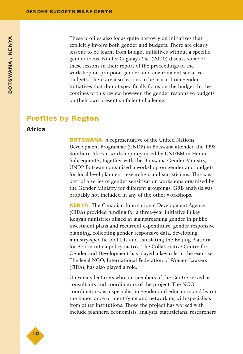These profiles also focus quite narrowly on initiatives that explicitly involve both gender and budgets. There are clearly lessons to be learnt from budget initiatives without a specific gender focus. Nilufer Cagatay *et al.* (2000) discuss some of these lessons in their report of the proceedings of the workshop on pro-poor, gender- and environment-sensitive budgets. There are also lessons to be learnt from gender initiatives that do not specifically focus on the budget. In the confines of this review, however, the gender responsive budgets on their own present sufficient challenge.

## **Profiles by Region**

## **Africa**

**BOTSWANA** A representative of the United Nations Development Programme (UNDP) in Botswana attended the 1998 Southern African workshop organised by UNIFEM in Harare. Subsequently, together with the Botswana Gender Ministry, UNDP Botswana organised a workshop on gender and budgets for local level planners, researchers and statisticians. This was part of a series of gender sensitisation workshops organised by the Gender Ministry for different groupings. GRB analysis was probably not included in any of the other workshops.

**KENYA** The Canadian International Development Agency (CIDA) provided funding for a three-year initiative in key Kenyan ministries aimed at mainstreaming gender in public investment plans and recurrent expenditure, gender responsive planning, collecting gender responsive data, developing ministry-specific tool kits and translating the Beijing Platform for Action into a policy matrix. The Collaborative Centre for Gender and Development has played a key role in the exercise. The legal NGO, International Federation of Women Lawyers (FIDA), has also played a role.

University lecturers who are members of the Centre served as consultants and coordinators of the project. The NGO coordinator was a specialist in gender and education and learnt the importance of identifying and networking with specialists from other institutions. Those the project has worked with include planners, economists, analysts, statisticians, researchers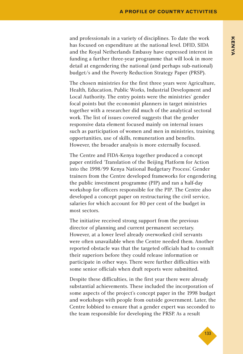and professionals in a variety of disciplines. To date the work has focused on expenditure at the national level. DFID, SIDA and the Royal Netherlands Embassy have expressed interest in funding a further three-year programme that will look in more detail at engendering the national (and perhaps sub-national) budget/s and the Poverty Reduction Strategy Paper (PRSP).

The chosen ministries for the first three years were Agriculture, Health, Education, Public Works, Industrial Development and Local Authority. The entry points were the ministries' gender focal points but the economist planners in target ministries together with a researcher did much of the analytical sectoral work. The list of issues covered suggests that the gender responsive data element focused mainly on internal issues such as participation of women and men in ministries, training opportunities, use of skills, remuneration and benefits. However, the broader analysis is more externally focused.

The Centre and FIDA-Kenya together produced a concept paper entitled 'Translation of the Beijing Platform for Action into the 1998/99 Kenya National Budgetary Process'. Gender trainers from the Centre developed frameworks for engendering the public investment programme (PIP) and ran a half-day workshop for officers responsible for the PIP. The Centre also developed a concept paper on restructuring the civil service, salaries for which account for 80 per cent of the budget in most sectors.

The initiative received strong support from the previous director of planning and current permanent secretary. However, at a lower level already overworked civil servants were often unavailable when the Centre needed them. Another reported obstacle was that the targeted officials had to consult their superiors before they could release information or participate in other ways. There were further difficulties with some senior officials when draft reports were submitted.

Despite these difficulties, in the first year there were already substantial achievements. These included the incorporation of some aspects of the project's concept paper in the 1998 budget and workshops with people from outside government. Later, the Centre lobbied to ensure that a gender expert was seconded to the team responsible for developing the PRSP. As a result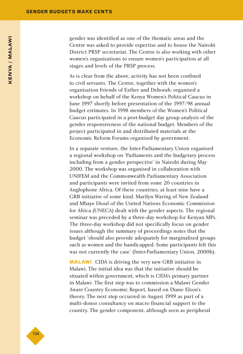gender was identified as one of the thematic areas and the Centre was asked to provide expertise and to house the Nairobi District PRSP secretariat. The Centre is also working with other women's organisations to ensure women's participation at all stages and levels of the PRSP process.

As is clear from the above, activity has not been confined to civil servants. The Centre, together with the women's organisation Friends of Esther and Deborah, organised a workshop on behalf of the Kenya Women's Political Caucus in June 1997 shortly before presentation of the 1997/98 annual budget estimates. In 1998 members of the Women's Political Caucus participated in a post-budget day group analysis of the gender responsiveness of the national budget. Members of the project participated in and distributed materials at the Economic Reform Forums organised by government.

In a separate venture, the Inter-Parliamentary Union organised a regional workshop on 'Parliaments and the budgetary process including from a gender perspective' in Nairobi during May 2000. The workshop was organised in collaboration with UNIFEM and the Commonwealth Parliamentary Association and participants were invited from some 20 countries in Anglophone Africa. Of these countries, at least nine have a GRB initiative of some kind. Marilyn Waring of New Zealand and Mbaye Diouf of the United Nations Economic Commission for Africa (UNECA) dealt with the gender aspects. The regional seminar was preceded by a three-day workshop for Kenyan MPs. The three-day workshop did not specifically focus on gender issues although the summary of proceedings notes that the budget 'should also provide adequately for marginalised groups such as women and the handicapped. Some participants felt this was not currently the case' (Inter-Parliamentary Union, 2000b).

**MALAWI** CIDA is driving the very new GRB initiative in Malawi. The initial idea was that the initiative should be situated within government, which is CIDA's primary partner in Malawi. The first step was to commission a Malawi Gender Aware Country Economic Report, based on Diane Elson's theory. The next step occurred in August 1999 as part of a multi-donor consultancy on macro financial support to the country. The gender component, although seen as peripheral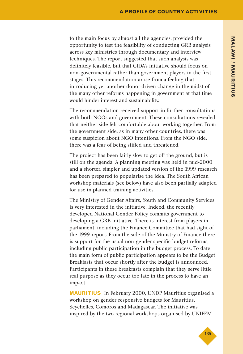to the main focus by almost all the agencies, provided the opportunity to test the feasibility of conducting GRB analysis across key ministries through documentary and interview techniques. The report suggested that such analysis was definitely feasible, but that CIDA's initiative should focus on non-governmental rather than government players in the first stages. This recommendation arose from a feeling that introducing yet another donor-driven change in the midst of the many other reforms happening in government at that time would hinder interest and sustainability.

The recommendation received support in further consultations with both NGOs and government. These consultations revealed that neither side felt comfortable about working together. From the government side, as in many other countries, there was some suspicion about NGO intentions. From the NGO side, there was a fear of being stifled and threatened.

The project has been fairly slow to get off the ground, but is still on the agenda. A planning meeting was held in mid-2000 and a shorter, simpler and updated version of the 1999 research has been prepared to popularise the idea. The South African workshop materials (see below) have also been partially adapted for use in planned training activities.

The Ministry of Gender Affairs, Youth and Community Services is very interested in the initiative. Indeed, the recently developed National Gender Policy commits government to developing a GRB initiative. There is interest from players in parliament, including the Finance Committee that had sight of the 1999 report. From the side of the Ministry of Finance there is support for the usual non-gender-specific budget reforms, including public participation in the budget process. To date the main form of public participation appears to be the Budget Breakfasts that occur shortly after the budget is announced. Participants in these breakfasts complain that they serve little real purpose as they occur too late in the process to have an impact.

**MAURITIUS** In February 2000, UNDP Mauritius organised a workshop on gender responsive budgets for Mauritius, Seychelles, Comoros and Madagascar. The initiative was inspired by the two regional workshops organised by UNIFEM

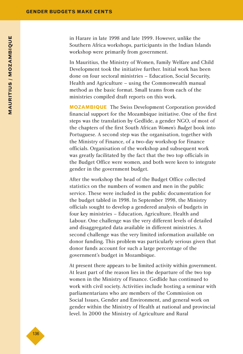in Harare in late 1998 and late 1999. However, unlike the Southern Africa workshops, participants in the Indian Islands workshop were primarily from government.

In Mauritius, the Ministry of Women, Family Welfare and Child Development took the initiative further. Initial work has been done on four sectoral ministries – Education, Social Security, Health and Agriculture – using the Commonwealth manual method as the basic format. Small teams from each of the ministries compiled draft reports on this work.

**MOZAMBIQUE** The Swiss Development Corporation provided financial support for the Mozambique initiative. One of the first steps was the translation by Gedlide, a gender NGO, of most of the chapters of the first South African *Women's Budget* book into Portuguese. A second step was the organisation, together with the Ministry of Finance, of a two-day workshop for Finance officials. Organisation of the workshop and subsequent work was greatly facilitated by the fact that the two top officials in the Budget Office were women, and both were keen to integrate gender in the government budget.

After the workshop the head of the Budget Office collected statistics on the numbers of women and men in the public service. These were included in the public documentation for the budget tabled in 1998. In September 1998, the Ministry officials sought to develop a gendered analysis of budgets in four key ministries – Education, Agriculture, Health and Labour. One challenge was the very different levels of detailed and disaggregated data available in different ministries. A second challenge was the very limited information available on donor funding. This problem was particularly serious given that donor funds account for such a large percentage of the government's budget in Mozambique.

At present there appears to be limited activity within government. At least part of the reason lies in the departure of the two top women in the Ministry of Finance. Gedlide has continued to work with civil society. Activities include hosting a seminar with parliamentarians who are members of the Commission on Social Issues, Gender and Environment, and general work on gender within the Ministry of Health at national and provincial level. In 2000 the Ministry of Agriculture and Rural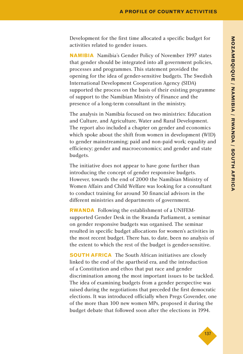Development for the first time allocated a specific budget for activities related to gender issues.

**NAMIBIA** Namibia's Gender Policy of November 1997 states that gender should be integrated into all government policies, processes and programmes. This statement provided the opening for the idea of gender-sensitive budgets. The Swedish International Development Cooperation Agency (SIDA) supported the process on the basis of their existing programme of support to the Namibian Ministry of Finance and the presence of a long-term consultant in the ministry.

The analysis in Namibia focused on two ministries: Education and Culture, and Agriculture, Water and Rural Development. The report also included a chapter on gender and economics which spoke about the shift from women in development (WID) to gender mainstreaming; paid and non-paid work; equality and efficiency; gender and macroeconomics; and gender and state budgets.

The initiative does not appear to have gone further than introducing the concept of gender responsive budgets. However, towards the end of 2000 the Namibian Ministry of Women Affairs and Child Welfare was looking for a consultant to conduct training for around 30 financial advisors in the different ministries and departments of government.

**RWANDA** Following the establishment of a UNIFEMsupported Gender Desk in the Rwanda Parliament, a seminar on gender responsive budgets was organised. The seminar resulted in specific budget allocations for women's activities in the most recent budget. There has, to date, been no analysis of the extent to which the rest of the budget is gender-sensitive.

**SOUTH AFRICA** The South African initiatives are closely linked to the end of the apartheid era, and the introduction of a Constitution and ethos that put race and gender discrimination among the most important issues to be tackled. The idea of examining budgets from a gender perspective was raised during the negotiations that preceded the first democratic elections. It was introduced officially when Pregs Govender, one of the more than 100 new women MPs, proposed it during the budget debate that followed soon after the elections in 1994.

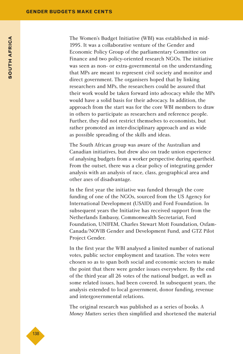The Women's Budget Initiative (WBI) was established in mid-1995. It was a collaborative venture of the Gender and Economic Policy Group of the parliamentary Committee on Finance and two policy-oriented research NGOs. The initiative was seen as non- or extra-governmental on the understanding that MPs are meant to represent civil society and monitor and direct government. The organisers hoped that by linking researchers and MPs, the researchers could be assured that their work would be taken forward into advocacy while the MPs would have a solid basis for their advocacy. In addition, the approach from the start was for the core WBI members to draw in others to participate as researchers and reference people. Further, they did not restrict themselves to economists, but rather promoted an inter-disciplinary approach and as wide as possible spreading of the skills and ideas.

The South African group was aware of the Australian and Canadian initiatives, but drew also on trade union experience of analysing budgets from a worker perspective during apartheid. From the outset, there was a clear policy of integrating gender analysis with an analysis of race, class, geographical area and other axes of disadvantage.

In the first year the initiative was funded through the core funding of one of the NGOs, sourced from the US Agency for International Development (USAID) and Ford Foundation. In subsequent years the Initiative has received support from the Netherlands Embassy, Commonwealth Secretariat, Ford Foundation, UNIFEM, Charles Stewart Mott Foundation, Oxfam-Canada/NOVIB Gender and Development Fund, and GTZ Pilot Project Gender.

In the first year the WBI analysed a limited number of national votes, public sector employment and taxation. The votes were chosen so as to span both social and economic sectors to make the point that there were gender issues everywhere. By the end of the third year all 26 votes of the national budget, as well as some related issues, had been covered. In subsequent years, the analysis extended to local government, donor funding, revenue and intergovernmental relations.

The original research was published as a series of books. A *Money Matters* series then simplified and shortened the material

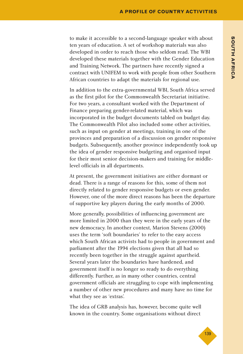to make it accessible to a second-language speaker with about ten years of education. A set of workshop materials was also developed in order to reach those who seldom read. The WBI developed these materials together with the Gender Education and Training Network. The partners have recently signed a contract with UNIFEM to work with people from other Southern African countries to adapt the materials for regional use.

In addition to the extra-governmental WBI, South Africa served as the first pilot for the Commonwealth Secretariat initiative. For two years, a consultant worked with the Department of Finance preparing gender-related material, which was incorporated in the budget documents tabled on budget day. The Commonwealth Pilot also included some other activities, such as input on gender at meetings, training in one of the provinces and preparation of a discussion on gender responsive budgets. Subsequently, another province independently took up the idea of gender responsive budgeting and organised input for their most senior decision-makers and training for middlelevel officials in all departments.

At present, the government initiatives are either dormant or dead. There is a range of reasons for this, some of them not directly related to gender responsive budgets or even gender. However, one of the more direct reasons has been the departure of supportive key players during the early months of 2000.

More generally, possibilities of influencing government are more limited in 2000 than they were in the early years of the new democracy. In another context, Marion Stevens (2000) uses the term 'soft boundaries' to refer to the easy access which South African activists had to people in government and parliament after the 1994 elections given that all had so recently been together in the struggle against apartheid. Several years later the boundaries have hardened, and government itself is no longer so ready to do everything differently. Further, as in many other countries, central government officials are struggling to cope with implementing a number of other new procedures and many have no time for what they see as 'extras'.

The idea of GRB analysis has, however, become quite well known in the country. Some organisations without direct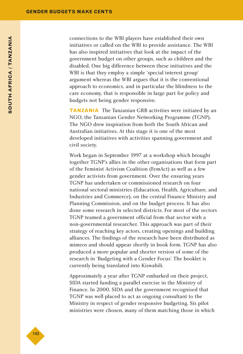connections to the WBI players have established their own initiatives or called on the WBI to provide assistance. The WBI has also inspired initiatives that look at the impact of the government budget on other groups, such as children and the disabled. One big difference between these initiatives and the WBI is that they employ a simple 'special interest group' argument whereas the WBI argues that it is the conventional approach to economics, and in particular the blindness to the care economy, that is responsible in large part for policy and budgets not being gender responsive.

**TANZANIA** The Tanzanian GRB activities were initiated by an NGO, the Tanzanian Gender Networking Programme (TGNP). The NGO drew inspiration from both the South African and Australian initiatives. At this stage it is one of the most developed initiatives with activities spanning government and civil society.

Work began in September 1997 at a workshop which brought together TGNP's allies in the other organisations that form part of the Feminist Activism Coalition (FemAct) as well as a few gender activists from government. Over the ensuring years TGNP has undertaken or commissioned research on four national sectoral ministries (Education, Health, Agriculture, and Industries and Commerce), on the central Finance Ministry and Planning Commission, and on the budget process. It has also done some research in selected districts. For most of the sectors TGNP teamed a government official from that sector with a non-governmental researcher. This approach was part of their strategy of reaching key actors, creating openings and building alliances. The findings of the research have been distributed as mimeos and should appear shortly in book form. TGNP has also produced a more popular and shorter version of some of the research in 'Budgeting with a Gender Focus'. The booklet is currently being translated into Kiswahili.

Approximately a year after TGNP embarked on their project, SIDA started funding a parallel exercise in the Ministry of Finance. In 2000, SIDA and the government recognised that TGNP was well placed to act as ongoing consultant to the Ministry in respect of gender responsive budgeting. Six pilot ministries were chosen, many of them matching those in which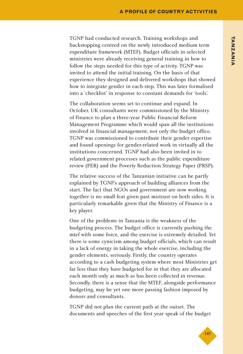TGNP had conducted research. Training workshops and backstopping centred on the newly introduced medium term expenditure framework (MTEF). Budget officials in selected ministries were already receiving general training in how to follow the steps needed for this type of activity. TGNP was invited to attend the initial training. On the basis of that experience they designed and delivered workshops that showed how to integrate gender in each step. This was later formalised into a 'checklist' in response to constant demands for 'tools'.

The collaboration seems set to continue and expand. In October, UK consultants were commissioned by the Ministry of Finance to plan a three-year Public Financial Reform Management Programme which would span all the institutions involved in financial management, not only the budget office. TGNP was commissioned to contribute their gender expertise and found openings for gender-related work in virtually all the institutions concerned. TGNP had also been invited in to related government processes such as the public expenditure review (PER) and the Poverty Reduction Strategy Paper (PRSP).

The relative success of the Tanzanian initiative can be partly explained by TGNP's approach of building alliances from the start. The fact that NGOs and government are now working together is no small feat given past mistrust on both sides. It is particularly remarkable given that the Ministry of Finance is a key player.

One of the problems in Tanzania is the weakness of the budgeting process. The budget office is currently pushing the mtef with some force, and the exercise is extremely detailed. Yet there is some cynicism among budget officials, which can result in a lack of energy in taking the whole exercise, including the gender elements, seriously. Firstly, the country operates according to a cash budgeting system where most Ministries get far less than they have budgeted for in that they are allocated each month only as much as has been collected in revenue. Secondly, there is a sense that the MTEF, alongside performance budgeting, may be yet one more passing fashion imposed by donors and consultants.

TGNP did not plan the current path at the outset. The documents and speeches of the first year speak of the budget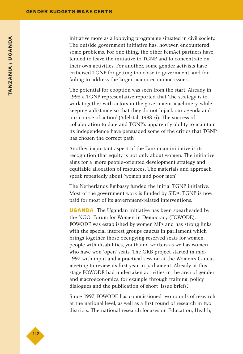initiative more as a lobbying programme situated in civil society. The outside government initiative has, however, encountered some problems. For one thing, the other FemAct partners have tended to leave the initiative to TGNP and to concentrate on their own activities. For another, some gender activists have criticised TGNP for getting too close to government, and for failing to address the larger macro-economic issues.

The potential for cooption was seen from the start. Already in 1998 a TGNP representative reported that 'the strategy is to work together with actors in the government machinery, while keeping a distance so that they do not hijack our agenda and our course of action' (Adelstal, 1998:6). The success of collaboration to date and TGNP's apparently ability to maintain its independence have persuaded some of the critics that TGNP has chosen the correct path

Another important aspect of the Tanzanian initiative is its recognition that equity is not only about women. The initiative aims for a 'more people-oriented development strategy and equitable allocation of resources'. The materials and approach speak repeatedly about 'women and poor men'.

The Netherlands Embassy funded the initial TGNP initiative. Most of the government work is funded by SIDA. TGNP is now paid for most of its government-related interventions.

**UGANDA** The Ugandan initiative has been spearheaded by the NGO, Forum for Women in Democracy (FOWODE). FOWODE was established by women MPs and has strong links with the special interest groups caucus in parliament which brings together those occupying reserved seats for women, people with disabilities, youth and workers as well as women who have won 'open' seats. The GRB project started in mid-1997 with input and a practical session at the Women's Caucus meeting to review its first year in parliament. Already at this stage FOWODE had undertaken activities in the area of gender and macroeconomics, for example through training, policy dialogues and the publication of short 'issue briefs'.

Since 1997 FOWODE has commissioned two rounds of research at the national level, as well as a first round of research in two districts. The national research focuses on Education, Health,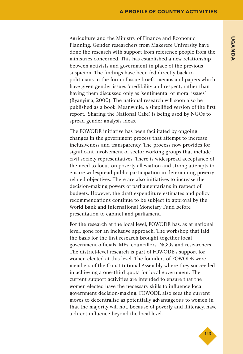Agriculture and the Ministry of Finance and Economic Planning. Gender researchers from Makerere University have done the research with support from reference people from the ministries concerned. This has established a new relationship between activists and government in place of the previous suspicion. The findings have been fed directly back to politicians in the form of issue briefs, memos and papers which have given gender issues 'credibility and respect', rather than having them discussed only as 'sentimental or moral issues' (Byanyima, 2000). The national research will soon also be published as a book. Meanwhile, a simplified version of the first report, 'Sharing the National Cake', is being used by NGOs to spread gender analysis ideas.

The FOWODE initiative has been facilitated by ongoing changes in the government process that attempt to increase inclusiveness and transparency. The process now provides for significant involvement of sector working groups that include civil society representatives. There is widespread acceptance of the need to focus on poverty alleviation and strong attempts to ensure widespread public participation in determining povertyrelated objectives. There are also initiatives to increase the decision-making powers of parliamentarians in respect of budgets. However, the draft expenditure estimates and policy recommendations continue to be subject to approval by the World Bank and International Monetary Fund before presentation to cabinet and parliament.

For the research at the local level, FOWODE has, as at national level, gone for an inclusive approach. The workshop that laid the basis for the first research brought together local government officials, MPs, councillors, NGOs and researchers. The district-level research is part of FOWODE's support for women elected at this level. The founders of FOWODE were members of the Constitutional Assembly where they succeeded in achieving a one-third quota for local government. The current support activities are intended to ensure that the women elected have the necessary skills to influence local government decision-making. FOWODE also sees the current moves to decentralise as potentially advantageous to women in that the majority will not, because of poverty and illiteracy, have a direct influence beyond the local level.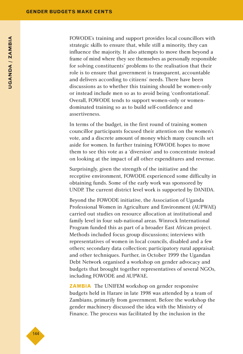FOWODE's training and support provides local councillors with strategic skills to ensure that, while still a minority, they can influence the majority. It also attempts to move them beyond a frame of mind where they see themselves as personally responsible for solving constituents' problems to the realisation that their role is to ensure that government is transparent, accountable and delivers according to citizens' needs. There have been discussions as to whether this training should be women-only or instead include men so as to avoid being 'confrontational'. Overall, FOWODE tends to support women-only or womendominated training so as to build self-confidence and assertiveness.

In terms of the budget, in the first round of training women councillor participants focused their attention on the women's vote, and a discrete amount of money which many councils set aside for women. In further training FOWODE hopes to move them to see this vote as a 'diversion' and to concentrate instead on looking at the impact of all other expenditures and revenue.

Surprisingly, given the strength of the initiative and the receptive environment, FOWODE experienced some difficulty in obtaining funds. Some of the early work was sponsored by UNDP. The current district level work is supported by DANIDA.

Beyond the FOWODE initiative, the Association of Uganda Professional Women in Agriculture and Environment (AUPWAE) carried out studies on resource allocation at institutional and family level in four sub-national areas. Winrock International Program funded this as part of a broader East African project. Methods included focus group discussions; interviews with representatives of women in local councils, disabled and a few others; secondary data collection; participatory rural appraisal; and other techniques. Further, in October 1999 the Ugandan Debt Network organised a workshop on gender advocacy and budgets that brought together representatives of several NGOs, including FOWODE and AUPWAE.

**ZAMBIA** The UNIFEM workshop on gender responsive budgets held in Harare in late 1998 was attended by a team of Zambians, primarily from government. Before the workshop the gender machinery discussed the idea with the Ministry of Finance. The process was facilitated by the inclusion in the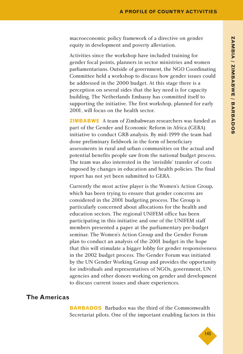macroeconomic policy framework of a directive on gender equity in development and poverty alleviation.

Activities since the workshop have included training for gender focal points, planners in sector ministries and women parliamentarians. Outside of government, the NGO Coordinating Committee held a workshop to discuss how gender issues could be addressed in the 2000 budget. At this stage there is a perception on several sides that the key need is for capacity building. The Netherlands Embassy has committed itself to supporting the initiative. The first workshop, planned for early 2001, will focus on the health sector.

**ZIMBABWE** A team of Zimbabwean researchers was funded as part of the Gender and Economic Reform in Africa (GERA) initiative to conduct GRB analysis. By mid-1999 the team had done preliminary fieldwork in the form of beneficiary assessments in rural and urban communities on the actual and potential benefits people saw from the national budget process. The team was also interested in the 'invisible' transfer of costs imposed by changes in education and health policies. The final report has not yet been submitted to GERA.

Currently the most active player is the Women's Action Group, which has been trying to ensure that gender concerns are considered in the 2001 budgeting process. The Group is particularly concerned about allocations for the health and education sectors. The regional UNIFEM office has been participating in this initiative and one of the UNIFEM staff members presented a paper at the parliamentary pre-budget seminar. The Women's Action Group and the Gender Forum plan to conduct an analysis of the 2001 budget in the hope that this will stimulate a bigger lobby for gender responsiveness in the 2002 budget process. The Gender Forum was initiated by the UN Gender Working Group and provides the opportunity for individuals and representatives of NGOs, government, UN agencies and other donors working on gender and development to discuss current issues and share experiences.

#### **The Americas**

**BARBADOS** Barbados was the third of the Commonwealth Secretariat pilots. One of the important enabling factors in this

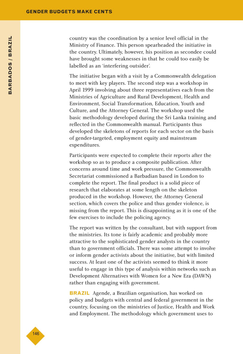country was the coordination by a senior level official in the Ministry of Finance. This person spearheaded the initiative in the country. Ultimately, however, his position as secondee could have brought some weaknesses in that he could too easily be labelled as an 'interfering outsider'.

The initiative began with a visit by a Commonwealth delegation to meet with key players. The second step was a workshop in April 1999 involving about three representatives each from the Ministries of Agriculture and Rural Development, Health and Environment, Social Transformation, Education, Youth and Culture, and the Attorney General. The workshop used the basic methodology developed during the Sri Lanka training and reflected in the Commonwealth manual. Participants thus developed the skeletons of reports for each sector on the basis of gender-targeted, employment equity and mainstream expenditures.

Participants were expected to complete their reports after the workshop so as to produce a composite publication. After concerns around time and work pressure, the Commonwealth Secretariat commissioned a Barbadian based in London to complete the report. The final product is a solid piece of research that elaborates at some length on the skeleton produced in the workshop. However, the Attorney General section, which covers the police and thus gender violence, is missing from the report. This is disappointing as it is one of the few exercises to include the policing agency.

The report was written by the consultant, but with support from the ministries. Its tone is fairly academic and probably more attractive to the sophisticated gender analysts in the country than to government officials. There was some attempt to involve or inform gender activists about the initiative, but with limited success. At least one of the activists seemed to think it more useful to engage in this type of analysis within networks such as Development Alternatives with Women for a New Era (DAWN) rather than engaging with government.

**BRAZIL** Agende, a Brazilian organisation, has worked on policy and budgets with central and federal government in the country, focusing on the ministries of Justice, Health and Work and Employment. The methodology which government uses to

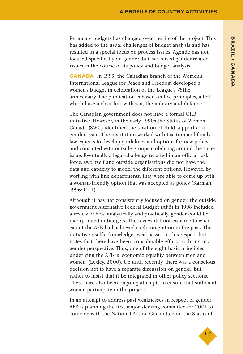formulate budgets has changed over the life of the project. This has added to the usual challenges of budget analysis and has resulted in a special focus on process issues. Agende has not focused specifically on gender, but has raised gender-related issues in the course of its policy and budget analysis.

**CANADA** In 1993, the Canadian branch of the Women's International League for Peace and Freedom developed a women's budget in celebration of the League's 75the anniversary. The publication is based on five principles, all of which have a clear link with war, the military and defence.

The Canadian government does not have a formal GRB initiative. However, in the early 1990s the Status of Women Canada (SWC) identified the taxation of child support as a gender issue. The institution worked with taxation and family law experts to develop guidelines and options for new policy and consulted with outside groups mobilising around the same issue. Eventually a legal challenge resulted in an official task force. swc itself and outside organisations did not have the data and capacity to model the different options. However, by working with line departments, they were able to come up with a woman-friendly option that was accepted as policy (Karman, 1996:10-1).

Although it has not consistently focused on gender, the outside government Alternative Federal Budget (AFB) in 1998 included a review of how, analytically and practically, gender could be incorporated in budgets. The review did not examine to what extent the AFB had achieved such integration in the past. The initiative itself acknowledges weaknesses in this respect but notes that there have been 'considerable efforts' to bring in a gender perspective. Thus, one of the eight basic principles underlying the AFB is 'economic equality between men and women' (Loxley, 2000). Up until recently, there was a conscious decision not to have a separate discussion on gender, but rather to insist that it be integrated in other policy sections. There have also been ongoing attempts to ensure that sufficient women participate in the project.

In an attempt to address past weaknesses in respect of gender, AFB is planning the first major steering committee for 2001 to coincide with the National Action Committee on the Status of

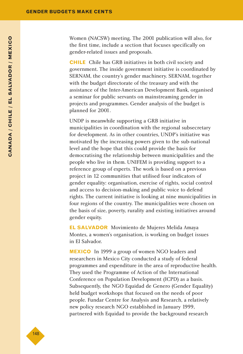Women (NACSW) meeting. The 2001 publication will also, for the first time, include a section that focuses specifically on gender-related issues and proposals.

**CHILE** Chile has GRB initiatives in both civil society and government. The inside government initiative is coordinated by SERNAM, the country's gender machinery. SERNAM, together with the budget directorate of the treasury and with the assistance of the Inter-American Development Bank, organised a seminar for public servants on mainstreaming gender in projects and programmes. Gender analysis of the budget is planned for 2001.

UNDP is meanwhile supporting a GRB initiative in municipalities in coordination with the regional subsecretary for development. As in other countries, UNDP's initiative was motivated by the increasing powers given to the sub-national level and the hope that this could provide the basis for democratising the relationship between municipalities and the people who live in them. UNIFEM is providing support to a reference group of experts. The work is based on a previous project in 12 communities that utilised four indicators of gender equality: organisation, exercise of rights, social control and access to decision-making and public voice to defend rights. The current initiative is looking at nine municipalities in four regions of the country. The municipalities were chosen on the basis of size, poverty, rurality and existing initiatives around gender equity.

**EL SALVADOR** Movimiento de Mujeres Melida Amaya Montes, a women's organisation, is working on budget issues in El Salvador.

**MEXICO** In 1999 a group of women NGO leaders and researchers in Mexico City conducted a study of federal programmes and expenditure in the area of reproductive health. They used the Programme of Action of the International Conference on Population Development (ICPD) as a basis. Subsequently, the NGO Equidad de Genero (Gender Equality) held budget workshops that focused on the needs of poor people. Fundar Centre for Analysis and Research, a relatively new policy research NGO established in January 1999, partnered with Equidad to provide the background research

◆148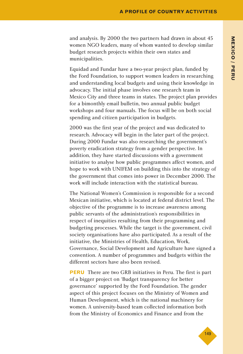and analysis. By 2000 the two partners had drawn in about 45 women NGO leaders, many of whom wanted to develop similar budget research projects within their own states and municipalities.

Equidad and Fundar have a two-year project plan, funded by the Ford Foundation, to support women leaders in researching and understanding local budgets and using their knowledge in advocacy. The initial phase involves one research team in Mexico City and three teams in states. The project plan provides for a bimonthly email bulletin, two annual public budget workshops and four manuals. The focus will be on both social spending and citizen participation in budgets.

2000 was the first year of the project and was dedicated to research. Advocacy will begin in the later part of the project. During 2000 Fundar was also researching the government's poverty eradication strategy from a gender perspective. In addition, they have started discussions with a government initiative to analyse how public programmes affect women, and hope to work with UNIFEM on building this into the strategy of the government that comes into power in December 2000. The work will include interaction with the statistical bureau.

The National Women's Commission is responsible for a second Mexican initiative, which is located at federal district level. The objective of the programme is to increase awareness among public servants of the administration's responsibilities in respect of inequities resulting from their programming and budgeting processes. While the target is the government, civil society organisations have also participated. As a result of the initiative, the Ministries of Health, Education, Work, Governance, Social Development and Agriculture have signed a convention. A number of programmes and budgets within the different sectors have also been revised.

**PERU** There are two GRB initiatives in Peru. The first is part of a bigger project on 'Budget transparency for better governance' supported by the Ford Foundation. The gender aspect of this project focuses on the Ministry of Women and Human Development, which is the national machinery for women. A university-based team collected information both from the Ministry of Economics and Finance and from the

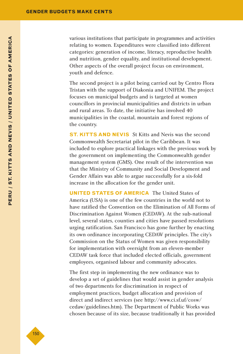various institutions that participate in programmes and activities relating to women. Expenditures were classified into different categories: generation of income, literacy, reproductive health and nutrition, gender equality, and institutional development. Other aspects of the overall project focus on environment, youth and defence.

The second project is a pilot being carried out by Centro Flora Tristan with the support of Diakonia and UNIFEM. The project focuses on municipal budgets and is targeted at women councillors in provincial municipalities and districts in urban and rural areas. To date, the initiative has involved 40 municipalities in the coastal, mountain and forest regions of the country.

**ST. KITTS AND NEVIS** St Kitts and Nevis was the second Commonwealth Secretariat pilot in the Caribbean. It was included to explore practical linkages with the previous work by the government on implementing the Commonwealth gender management system (GMS). One result of the intervention was that the Ministry of Community and Social Development and Gender Affairs was able to argue successfully for a six-fold increase in the allocation for the gender unit.

**UNITED STATES OF AMERICA** The United States of America (USA) is one of the few countries in the world not to have ratified the Convention on the Elimination of All Forms of Discrimination Against Women (CEDAW). At the sub-national level, several states, counties and cities have passed resolutions urging ratification. San Francisco has gone further by enacting its own ordinance incorporating CEDAW principles. The city's Commission on the Status of Women was given responsibility for implementation with oversight from an eleven-member CEDAW task force that included elected officials, government employees, organised labour and community advocates.

The first step in implementing the new ordinance was to develop a set of guidelines that would assist in gender analysis of two departments for discrimination in respect of employment practices, budget allocation and provision of direct and indirect services (see http://www.ci.sf.uf/cosw/ cedaw/guidelines.htm). The Department of Public Works was chosen because of its size, because traditionally it has provided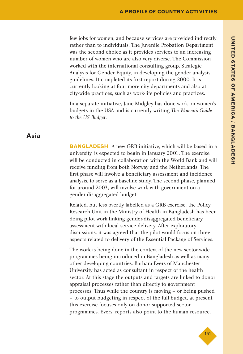few jobs for women, and because services are provided indirectly rather than to individuals. The Juvenile Probation Department was the second choice as it provides services to an increasing number of women who are also very diverse. The Commission worked with the international consulting group, Strategic Analysis for Gender Equity, in developing the gender analysis guidelines. It completed its first report during 2000. It is currently looking at four more city departments and also at city-wide practices, such as work-life policies and practices.

In a separate initiative, Jane Midgley has done work on women's budgets in the USA and is currently writing *The Women's Guide to the US Budget*.

#### **Asia**

**BANGLADESH** A new GRB initiative, which will be based in a university, is expected to begin in January 2001. The exercise will be conducted in collaboration with the World Bank and will receive funding from both Norway and the Netherlands. The first phase will involve a beneficiary assessment and incidence analysis, to serve as a baseline study. The second phase, planned for around 2003, will involve work with government on a gender-disaggregated budget.

Related, but less overtly labelled as a GRB exercise, the Policy Research Unit in the Ministry of Health in Bangladesh has been doing pilot work linking gender-disaggregated beneficiary assessment with local service delivery. After exploratory discussions, it was agreed that the pilot would focus on three aspects related to delivery of the Essential Package of Services.

The work is being done in the context of the new sector-wide programmes being introduced in Bangladesh as well as many other developing countries. Barbara Evers of Manchester University has acted as consultant in respect of the health sector. At this stage the outputs and targets are linked to donor appraisal processes rather than directly to government processes. Thus while the country is moving – or being pushed – to output budgeting in respect of the full budget, at present this exercise focuses only on donor supported sector programmes. Evers' reports also point to the human resource,

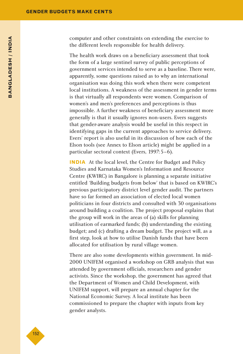computer and other constraints on extending the exercise to the different levels responsible for health delivery.

The health work draws on a beneficiary assessment that took the form of a large sentinel survey of public perceptions of government services intended to serve as a baseline. There were, apparently, some questions raised as to why an international organisation was doing this work when there were competent local institutions. A weakness of the assessment in gender terms is that virtually all respondents were women. Comparison of women's and men's preferences and perceptions is thus impossible. A further weakness of beneficiary assessment more generally is that it usually ignores non-users. Evers suggests that gender-aware analysis would be useful in this respect in identifying gaps in the current approaches to service delivery. Evers' report is also useful in its discussion of how each of the Elson tools (see Annex to Elson article) might be applied in a particular sectoral context (Evers, 1997:5–6).

**INDIA** At the local level, the Centre for Budget and Policy Studies and Karnataka Women's Information and Resource Centre (KWIRC) in Bangalore is planning a separate initiative entitled 'Building budgets from below' that is based on KWIRC's previous participatory district level gender audit. The partners have so far formed an association of elected local women politicians in four districts and consulted with 30 organisations around building a coalition. The project proposal explains that the group will work in the areas of (a) skills for planning utilisation of earmarked funds; (b) understanding the existing budget; and (c) drafting a dream budget. The project will, as a first step, look at how to utilise Danish funds that have been allocated for utilisation by rural village women.

There are also some developments within government. In mid-2000 UNIFEM organised a workshop on GRB analysis that was attended by government officials, researchers and gender activists. Since the workshop, the government has agreed that the Department of Women and Child Development, with UNIFEM support, will prepare an annual chapter for the National Economic Survey. A local institute has been commissioned to prepare the chapter with inputs from key gender analysts.

◆152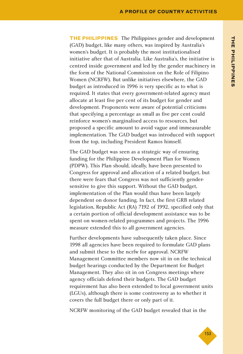**THE PHILIPPINES** The Philippines gender and development (GAD) budget, like many others, was inspired by Australia's women's budget. It is probably the most institutionalised initiative after that of Australia. Like Australia's, the initiative is centred inside government and led by the gender machinery in the form of the National Commission on the Role of Filipino Women (NCRFW). But unlike initiatives elsewhere, the GAD budget as introduced in 1996 is very specific as to what is required. It states that every government-related agency must allocate at least five per cent of its budget for gender and development. Proponents were aware of potential criticisms that specifying a percentage as small as five per cent could reinforce women's marginalised access to resources, but proposed a specific amount to avoid vague and immeasurable implementation. The GAD budget was introduced with support from the top, including President Ramos himself.

The GAD budget was seen as a strategic way of ensuring funding for the Philippine Development Plan for Women (PDPW). This Plan should, ideally, have been presented to Congress for approval and allocation of a related budget, but there were fears that Congress was not sufficiently gendersensitive to give this support. Without the GAD budget, implementation of the Plan would thus have been largely dependent on donor funding. In fact, the first GRB related legislation, Republic Act (RA) 7192 of 1992, specified only that a certain portion of official development assistance was to be spent on women-related programmes and projects. The 1996 measure extended this to all government agencies.

Further developments have subsequently taken place. Since 1998 all agencies have been required to formulate GAD plans and submit these to the ncrfw for approval. NCRFW Management Committee members now sit in on the technical budget hearings conducted by the Department for Budget Management. They also sit in on Congress meetings where agency officials defend their budgets. The GAD budget requirement has also been extended to local government units (LGUs), although there is some controversy as to whether it covers the full budget there or only part of it.

NCRFW monitoring of the GAD budget revealed that in the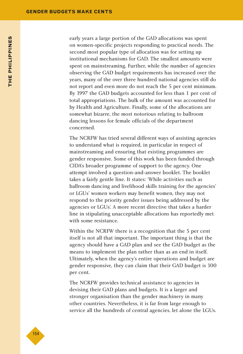early years a large portion of the GAD allocations was spent on women-specific projects responding to practical needs. The second most popular type of allocation was for setting up institutional mechanisms for GAD. The smallest amounts were spent on mainstreaming. Further, while the number of agencies observing the GAD budget requirements has increased over the years, many of the over three hundred national agencies still do not report and even more do not reach the 5 per cent minimum. By 1997 the GAD budgets accounted for less than 1 per cent of total appropriations. The bulk of the amount was accounted for by Health and Agriculture. Finally, some of the allocations are somewhat bizarre, the most notorious relating to ballroom dancing lessons for female officials of the department concerned.

The NCRFW has tried several different ways of assisting agencies to understand what is required, in particular in respect of mainstreaming and ensuring that existing programmes are gender responsive. Some of this work has been funded through CIDA's broader programme of support to the agency. One attempt involved a question-and-answer booklet. The booklet takes a fairly gentle line. It states: 'While activities such as ballroom dancing and livelihood skills training for the agencies' or LGUs' women workers may benefit women, they may not respond to the priority gender issues being addressed by the agencies or LGUs'. A more recent directive that takes a harder line in stipulating unacceptable allocations has reportedly met with some resistance.

Within the NCRFW there is a recognition that the 5 per cent itself is not all that important. The important thing is that the agency should have a GAD plan and see the GAD budget as the means to implement the plan rather than as an end in itself. Ultimately, when the agency's entire operations and budget are gender responsive, they can claim that their GAD budget is 100 per cent.

The NCRFW provides technical assistance to agencies in devising their GAD plans and budgets. It is a larger and stronger organisation than the gender machinery in many other countries. Nevertheless, it is far from large enough to service all the hundreds of central agencies, let alone the LGUs.

◆154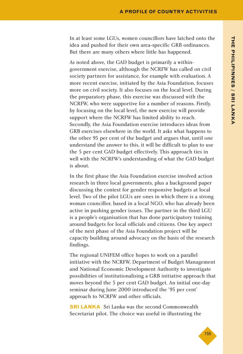In at least some LGUs, women councillors have latched onto the idea and pushed for their own area-specific GRB ordinances. But there are many others where little has happened.

As noted above, the GAD budget is primarily a withingovernment exercise, although the NCRFW has called on civil society partners for assistance, for example with evaluation. A more recent exercise, initiated by the Asia Foundation, focuses more on civil society. It also focuses on the local level. During the preparatory phase, this exercise was discussed with the NCRFW, who were supportive for a number of reasons. Firstly, by focusing on the local level, the new exercise will provide support where the NCRFW has limited ability to reach. Secondly, the Asia Foundation exercise introduces ideas from GRB exercises elsewhere in the world. It asks what happens to the other 95 per cent of the budget and argues that, until one understand the answer to this, it will be difficult to plan to use the 5 per cent GAD budget effectively. This approach ties in well with the NCRFW's understanding of what the GAD budget is about.

In the first phase the Asia Foundation exercise involved action research in three local governments, plus a background paper discussing the context for gender responsive budgets at local level. Two of the pilot LGUs are ones in which there is a strong woman councillor, based in a local NGO, who has already been active in pushing gender issues. The partner in the third LGU is a people's organisation that has done participatory training around budgets for local officials and citizens. One key aspect of the next phase of the Asia Foundation project will be capacity building around advocacy on the basis of the research findings.

The regional UNIFEM office hopes to work on a parallel initiative with the NCRFW, Department of Budget Management and National Economic Development Authority to investigate possibilities of institutionalising a GRB initiative approach that moves beyond the 5 per cent GAD budget. An initial one-day seminar during June 2000 introduced the '95 per cent' approach to NCRFW and other officials.

**SRI LANKA** Sri Lanka was the second Commonwealth Secretariat pilot. The choice was useful in illustrating the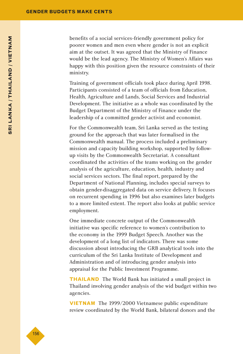benefits of a social services-friendly government policy for poorer women and men even where gender is not an explicit aim at the outset. It was agreed that the Ministry of Finance would be the lead agency. The Ministry of Women's Affairs was happy with this position given the resource constraints of their ministry.

Training of government officials took place during April 1998. Participants consisted of a team of officials from Education, Health, Agriculture and Lands, Social Services and Industrial Development. The initiative as a whole was coordinated by the Budget Department of the Ministry of Finance under the leadership of a committed gender activist and economist.

For the Commonwealth team, Sri Lanka served as the testing ground for the approach that was later formalised in the Commonwealth manual. The process included a preliminary mission and capacity building workshop, supported by followup visits by the Commonwealth Secretariat. A consultant coordinated the activities of the teams working on the gender analysis of the agriculture, education, health, industry and social services sectors. The final report, prepared by the Department of National Planning, includes special surveys to obtain gender-disaggregated data on service delivery. It focuses on recurrent spending in 1996 but also examines later budgets to a more limited extent. The report also looks at public service employment.

One immediate concrete output of the Commonwealth initiative was specific reference to women's contribution to the economy in the 1999 Budget Speech. Another was the development of a long list of indicators. There was some discussion about introducing the GRB analytical tools into the curriculum of the Sri Lanka Institute of Development and Administration and of introducing gender analysis into appraisal for the Public Investment Programme.

**THAILAND** The World Bank has initiated a small project in Thailand involving gender analysis of the wid budget within two agencies.

**VIETNAM** The 1999/2000 Vietnamese public expenditure review coordinated by the World Bank, bilateral donors and the

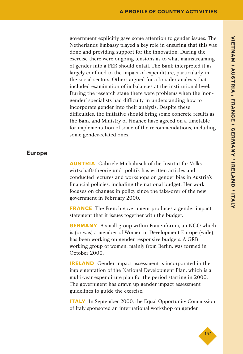government explicitly gave some attention to gender issues. The Netherlands Embassy played a key role in ensuring that this was done and providing support for the innovation. During the exercise there were ongoing tensions as to what mainstreaming of gender into a PER should entail. The Bank interpreted it as largely confined to the impact of expenditure, particularly in the social sectors. Others argued for a broader analysis that included examination of imbalances at the institutional level. During the research stage there were problems when the 'nongender' specialists had difficulty in understanding how to incorporate gender into their analysis. Despite these difficulties, the initiative should bring some concrete results as the Bank and Ministry of Finance have agreed on a timetable for implementation of some of the recommendations, including some gender-related ones.

#### **Europe**

**AUSTRIA** Gabriele Michalitsch of the Institut für Volkswirtschaftstheorie und -politik has written articles and conducted lectures and workshops on gender bias in Austria's financial policies, including the national budget. Her work focuses on changes in policy since the take-over of the new government in February 2000.

**FRANCE** The French government produces a gender impact statement that it issues together with the budget.

**GERMANY** A small group within Frauenforum, an NGO which is (or was) a member of Women in Development Europe (wide), has been working on gender responsive budgets. A GRB working group of women, mainly from Berlin, was formed in October 2000.

**IRELAND** Gender impact assessment is incorporated in the implementation of the National Development Plan, which is a multi-year expenditure plan for the period starting in 2000. The government has drawn up gender impact assessment guidelines to guide the exercise.

**ITALY** In September 2000, the Equal Opportunity Commission of Italy sponsored an international workshop on gender

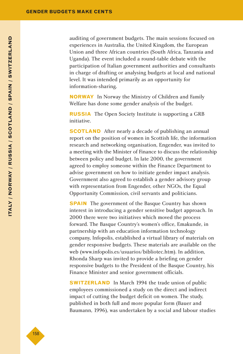auditing of government budgets. The main sessions focused on experiences in Australia, the United Kingdom, the European Union and three African countries (South Africa, Tanzania and Uganda). The event included a round-table debate with the participation of Italian government authorities and consultants in charge of drafting or analysing budgets at local and national level. It was intended primarily as an opportunity for information-sharing.

**NORWAY** In Norway the Ministry of Children and Family Welfare has done some gender analysis of the budget.

**RUSSIA** The Open Society Institute is supporting a GRB initiative.

**SCOTLAND** After nearly a decade of publishing an annual report on the position of women in Scottish life, the information research and networking organisation, Engender, was invited to a meeting with the Minister of Finance to discuss the relationship between policy and budget. In late 2000, the government agreed to employ someone within the Finance Department to advise government on how to initiate gender impact analysis. Government also agreed to establish a gender advisory group with representation from Engender, other NGOs, the Equal Opportunity Commission, civil servants and politicians.

**SPAIN** The government of the Basque Country has shown interest in introducing a gender sensitive budget approach. In 2000 there were two initiatives which moved the process forward. The Basque Country's women's office, Emakunde, in partnership with an education information technology company, Infopolis, established a virtual library of materials on gender responsive budgets. These materials are available on the web (www.infopolis.es/usuarios/bibliotec.htm). In addition, Rhonda Sharp was invited to provide a briefing on gender responsive budgets to the President of the Basque Country, his Finance Minister and senior government officials.

**SWITZERLAND** In March 1994 the trade union of public employees commissioned a study on the direct and indirect impact of cutting the budget deficit on women. The study, published in both full and more popular form (Bauer and Baumann, 1996), was undertaken by a social and labour studies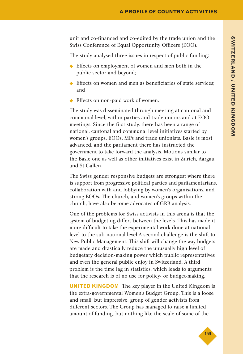unit and co-financed and co-edited by the trade union and the Swiss Conference of Equal Opportunity Officers (EOO).

The study analysed three issues in respect of public funding:

- ◆ Effects on employment of women and men both in the public sector and beyond;
- ◆ Effects on women and men as beneficiaries of state services; and
- Effects on non-paid work of women.

The study was disseminated through meeting at cantonal and communal level, within parties and trade unions and at EOO meetings. Since the first study, there has been a range of national, cantonal and communal level initiatives started by women's groups, EOOs, MPs and trade unionists. Basle is most advanced, and the parliament there has instructed the government to take forward the analysis. Motions similar to the Basle one as well as other initiatives exist in Zurich, Aargau and St Gallen.

The Swiss gender responsive budgets are strongest where there is support from progressive political parties and parliamentarians, collaboration with and lobbying by women's organisations, and strong EOOs. The church, and women's groups within the church, have also become advocates of GRB analysis.

One of the problems for Swiss activists in this arena is that the system of budgeting differs between the levels. This has made it more difficult to take the experimental work done at national level to the sub-national level A second challenge is the shift to New Public Management. This shift will change the way budgets are made and drastically reduce the unusually high level of budgetary decision-making power which public representatives and even the general public enjoy in Switzerland. A third problem is the time lag in statistics, which leads to arguments that the research is of no use for policy- or budget-making.

**UNITED KINGDOM** The key player in the United Kingdom is the extra-governmental Women's Budget Group. This is a loose and small, but impressive, group of gender activists from different sectors. The Group has managed to raise a limited amount of funding, but nothing like the scale of some of the

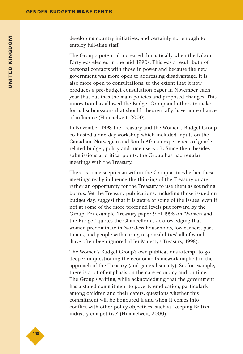developing country initiatives, and certainly not enough to employ full-time staff.

The Group's potential increased dramatically when the Labour Party was elected in the mid-1990s. This was a result both of personal contacts with those in power and because the new government was more open to addressing disadvantage. It is also more open to consultations, to the extent that it now produces a pre-budget consultation paper in November each year that outlines the main policies and proposed changes. This innovation has allowed the Budget Group and others to make formal submissions that should, theoretically, have more chance of influence (Himmelweit, 2000).

In November 1998 the Treasury and the Women's Budget Group co-hosted a one-day workshop which included inputs on the Canadian, Norwegian and South African experiences of genderrelated budget, policy and time use work. Since then, besides submissions at critical points, the Group has had regular meetings with the Treasury.

There is some scepticism within the Group as to whether these meetings really influence the thinking of the Treasury or are rather an opportunity for the Treasury to use them as sounding boards. Yet the Treasury publications, including those issued on budget day, suggest that it is aware of some of the issues, even if not at some of the more profound levels put forward by the Group. For example, Treasury paper 9 of 1998 on 'Women and the Budget' quotes the Chancellor as acknowledging that women predominate in 'workless households, low earners, parttimers, and people with caring responsibilities', all of which 'have often been ignored' (Her Majesty's Treasury, 1998).

The Women's Budget Group's own publications attempt to go deeper in questioning the economic framework implicit in the approach of the Treasury (and general society). So, for example, there is a lot of emphasis on the care economy and on time. The Group's writing, while acknowledging that the government has a stated commitment to poverty eradication, particularly among children and their carers, questions whether this commitment will be honoured if and when it comes into conflict with other policy objectives, such as 'keeping British industry competitive' (Himmelweit, 2000).

◆160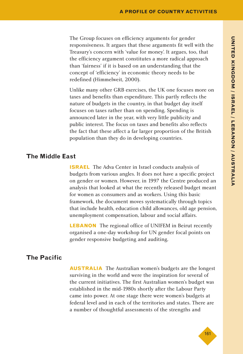The Group focuses on efficiency arguments for gender responsiveness. It argues that these arguments fit well with the Treasury's concern with 'value for money'. It argues, too, that the efficiency argument constitutes a more radical approach than 'fairness' if it is based on an understanding that the concept of 'efficiency' in economic theory needs to be redefined (Himmelweit, 2000).

Unlike many other GRB exercises, the UK one focuses more on taxes and benefits than expenditure. This partly reflects the nature of budgets in the country, in that budget day itself focuses on taxes rather than on spending. Spending is announced later in the year, with very little publicity and public interest. The focus on taxes and benefits also reflects the fact that these affect a far larger proportion of the British population than they do in developing countries.

#### **The Middle East**

**ISRAEL** The Adva Center in Israel conducts analysis of budgets from various angles. It does not have a specific project on gender or women. However, in 1997 the Centre produced an analysis that looked at what the recently released budget meant for women as consumers and as workers. Using this basic framework, the document moves systematically through topics that include health, education child allowances, old age pension, unemployment compensation, labour and social affairs.

**LEBANON** The regional office of UNIFEM in Beirut recently organised a one-day workshop for UN gender focal points on gender responsive budgeting and auditing.

### **The Pacific**

**AUSTRALIA** The Australian women's budgets are the longest surviving in the world and were the inspiration for several of the current initiatives. The first Australian women's budget was established in the mid-1980s shortly after the Labour Party came into power. At one stage there were women's budgets at federal level and in each of the territories and states. There are a number of thoughtful assessments of the strengths and

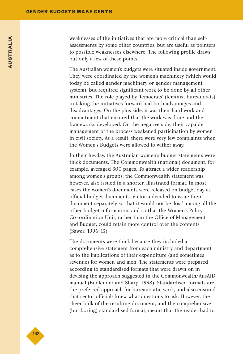weaknesses of the initiatives that are more critical than selfassessments by some other countries, but are useful as pointers to possible weaknesses elsewhere. The following profile draws out only a few of these points.

The Australian women's budgets were situated inside government. They were coordinated by the women's machinery (which would today be called gender machinery or gender management system), but required significant work to be done by all other ministries. The role played by 'femocrats' (feminist bureaucrats) in taking the initiatives forward had both advantages and disadvantages. On the plus side, it was their hard work and commitment that ensured that the work was done and the frameworks developed. On the negative side, their capable management of the process weakened participation by women in civil society. As a result, there were very few complaints when the Women's Budgets were allowed to wither away.

In their heyday, the Australian women's budget statements were thick documents. The Commonwealth (national) document, for example, averaged 300 pages. To attract a wider readership among women's groups, the Commonwealth statement was, however, also issued in a shorter, illustrated format. In most cases the women's documents were released on budget day as official budget documents. Victoria decided to issue their document separately so that it would not be 'lost' among all the other budget information, and so that the Women's Policy Co–ordination Unit, rather than the Office of Management and Budget, could retain more control over the contents (Sawer, 1996:13).

The documents were thick because they included a comprehensive statement from each ministry and department as to the implications of their expenditure (and sometimes revenue) for women and men. The statements were prepared according to standardised formats that were drawn on in devising the approach suggested in the Commonwealth/AusAID manual (Budlender and Sharp, 1998). Standardised formats are the preferred approach for bureaucratic work, and also ensured that sector officials knew what questions to ask. However, the sheer bulk of the resulting document, and the comprehensive (but boring) standardised format, meant that the reader had to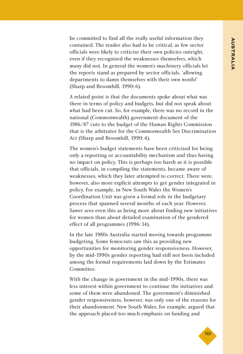be committed to find all the really useful information they contained. The reader also had to be critical, as few sector officials were likely to criticise their own policies outright, even if they recognised the weaknesses themselves, which many did not. In general the women's machinery officials let the reports stand as prepared by sector officials, 'allowing departments to damn themselves with their own words!' (Sharp and Broomhill, 1990:6).

A related point is that the documents spoke about what was there in terms of policy and budgets, but did not speak about what had been cut. So, for example, there was no record in the national (Commonwealth) government document of the 1986/87 cuts to the budget of the Human Rights Commission that is the arbitrator for the Commonwealth Sex Discrimination Act (Sharp and Broomhill, 1990:4).

The women's budget statements have been criticised for being only a reporting or accountability mechanism and thus having no impact on policy. This is perhaps too harsh as it is possible that officials, in compiling the statements, became aware of weaknesses, which they later attempted to correct. There were, however, also more explicit attempts to get gender integrated in policy. For example, in New South Wales the Women's Coordination Unit was given a formal role in the budgetary process that spanned several months of each year. However, Sawer sees even this as being more about finding new initiatives for women than about detailed examination of the gendered effect of all programmes (1996:14).

In the late 1980s Australia started moving towards programme budgeting. Some femocrats saw this as providing new opportunities for monitoring gender responsiveness. However, by the mid-1990s gender reporting had still not been included among the formal requirements laid down by the Estimates Committee.

With the change in government in the mid-1990s, there was less interest within government to continue the initiatives and some of them were abandoned. The government's diminished gender responsiveness, however, was only one of the reasons for their abandonment. New South Wales, for example, argued that the approach placed too much emphasis on funding and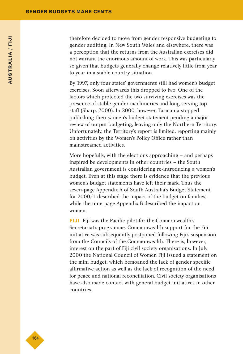therefore decided to move from gender responsive budgeting to gender auditing. In New South Wales and elsewhere, there was a perception that the returns from the Australian exercises did not warrant the enormous amount of work. This was particularly so given that budgets generally change relatively little from year to year in a stable country situation.

By 1997, only four states' governments still had women's budget exercises. Soon afterwards this dropped to two. One of the factors which protected the two surviving exercises was the presence of stable gender machineries and long-serving top staff (Sharp, 2000). In 2000, however, Tasmania stopped publishing their women's budget statement pending a major review of output budgeting, leaving only the Northern Territory. Unfortunately, the Territory's report is limited, reporting mainly on activities by the Women's Policy Office rather than mainstreamed activities.

More hopefully, with the elections approaching – and perhaps inspired be developments in other countries – the South Australian government is considering re-introducing a women's budget. Even at this stage there is evidence that the previous women's budget statements have left their mark. Thus the seven-page Appendix A of South Australia's Budget Statement for 2000/1 described the impact of the budget on families, while the nine-page Appendix B described the impact on women.

**FIJI** Fiji was the Pacific pilot for the Commonwealth's Secretariat's programme. Commonwealth support for the Fiji initiative was subsequently postponed following Fiji's suspension from the Councils of the Commonwealth. There is, however, interest on the part of Fiji civil society organisations. In July 2000 the National Council of Women Fiji issued a statement on the mini budget, which bemoaned the lack of gender specific affirmative action as well as the lack of recognition of the need for peace and national reconciliation. Civil society organisations have also made contact with general budget initiatives in other countries.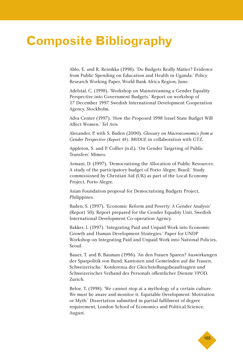# **Composite Bibliography**

Ablo, E. and R. Reinikka (1998). 'Do Budgets Really Matter? Evidence from Public Spending on Education and Health in Uganda.' Policy Research Working Paper, World Bank Africa Region, June.

Adelstal, C. (1998). 'Workshop on Mainstreaming a Gender Equality Perspective into Government Budgets.' Report on workshop of 17 December 1997. Swedish International Development Cooperation Agency, Stockholm.

Adva Center (1997). 'How the Proposed 1998 Israel State Budget Will Affect Women.' Tel Aviv.

Alexander, P. with S. Baden (2000). *Glossary on Macroeconomics from a Gender Perspective (Report 48). BRIDGE* in collaboration with GTZ.

Appleton, S. and P. Collier (n.d.). 'On Gender Targeting of Public Transfers'. Mimeo.

Armani, D. (1997). 'Democratising the Allocation of Public Resources: A study of the participatory budget of Porto Alegre, Brazil.' Study commissioned by Christian Aid (UK) as part of the Local Economy Project, Porto Alegre.

Asian Foundation proposal for Democratising Budgets Project, Philippines.

Baden, S. (1997). 'Economic Reform and Poverty: A Gender Analysis' (Report 50). Report prepared for the Gender Equality Unit, Swedish International Development Co-operation Agency.

Bakker, I. (1997). 'Integrating Paid and Unpaid Work into Economic Growth and Human Development Strategies.' Paper for UNDP Workshop on Integrating Paid and Unpaid Work into National Policies, Seoul.

Bauer, T. and B. Bauman (1996). 'An den Frauen Sparen? Auswirkungen der Sparpolitik von Bund, Kantonen und Gemeinden auf die Frauen, Schweizerische.' Konferenza der Gleichstellungsbeauftragten und Schweizerischer Verband des Personals offentlicher Dienste VPOD, Zurich.

Beloe, T. (1998). 'We cannot stop at a mythology of a certain culture. We must be aware and monitor it. Equitable Development: Motivation or Myth.' Dissertation submitted in partial fulfilment of degree requirement, London School of Economics and Political Science, August.

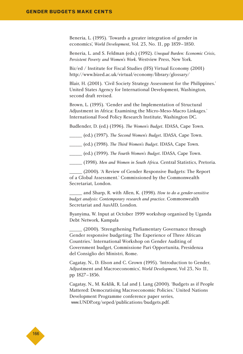Beneria, L. (1995). 'Towards a greater integration of gender in economics', *World Development*, Vol. 23, No. 11, pp 1839–1850.

Beneria, L. and S. Feldman (eds.) (1992). *Unequal Burden: Economic Crisis, Persistent Poverty and Women's Work*. Westview Press, New York.

Biz/ed / Institute for Fiscal Studies (IFS) Virtual Economy (2001) http://www.bized.ac.uk/virtual/economy/library/glossary/

Blair, H. (2001). 'Civil Society Strategy Assessment for the Philippines.' United States Agency for International Development, Washington, second draft revised.

Brown, L. (1995). 'Gender and the Implementation of Structural Adjustment in Africa: Examining the Micro-Meso-Macro Linkages.' International Food Policy Research Institute, Washington DC.

Budlender, D. (ed.) (1996). *The Women's Budget*. IDASA, Cape Town.

\_\_\_\_\_\_ (ed.) (1997). *The Second Women's Budget*. IDASA, Cape Town.

\_\_\_\_\_\_ (ed.) (1998). *The Third Women's Budget*. IDASA, Cape Town.

\_\_\_\_\_\_ (ed.) (1999). *The Fourth Women's Budget*. IDASA, Cape Town.

\_\_\_\_\_\_ (1998). *Men and Women in South Africa*. Central Statistics, Pretoria.

\_\_\_\_\_\_ (2000). 'A Review of Gender Responsive Budgets: The Report of a Global Assessment.' Commissioned by the Commonwealth Secretariat, London.

\_\_\_\_\_\_ and Sharp, R. with Allen, K. (1998). *How to do a gender-sensitive budget analysis: Contemporary research and practice*. Commonwealth Secretariat and AusAID, London.

Byanyima, W. Input at October 1999 workshop organised by Uganda Debt Network, Kampala

\_\_\_\_\_\_ (2000). 'Strengthening Parliamentary Governance through Gender responsive budgeting: The Experience of Three African Countries.' International Workshop on Gender Auditing of Government budget, Commissione Pari Opportunita, Presidenza del Consiglio dei Ministri, Rome.

Cagatay, N., D. Elson and C. Grown (1995). 'Introduction to Gender, Adjustment and Macroeconomics', *World Development*, Vol 23, No 11, pp 1827–1836.

Cagatay, N., M. Keklik, R. Lal and J. Lang (2000). 'Budgets as if People Mattered: Democratising Macroeconomic Policies.' United Nations Development Programme conference paper series, www.UNDP.org/seped/publications/budgets.pdf.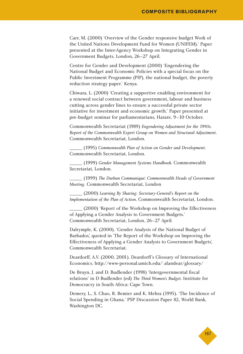Carr, M. (2000) 'Overview of the Gender responsive budget Work of the United Nations Development Fund for Women (UNIFEM).' Paper presented at the Inter-Agency Workshop on Integrating Gender in Government Budgets, London, 26–27 April.

Centre for Gender and Development (2000) 'Engendering the National Budget and Economic Policies with a special focus on the Public Investment Programme (PIP), the national budget, the poverty reduction strategy paper.' Kenya.

Chiwara, L. (2000) 'Creating a supportive enabling environment for a renewed social contract between government, labour and business cutting across gender lines to ensure a successful private sector initiative for investment and economic growth.' Paper presented at pre-budget seminar for parliamentarians, Harare, 9–10 October.

Commonwealth Secretariat (1989) *Engendering Adjustment for the 1990s. Report of the Commonwealth Expert Group on Women and Structural Adjustment*. Commonwealth Secretariat, London.

\_\_\_\_\_\_ (1995) *Commonwealth Plan of Action on Gender and Development*. Commonwealth Secretariat, London.

\_\_\_\_\_\_ (1999) *Gender Management Systems Handbook*. Commonwealth Secretariat, London.

\_\_\_\_\_\_ (1999) *The Durban Communiqué: Commonwealth Heads of Government Meeting.* Commonwealth Secretariat, London

\_\_\_\_\_\_ (2000) *Learning By Sharing: Secretary-General's Report on the Implementation of the Plan of Action*. Commonwealth Secretariat, London.

(2000) 'Report of the Workshop on Improving the Effectiveness of Applying a Gender Analysis to Government Budgets.' Commonwealth Secretariat, London, 26–27 April.

Dalrymple, K. (2000). 'Gender Analysis of the National Budget of Barbados', quoted in 'The Report of the Workshop on Improving the Effectiveness of Applying a Gender Analysis to Government Budgets', Commonwealth Secretariat.

Deardorff, A.V. (2000, 2001). Deardorff's Glossary of International Economics. http://www-personal.umich.edu/lalandear/glossary/

De Bruyn, J. and D. Budlender (1998) 'Intergovernmental fiscal relations' in D Budlender (ed) *The Third Women's Budget*. Institute for Democracry in South Africa: Cape Town.

Demery, L., S. Chao, R. Bemier and K. Mehra (1995). 'The Incidence of Social Spending in Ghana.' PSP Discussion Paper 82, World Bank, Washington DC.

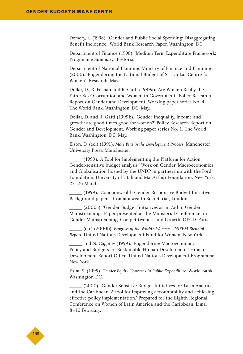Demery, L. (1998). 'Gender and Public Social Spending: Disaggregating Benefit Incidence.' World Bank Research Paper, Washington, DC.

Department of Finance (1998). 'Medium Term Expenditure Framework: Programme Summary.' Pretoria.

Department of National Planning, Ministry of Finance and Planning (2000). 'Engendering the National Budget of Sri Lanka.' Centre for Women's Research, May.

Dollar, D., R. Fisman and R. Gatti (1999a). 'Are Women Really the Fairer Sex? Corruption and Women in Government.' Policy Research Report on Gender and Development, Working paper series No. 4, The World Bank, Washington, DC, May.

Dollar, D. and R. Gatti (1999b). 'Gender Inequality, income and growth: are good times good for women?' Policy Research Report on Gender and Development, Working paper series No. 1, The World Bank, Washington, DC, May.

Elson, D. (ed.) (1991). *Male Bias in the Development Process*. Manchester University Press, Manchester.

\_\_\_\_\_\_ (1999). 'A Tool for Implementing the Platform for Action: Gender-sensitive budget analysis.' Work on Gender, Macroeconomics and Globalisation hosted by the UNDP in partnership with the Ford Foundation, University of Utah and MacArthur Foundation, New York, 25–26 March.

\_\_\_\_\_\_ (1999). 'Commonwealth Gender Responsive Budget Initiative: Background papers.' Commonwealth Secretariat, London.

\_\_\_\_\_\_ (2000a). 'Gender Budget Initiatives as an Aid to Gender Mainstreaming.' Paper presented at the Ministerial Conference on Gender Mainstreaming, Competitiveness and Growth, OECD, Paris.

\_\_\_\_\_\_ (co.) (2000b). *Progress of the World's Women: UNIFEM Biennial Report*. United Nations Development Fund for Women, New York.

and N. Cagatay (1999). 'Engendering Macroeconomic Policy and Budgets for Sustainable Human Development.' Human Development Report Office, United Nations Development Programme, New York.

Esim, S. (1995). *Gender Equity Concerns in Public Expenditure*. World Bank, Washington DC.

\_\_\_\_\_\_ (2000). 'Gender-Sensitive Budget Initiatives for Latin America and the Caribbean: A tool for improving accountability and achieving effective policy implementation.' Prepared for the Eighth Regional Conference on Women of Latin America and the Caribbean, Lima, 8–10 February.

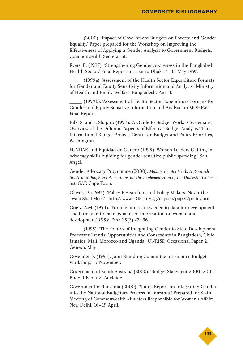\_\_\_\_\_\_ (2000). 'Impact of Government Budgets on Poverty and Gender Equality.' Paper prepared for the Workshop on Improving the Effectiveness of Applying a Gender Analysis to Government Budgets, Commonwealth Secretariat.

Evers, B. (1997). 'Strengthening Gender Awareness in the Bangladesh Health Sector.' Final Report on visit to Dhaka 4–17 May 1997.

\_\_\_\_\_\_ (1999a). 'Assessment of the Health Sector Expenditure Formats for Gender and Equity Sensitivity Information and Analysis.' Ministry of Health and Family Welfare, Bangladesh. Part II.

\_\_\_\_\_\_ (1999b). 'Assessment of Health Sector Expenditure Formats for Gender and Equity Sensitive Information and Analysis in MOHFW.' Final Report.

Falk, S. and I. Shapiro (1999). 'A Guide to Budget Work: A Systematic Overview of the Different Aspects of Effective Budget Analysis.' The International Budget Project. Centre on Budget and Policy Priorities, Washington.

FUNDAR and Equidad de Genero (1999) 'Women Leaders Getting In: Advocacy skills building for gender-sensitive public spending.' San Angel.

Gender Advocacy Programme (2000). *Making the Act Work: A Research Study into Budgetary Allocations for the Implementation of the Domestic Violence Act*. GAP, Cape Town.

Glover, D. (1993). 'Policy Researchers and Policy Makers: Never the Twain Shall Meet.' http://www.IDRC.org.sg/eepsea/paper/policy.htm.

Goetz, A.M. (1994). 'From feminist knowledge to data for development: The bureaucratic management of information on women and development', *IDS bulletin* 25(2):27–36.

\_\_\_\_\_\_ (1995). 'The Politics of Integrating Gender to State Development Processes: Trends, Opportunities and Constraints in Bangladesh, Chile, Jamaica, Mali, Morocco and Uganda.' UNRISD Occasional Paper 2, Geneva, May.

Govender, P. (1995). Joint Standing Committee on Finance Budget Workshop, 13 November.

Government of South Australia (2000). 'Budget Statement 2000–2001.' Budget Paper 2, Adelaide.

Government of Tanzania (2000). 'Status Report on Integrating Gender into the National Budgetary Process in Tanzania.' Prepared for Sixth Meeting of Commonwealth Ministers Responsible for Women's Affairs, New Delhi, 16–19 April.

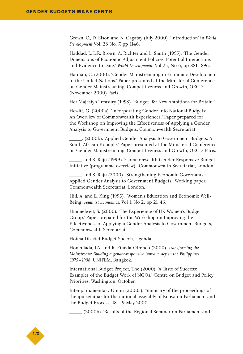Grown, C., D. Elson and N. Cagatay (July 2000). 'Introduction' in *World Development* Vol. 28 No. 7, pp 1146.

Haddad, L, L.R. Brown, A. Richter and L. Smith (1995). 'The Gender Dimensions of Economic Adjustment Policies: Potential Interactions and Evidence to Date.' *World Development*, Vol 23, No 6, pp 881–896.

Hannan, C. (2000). 'Gender Mainstreaming in Economic Development in the United Nations.' Paper presented at the Ministerial Conference on Gender Mainstreaming, Competitiveness and Growth, OECD, (November 2000) Paris.

Her Majesty's Treasury (1998). 'Budget 98: New Ambitions for Britain.'

Hewitt, G. (2000a). 'Incorporating Gender into National Budgets: An Overview of Commonwealth Experiences.' Paper prepared for the Workshop on Improving the Effectiveness of Applying a Gender Analysis to Government Budgets, Commonwealth Secretariat.

\_\_\_\_\_\_. (2000b). 'Applied Gender Analysis to Government Budgets: A South African Example.' Paper presented at the Ministerial Conference on Gender Mainstreaming, Competitiveness and Growth, OECD, Paris.

\_\_\_\_\_\_ and S. Raju (1999). 'Commonwealth Gender Responsive Budget Initiative (programme overview).' Commonwealth Secretariat, London.

\_\_\_\_\_\_ and S. Raju (2000). 'Strengthening Economic Governance: Applied Gender Analysis to Government Budgets.' Working paper, Commonwealth Secretariat, London.

Hill, A. and E. King (1995). 'Women's Education and Economic Well-Being', *Feminist Economics*, Vol 1 No 2, pp 21 46.

Himmelweit, S. (2000). 'The Experience of UK Women's Budget Group.' Paper prepared for the Workshop on Improving the Effectiveness of Applying a Gender Analysis to Government Budgets, Commonwealth Secretariat.

Hoima District Budget Speech, Uganda.

Honculada, J.A. and R. Pineda-Ofreneo (2000). *Transforming the Mainstream: Building a gender-responsive bureaucracy in the Philippines 1975–1998*. UNIFEM, Bangkok.

International Budget Project, The (2000). 'A Taste of Success: Examples of the Budget Work of NGOs.' Centre on Budget and Policy Priorities, Washington, October.

Inter-parliamentary Union (2000a). 'Summary of the proceedings of the ipu seminar for the national assembly of Kenya on Parliament and the Budget Process, 18–19 May 2000.'

(2000b). 'Results of the Regional Seminar on Parliament and

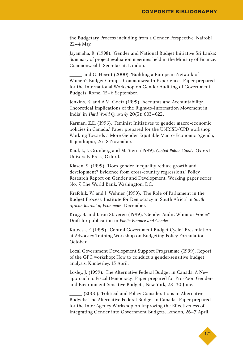the Budgetary Process including from a Gender Perspective, Nairobi 22–4 May.'

Jayamaha, R. (1998). 'Gender and National Budget Initiative Sri Lanka: Summary of project evaluation meetings held in the Ministry of Finance. Commonwealth Secretariat, London.

\_\_\_\_\_\_ and G. Hewitt (2000). 'Building a European Network of Women's Budget Groups: Commonwealth Experience.' Paper prepared for the International Workshop on Gender Auditing of Government Budgets, Rome, 15–6 September.

Jenkins, R. and A.M. Goetz (1999). 'Accounts and Accountability: Theoretical Implications of the Right-to-Information Movement in India' in *Third World Quarterly* 20(3): 603–622.

Karman, Z.E. (1996). 'Feminist Initiatives to gender macro-economic policies in Canada.' Paper prepared for the UNRISD/CPD workshop Working Towards a More Gender Equitable Macro-Economic Agenda, Rajendrapur, 26–8 November.

Kaul, I., I. Grunberg and M. Stern (1999). *Global Public Goods*. Oxford University Press, Oxford.

Klasen, S. (1999). 'Does gender inequality reduce growth and development? Evidence from cross-country regressions.' Policy Research Report on Gender and Development, Working paper series No. 7, The World Bank, Washington, DC.

Krafchik, W. and J. Wehner (1999). 'The Role of Parliament in the Budget Process. Institute for Democracy in South Africa' in *South African Journal of Economics*, December.

Krug, B. and I. van Staveren (1999). 'Gender Audit: Whim or Voice?' Draft for publication in *Public Finance and Gender*.

Kuteesa, F. (1999). 'Central Government Budget Cycle.' Presentation at Advocacy Training Workshop on Budgeting Policy Formulation, October.

Local Government Development Support Programme (1999). Report of the GPC workshop: How to conduct a gender-sensitive budget analysis, Kimberley, 13 April.

Loxley, J. (1999). 'The Alternative Federal Budget in Canada: A New approach to Fiscal Democracy.' Paper prepared for Pro-Poor, Genderand Environment-Sensitive Budgets, New York, 28–30 June.

\_\_\_\_\_\_ (2000). 'Political and Policy Considerations in Alternative Budgets: The Alternative Federal Budget in Canada.' Paper prepared for the Inter-Agency Workshop on Improving the Effectiveness of Integrating Gender into Government Budgets, London, 26–7 April.

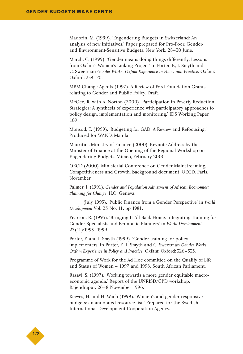Madorin, M. (1999). 'Engendering Budgets in Switzerland: An analysis of new initiatives.' Paper prepared for Pro-Poor, Genderand Environment-Sensitive Budgets, New York, 28–30 June.

March, C. (1999). 'Gender means doing things differently: Lessons from Oxfam's Women's Linking Project' in Porter, F., I. Smyth and C. Sweetman *Gender Works: Oxfam Experience in Policy and Practice*. Oxfam: Oxford: 259–70.

MBM Change Agents (1997). A Review of Ford Foundation Grants relating to Gender and Public Policy. Draft.

McGee, R. with A. Norton (2000). 'Participation in Poverty Reduction Strategies: A synthesis of experience with participatory approaches to policy design, implementation and monitoring.' IDS Working Paper 109.

Monsod, T. (1999). 'Budgeting for GAD: A Review and Refocusing.' Produced for WAND, Manila

Mauritius Ministry of Finance (2000). Keynote Address by the Minister of Finance at the Opening of the Regional Workshop on Engendering Budgets. Mimeo, February 2000.

OECD (2000). Ministerial Conference on Gender Mainstreaming, Competitiveness and Growth, background document, OECD, Paris, November.

Palmer, I. (1991). *Gender and Population Adjustment of African Economies: Planning for Change*. ILO, Geneva.

\_\_\_\_\_\_ (July 1995). 'Public Finance from a Gender Perspective' in *World Development* Vol. 23 No. 11, pp 1981.

Pearson, R. (1995). 'Bringing It All Back Home: Integrating Training for Gender Specialists and Economic Planners' in *World Development* 23(11):1995–1999.

Porter, F. and I. Smyth (1999). 'Gender training for policy implementers' in Porter, F., I. Smyth and C. Sweetman *Gender Works: Oxfam Experience in Policy and Practice*. Oxfam: Oxford:326–333.

Programme of Work for the Ad Hoc committee on the Qualify of Life and Status of Women – 1997 and 1998, South African Parliament.

Razavi, S. (1997). 'Working towards a more gender equitable macroeconomic agenda.' Report of the UNRISD/CPD workshop, Rajendrapur, 26–8 November 1996.

Reeves, H. and H. Wach (1999). 'Women's and gender responsive budgets: an annotated resource list.' Prepared for the Swedish International Development Cooperation Agency.

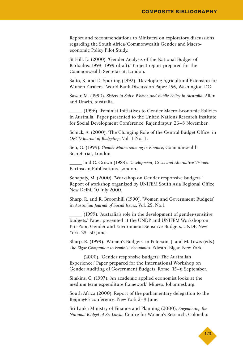Report and recommendations to Ministers on exploratory discussions regarding the South Africa/Commonwealth Gender and Macroeconomic Policy Pilot Study.

St Hill, D. (2000). 'Gender Analysis of the National Budget of Barbados: 1998–1999 (draft).' Project report prepared for the Commonwealth Secretariat, London.

Saito, K. and D. Spurling (1992). 'Developing Agricultural Extension for Women Farmers.' World Bank Discussion Paper 156, Washington DC.

Sawer, M. (1990). *Sisters in Suits: Women and Public Policy in Australia*. Allen and Unwin, Australia.

\_\_\_\_\_\_ (1996). 'Feminist Initiatives to Gender Macro-Economic Policies in Australia.' Paper presented to the United Nations Research Institute for Social Development Conference, Rajendrapur, 26–8 November.

Schick, A. (2000). 'The Changing Role of the Central Budget Office' in *OECD Journal of Budgeting*, Vol. 1 No. 1.

Sen, G. (1999). *Gender Mainstreaming in Finance*, Commonwealth Secretariat, London

\_\_\_\_\_\_ and C. Grown (1988). *Development, Crisis and Alternative Visions*. Earthscan Publications, London.

Senapaty, M. (2000). 'Workshop on Gender responsive budgets.' Report of workshop organised by UNIFEM South Asia Regional Office, New Delhi, 10 July 2000.

Sharp, R. and R. Broomhill (1990). 'Women and Government Budgets' in *Australian Journal of Social Issues*, Vol. 25, No.1

\_\_\_\_\_\_ (1999). 'Australia's role in the development of gender-sensitive budgets.' Paper presented at the UNDP and UNIFEM Workshop on Pro-Poor, Gender and Environment-Sensitive Budgets, UNDP, New York, 28–30 June.

Sharp, R. (1999). 'Women's Budgets' in Peterson, J. and M. Lewis (eds.) *The Elgar Companion to Feminist Economics*. Edward Elgar, New York.

\_\_\_\_\_\_ (2000). 'Gender responsive budgets: The Australian Experience.' Paper prepared for the International Workshop on Gender Auditing of Government Budgets, Rome, 15–6 September.

Simkins, C. (1997). 'An academic applied economist looks at the medium term expenditure framework'. Mimeo. Johannesburg.

South Africa (2000). Report of the parliamentary delegation to the Beijing+5 conference. New York 2–9 June.

Sri Lanka Ministry of Finance and Planning (2000). *Engendering the National Budget of Sri Lanka*. Centre for Women's Research, Colombo.

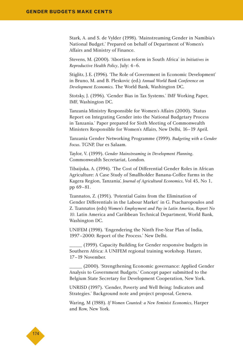Stark, A. and S. de Vylder (1998). 'Mainstreaming Gender in Namibia's National Budget.' Prepared on behalf of Department of Women's Affairs and Ministry of Finance.

Stevens, M. (2000). 'Abortion reform in South Africa' in *Initiatives in Reproductive Health Policy*, July: 4–6.

Stiglitz, J.E. (1996). 'The Role of Government in Economic Development' in Bruno, M. and B. Pleskovic (ed.) *Annual World Bank Conference on Development Economics*. The World Bank, Washington DC.

Stotsky, J. (1996). 'Gender Bias in Tax Systems.' IMF Working Paper, IMF, Washington DC.

Tanzania Ministry Responsible for Women's Affairs (2000). 'Status Report on Integrating Gender into the National Budgetary Process in Tanzania.' Paper prepared for Sixth Meeting of Commonwealth Ministers Responsible for Women's Affairs, New Delhi, 16–19 April.

Tanzania Gender Networking Programme (1999). *Budgeting with a Gender Focus*. TGNP, Dar es Salaam.

Taylor, V. (1999). *Gender Mainstreaming in Development Planning*. Commonwealth Secretariat, London.

Tibaijuka, A. (1994). 'The Cost of Differential Gender Roles in African Agriculture: A Case Study of Smallholder Banana-Coffee Farms in the Kagera Region, Tanzania', *Journal of Agricultural Economics*, Vol 45, No 1, pp 69–81.

Tzannatos, Z. (1991). 'Potential Gains from the Elimination of Gender Differentials in the Labour Market' in G. Psacharopoulos and Z. Tzannatos (eds) *Women's Employment and Pay in Latin America, Report No 10*. Latin America and Caribbean Technical Department, World Bank, Washington DC.

UNIFEM (1998). 'Engendering the Ninth Five-Year Plan of India, 1997–2000: Report of the Process.' New Delhi.

\_\_\_\_\_\_ (1999). Capacity Building for Gender responsive budgets in Southern Africa: A UNIFEM regional training workshop. Harare, 17–19 November.

(2000). 'Strengthening Economic governance: Applied Gender Analysis to Government Budgets.' Concept paper submitted to the Belgium State Secretary for Development Cooperation, New York.

UNRISD (1997). 'Gender, Poverty and Well Being: Indicators and Strategies.' Background note and project proposal, Geneva.

Waring, M (1988). *If Women Counted: a New Feminist Economics*, Harper and Row, New York.

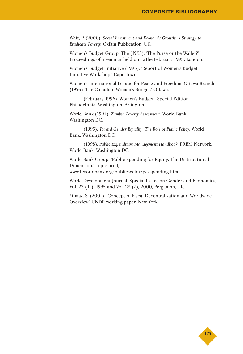Watt, P. (2000). *Social Investment and Economic Growth: A Strategy to Eradicate Poverty.* Oxfam Publication, UK.

Women's Budget Group, The (1998). 'The Purse or the Wallet?' Proceedings of a seminar held on 12the February 1998, London.

Women's Budget Initiative (1996). 'Report of Women's Budget Initiative Workshop.' Cape Town.

Women's International League for Peace and Freedom, Ottawa Branch (1993) 'The Canadian Women's Budget.' Ottawa.

\_\_\_\_\_\_ (February 1996) 'Women's Budget.' Special Edition. Philadelphia, Washington, Arlington.

World Bank (1994). *Zambia Poverty Assessment*. World Bank, Washington DC.

\_\_\_\_\_\_ (1995). *Toward Gender Equality: The Role of Public Policy*. World Bank, Washington DC.

\_\_\_\_\_\_ (1998). *Public Expenditure Management Handbook*. PREM Network, World Bank, Washington DC.

World Bank Group. 'Public Spending for Equity: The Distributional Dimension.' Topic brief, www1.worldbank.org/publicsector/pe/spending.htm

World Development Journal. Special Issues on Gender and Economics, Vol. 23 (11), 1995 and Vol. 28 (7), 2000, Pergamon, UK.

Yilmaz, S. (2001). 'Concept of Fiscal Decentralization and Worldwide Overview.' UNDP working paper, New York.

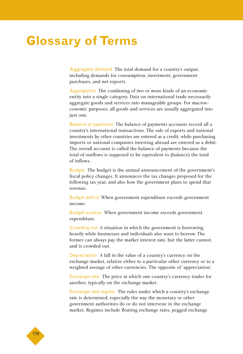## **Glossary of Terms**

Aggregate demand The total demand for a country's output, including demands for consumption, investment, government purchases, and net exports.

Aggregation The combining of two or more kinds of an economic entity into a single category. Data on international trade necessarily aggregate goods and services into manageable groups. For macroeconomic purposes, all goods and services are usually aggregated into just one.

Balance of payments The balance of payments accounts record all a country's international transactions. The sale of exports and national investments by other countries are entered as a credit, while purchasing imports or national companies investing abroad are entered as a debit. The overall account is called the balance of payments because the total of outflows is supposed to be equivalent to (balance) the total of inflows.

Budget The budget is the annual announcement of the government's fiscal policy changes. It announces the tax changes proposed for the following tax year, and also how the government plans to spend that revenue.

Budget deficit When government expenditure exceeds government income.

Budget surplus When government income exceeds government expenditure.

Crowding out A situation in which the government is borrowing heavily while businesses and individuals also want to borrow. The former can always pay the market interest rate, but the latter cannot, and is crowded out.

Depreciation A fall in the value of a country's currency on the exchange market, relative either to a particular other currency or to a weighted average of other currencies. The opposite of 'appreciation'.

Exchange rate The price at which one country's currency trades for another, typically on the exchange market.

Exchange rate regime The rules under which a country's exchange rate is determined, especially the way the monetary or other government authorities do or do not intervene in the exchange market. Regimes include floating exchange rates, pegged exchange

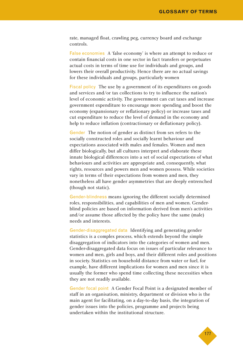rate, managed float, crawling peg, currency board and exchange controls.

False economies A 'false economy' is where an attempt to reduce or contain financial costs in one sector in fact transfers or perpetuates actual costs in terms of time use for individuals and groups, and lowers their overall productivity. Hence there are no actual savings for these individuals and groups, particularly women

Fiscal policy The use by a government of its expenditures on goods and services and/or tax collections to try to influence the nation's level of economic activity. The government can cut taxes and increase government expenditure to encourage more spending and boost the economy (expansionary or reflationary policy) or increase taxes and cut expenditure to reduce the level of demand in the economy and help to reduce inflation (contractionary or deflationary policy).

Gender The notion of gender as distinct from sex refers to the socially constructed roles and socially learnt behaviour and expectations associated with males and females. Women and men differ biologically, but all cultures interpret and elaborate these innate biological differences into a set of social expectations of what behaviours and activities are appropriate and, consequently, what rights, resources and powers men and women possess. While societies vary in terms of their expectations from women and men, they nonetheless all have gender asymmetries that are deeply entrenched (though not static).

Gender-blindness means ignoring the different socially determined roles, responsibilities, and capabilities of men and women. Genderblind policies are based on information derived from men's activities and/or assume those affected by the policy have the same (male) needs and interests.

Gender-disaggregated data Identifying and generating gender statistics is a complex process, which extends beyond the simple disaggregation of indicators into the categories of women and men. Gender-disaggregated data focus on issues of particular relevance to women and men, girls and boys, and their different roles and positions in society. Statistics on household distance from water or fuel, for example, have different implications for women and men since it is usually the former who spend time collecting these necessities when they are not readily available.

Gender focal point A Gender Focal Point is a designated member of staff in an organisation, ministry, department or division who is the main agent for facilitating, on a day-to-day basis, the integration of gender issues into the policies, programme and projects being undertaken within the institutional structure.

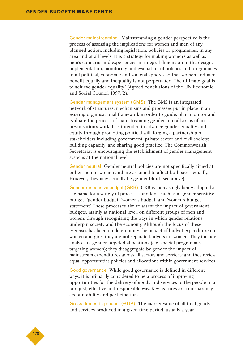Gender mainstreaming 'Mainstreaming a gender perspective is the process of assessing the implications for women and men of any planned action, including legislation, policies or programmes, in any area and at all levels. It is a strategy for making women's as well as men's concerns and experiences an integral dimension in the design, implementation, monitoring and evaluation of policies and programmes in all political, economic and societal spheres so that women and men benefit equally and inequality is not perpetuated. The ultimate goal is to achieve gender equality.' (Agreed conclusions of the UN Economic and Social Council 1997/2).

Gender management system (GMS) The GMS is an integrated network of structures, mechanisms and processes put in place in an existing organisational framework in order to guide, plan, monitor and evaluate the process of mainstreaming gender into all areas of an organisation's work. It is intended to advance gender equality and equity through promoting political will; forging a partnership of stakeholders including government, private sector and civil society; building capacity; and sharing good practice. The Commonwealth Secretariat is encouraging the establishment of gender management systems at the national level.

Gender neutral Gender neutral policies are not specifically aimed at either men or women and are assumed to affect both sexes equally. However, they may actually be gender-blind (see above).

Gender responsive budget (GRB) GRB is increasingly being adopted as the name for a variety of processes and tools such as a 'gender sensitive budget', 'gender budget', 'women's budget' and 'women's budget statement'. These processes aim to assess the impact of government budgets, mainly at national level, on different groups of men and women, through recognising the ways in which gender relations underpin society and the economy. Although the focus of these exercises has been on determining the impact of budget expenditure on women and girls, they are not separate budgets for women. They include analysis of gender targeted allocations (e.g. special programmes targeting women); they disaggregate by gender the impact of mainstream expenditures across all sectors and services; and they review equal opportunities policies and allocations within government services.

Good governance While good governance is defined in different ways, it is primarily considered to be a process of improving opportunities for the delivery of goods and services to the people in a fair, just, effective and responsible way. Key features are transparency, accountability and participation.

Gross domestic product (GDP) The market value of all final goods and services produced in a given time period, usually a year.

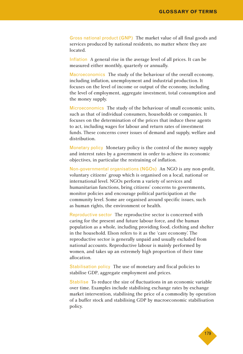Gross national product (GNP) The market value of all final goods and services produced by national residents, no matter where they are located.

Inflation A general rise in the average level of all prices. It can be measured either monthly, quarterly or annually.

Macroeconomics The study of the behaviour of the overall economy, including inflation, unemployment and industrial production. It focuses on the level of income or output of the economy, including the level of employment, aggregate investment, total consumption and the money supply.

Microeconomics The study of the behaviour of small economic units, such as that of individual consumers, households or companies. It focuses on the determination of the prices that induce these agents to act, including wages for labour and return rates of investment funds. These concerns cover issues of demand and supply, welfare and distribution.

Monetary policy Monetary policy is the control of the money supply and interest rates by a government in order to achieve its economic objectives, in particular the restraining of inflation.

Non-governmental organisations (NGOs) An NGO is any non-profit, voluntary citizens' group which is organised on a local, national or international level. NGOs perform a variety of services and humanitarian functions, bring citizens' concerns to governments, monitor policies and encourage political participation at the community level. Some are organised around specific issues, such as human rights, the environment or health.

Reproductive sector The reproductive sector is concerned with caring for the present and future labour force, and the human population as a whole, including providing food, clothing and shelter in the household. Elson refers to it as the 'care economy'. The reproductive sector is generally unpaid and usually excluded from national accounts. Reproductive labour is mainly performed by women, and takes up an extremely high proportion of their time allocation.

Stabilisation policy The use of monetary and fiscal policies to stabilise GDP, aggregate employment and prices.

Stabilise To reduce the size of fluctuations in an economic variable over time. Examples include stabilising exchange rates by exchange market intervention, stabilising the price of a commodity by operation of a buffer stock and stabilising GDP by macroeconomic stabilisation policy.